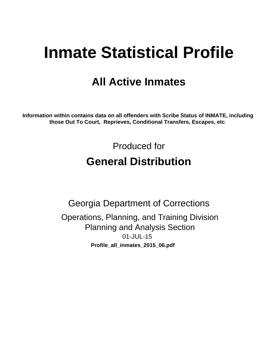# **Inmate Statistical Profile**

# **All Active Inmates**

Information within contains data on all offenders with Scribe Status of INMATE, including those Out To Court, Reprieves, Conditional Transfers, Escapes, etc

> Produced for **General Distribution**

**Georgia Department of Corrections** Operations, Planning, and Training Division **Planning and Analysis Section** 01-JUL-15 Profile\_all\_inmates\_2015\_06.pdf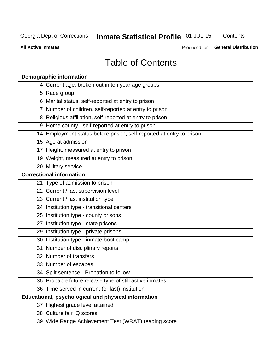# Inmate Statistical Profile 01-JUL-15

Contents

**All Active Inmates** 

Produced for General Distribution

# **Table of Contents**

| <b>Demographic information</b>                                       |
|----------------------------------------------------------------------|
| 4 Current age, broken out in ten year age groups                     |
| 5 Race group                                                         |
| 6 Marital status, self-reported at entry to prison                   |
| 7 Number of children, self-reported at entry to prison               |
| 8 Religious affiliation, self-reported at entry to prison            |
| 9 Home county - self-reported at entry to prison                     |
| 14 Employment status before prison, self-reported at entry to prison |
| 15 Age at admission                                                  |
| 17 Height, measured at entry to prison                               |
| 19 Weight, measured at entry to prison                               |
| 20 Military service                                                  |
| <b>Correctional information</b>                                      |
| 21 Type of admission to prison                                       |
| 22 Current / last supervision level                                  |
| 23 Current / last institution type                                   |
| 24 Institution type - transitional centers                           |
| 25 Institution type - county prisons                                 |
| 27 Institution type - state prisons                                  |
| 29 Institution type - private prisons                                |
| 30 Institution type - inmate boot camp                               |
| 31 Number of disciplinary reports                                    |
| 32 Number of transfers                                               |
| 33 Number of escapes                                                 |
| 34 Split sentence - Probation to follow                              |
| 35 Probable future release type of still active inmates              |
| 36 Time served in current (or last) institution                      |
| <b>Educational, psychological and physical information</b>           |
| 37 Highest grade level attained                                      |
| 38 Culture fair IQ scores                                            |
| 39 Wide Range Achievement Test (WRAT) reading score                  |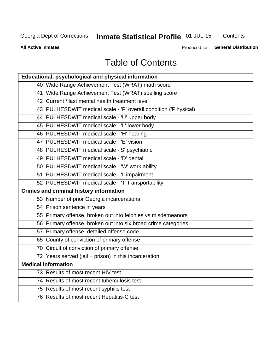# **Inmate Statistical Profile 01-JUL-15**

Contents

**All Active Inmates** 

Produced for General Distribution

# **Table of Contents**

| Educational, psychological and physical information              |
|------------------------------------------------------------------|
| 40 Wide Range Achievement Test (WRAT) math score                 |
| 41 Wide Range Achievement Test (WRAT) spelling score             |
| 42 Current / last mental health treatment level                  |
| 43 PULHESDWIT medical scale - 'P' overall condition ('P'hysical) |
| 44 PULHESDWIT medical scale - 'U' upper body                     |
| 45 PULHESDWIT medical scale - 'L' lower body                     |
| 46 PULHESDWIT medical scale - 'H' hearing                        |
| 47 PULHESDWIT medical scale - 'E' vision                         |
| 48 PULHESDWIT medical scale -'S' psychiatric                     |
| 49 PULHESDWIT medical scale - 'D' dental                         |
| 50 PULHESDWIT medical scale - 'W' work ability                   |
| 51 PULHESDWIT medical scale - 'I' impairment                     |
| 52 PULHESDWIT medical scale - 'T' transportability               |
|                                                                  |
| <b>Crimes and criminal history information</b>                   |
| 53 Number of prior Georgia incarcerations                        |
| 54 Prison sentence in years                                      |
| 55 Primary offense, broken out into felonies vs misdemeanors     |
| 56 Primary offense, broken out into six broad crime categories   |
| 57 Primary offense, detailed offense code                        |
| 65 County of conviction of primary offense                       |
| 70 Circuit of conviction of primary offense                      |
| 72 Years served (jail + prison) in this incarceration            |
| <b>Medical information</b>                                       |
| 73 Results of most recent HIV test                               |
| 74 Results of most recent tuberculosis test                      |
| 75 Results of most recent syphilis test                          |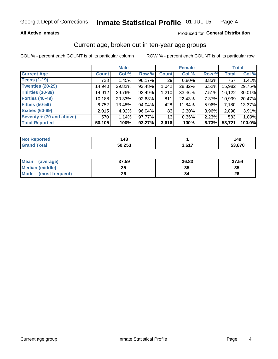## **All Active Inmates**

## Produced for General Distribution

# Current age, broken out in ten-year age groups

COL % - percent each COUNT is of its particular column

|                          | <b>Male</b>  |        |        | <b>Female</b>   |          |          | <b>Total</b> |        |
|--------------------------|--------------|--------|--------|-----------------|----------|----------|--------------|--------|
| <b>Current Age</b>       | <b>Count</b> | Col %  | Row %  | <b>Count</b>    | Col %    | Row %    | <b>Total</b> | Col %  |
| <b>Teens (1-19)</b>      | 728          | 1.45%  | 96.17% | 29              | $0.80\%$ | 3.83%    | 757          | 1.41%  |
| <b>Twenties (20-29)</b>  | 14,940       | 29.82% | 93.48% | 1,042           | 28.82%   | 6.52%    | 15,982       | 29.75% |
| Thirties (30-39)         | 14,912       | 29.76% | 92.49% | 1,210           | 33.46%   | $7.51\%$ | 16,122       | 30.01% |
| <b>Forties (40-49)</b>   | 10,188       | 20.33% | 92.63% | 811             | 22.43%   | 7.37%    | 10,999       | 20.47% |
| <b>Fifties (50-59)</b>   | 6,752        | 13.48% | 94.04% | 428             | 11.84%   | 5.96%    | 7,180        | 13.37% |
| <b>Sixties (60-69)</b>   | 2.015        | 4.02%  | 96.04% | 83              | $2.30\%$ | 3.96%    | 2,098        | 3.91%  |
| Seventy + (70 and above) | 570          | 1.14%  | 97.77% | 13 <sub>1</sub> | $0.36\%$ | 2.23%    | 583          | 1.09%  |
| <b>Total Reported</b>    | 50,105       | 100%   | 93.27% | 3,616           | 100%     | 6.73%    | 53,721       | 100.0% |

| <b>Not</b><br><b>Enorted</b> | 48،    |            | 149   |
|------------------------------|--------|------------|-------|
| Total                        | 50,253 | 2 G47<br>. | 3,870 |

| <b>Mean</b><br>(average)       | 37.59    | 36.83 | 37.54 |
|--------------------------------|----------|-------|-------|
| Median (middle)                | つん<br>vu | JJ    | 35    |
| <b>Mode</b><br>(most frequent) | 26       |       | 26    |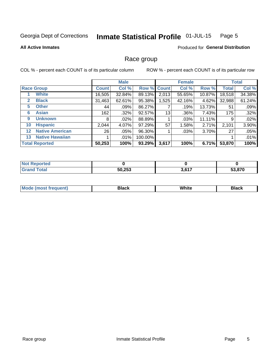#### Inmate Statistical Profile 01-JUL-15 Page 5

#### **All Active Inmates**

## **Produced for General Distribution**

## Race group

COL % - percent each COUNT is of its particular column

|                   |                        |              | <b>Male</b> |         |             | <b>Female</b> |        |              | <b>Total</b> |  |
|-------------------|------------------------|--------------|-------------|---------|-------------|---------------|--------|--------------|--------------|--|
|                   | <b>Race Group</b>      | <b>Count</b> | Col %       |         | Row % Count | Col %         | Row %  | <b>Total</b> | Col %        |  |
|                   | <b>White</b>           | 16,505       | 32.84%      | 89.13%  | 2,013       | 55.65%        | 10.87% | 18,518       | 34.38%       |  |
| 2                 | <b>Black</b>           | 31,463       | 62.61%      | 95.38%  | 1,525       | 42.16%        | 4.62%  | 32,988       | 61.24%       |  |
| 5                 | <b>Other</b>           | 44           | .09%        | 86.27%  |             | .19%          | 13.73% | 51           | .09%         |  |
| 6                 | <b>Asian</b>           | 162          | $.32\%$     | 92.57%  | 13          | .36%          | 7.43%  | 175          | .32%         |  |
| 9                 | <b>Unknown</b>         | 8            | $.02\%$     | 88.89%  |             | .03%          | 11.11% | 9            | .02%         |  |
| 10                | <b>Hispanic</b>        | 2,044        | 4.07%       | 97.29%  | 57          | 1.58%         | 2.71%  | 2,101        | 3.90%        |  |
| $12 \overline{ }$ | <b>Native American</b> | 26           | .05%        | 96.30%  |             | .03%          | 3.70%  | 27           | .05%         |  |
| 13                | <b>Native Hawaiian</b> |              | $.01\%$     | 100.00% |             |               |        |              | .01%         |  |
|                   | <b>Total Reported</b>  | 50,253       | 100%        | 93.29%  | 3,617       | 100%          | 6.71%  | 53,870       | 100%         |  |

| <b>Not Reported</b>          |        |                     |        |
|------------------------------|--------|---------------------|--------|
| <b>Fotal</b><br><b>Crops</b> | 50,253 | 2617<br><b>J.OI</b> | 53.870 |

| <b>Mode</b><br>---<br>most frequent) | Black | White | <b>Black</b> |
|--------------------------------------|-------|-------|--------------|
|                                      |       |       |              |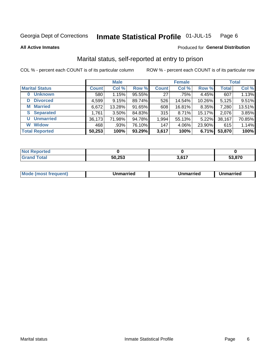#### Inmate Statistical Profile 01-JUL-15 Page 6

**All Active Inmates** 

## Produced for General Distribution

# Marital status, self-reported at entry to prison

COL % - percent each COUNT is of its particular column

|                            | <b>Male</b>  |          |        |              | <b>Female</b> | <b>Total</b> |              |        |
|----------------------------|--------------|----------|--------|--------------|---------------|--------------|--------------|--------|
| <b>Marital Status</b>      | <b>Count</b> | Col %    | Row %  | <b>Count</b> | Col %         | Row %        | <b>Total</b> | Col %  |
| <b>Unknown</b><br>$\bf{0}$ | 580          | 1.15%    | 95.55% | 27           | .75%          | 4.45%        | 607          | 1.13%  |
| <b>Divorced</b><br>D       | 4,599        | 9.15%    | 89.74% | 526          | 14.54%        | 10.26%       | 5,125        | 9.51%  |
| <b>Married</b><br>М        | 6,672        | 13.28%   | 91.65% | 608          | 16.81%        | 8.35%        | 7,280        | 13.51% |
| <b>Separated</b><br>S.     | 1,761        | $3.50\%$ | 84.83% | 315          | 8.71%         | 15.17%       | 2,076        | 3.85%  |
| <b>Unmarried</b><br>U      | 36,173       | 71.98%   | 94.78% | 1,994        | 55.13%        | 5.22%        | 38,167       | 70.85% |
| <b>Widow</b><br>W          | 468          | .93%     | 76.10% | 147          | 4.06%         | 23.90%       | 615          | 1.14%  |
| <b>Total Reported</b>      | 50,253       | 100%     | 93.29% | 3,617        | 100%          | 6.71%        | 53,870       | 100%   |

| <b>Not Repo</b><br><b>Anorted</b> |        |       |        |
|-----------------------------------|--------|-------|--------|
| <b>⊺otal</b>                      | 50,253 | 3,617 | 53.870 |

|--|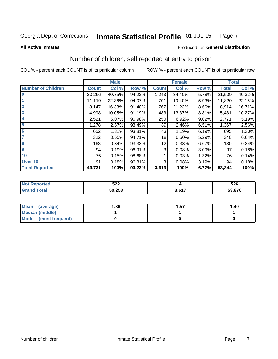#### Inmate Statistical Profile 01-JUL-15 Page 7

**All Active Inmates** 

## **Produced for General Distribution**

# Number of children, self reported at entry to prison

COL % - percent each COUNT is of its particular column

|                           |              | <b>Male</b> |        |              | <b>Female</b> |       |              | <b>Total</b> |
|---------------------------|--------------|-------------|--------|--------------|---------------|-------|--------------|--------------|
| <b>Number of Children</b> | <b>Count</b> | Col %       | Row %  | <b>Count</b> | Col %         | Row % | <b>Total</b> | Col %        |
| $\bf{0}$                  | 20,266       | 40.75%      | 94.22% | 1,243        | 34.40%        | 5.78% | 21,509       | 40.32%       |
|                           | 11,119       | 22.36%      | 94.07% | 701          | 19.40%        | 5.93% | 11,820       | 22.16%       |
| $\overline{2}$            | 8,147        | 16.38%      | 91.40% | 767          | 21.23%        | 8.60% | 8,914        | 16.71%       |
| 3                         | 4,998        | 10.05%      | 91.19% | 483          | 13.37%        | 8.81% | 5,481        | 10.27%       |
| 4                         | 2,521        | 5.07%       | 90.98% | 250          | 6.92%         | 9.02% | 2,771        | 5.19%        |
| 5                         | 1,278        | 2.57%       | 93.49% | 89           | 2.46%         | 6.51% | 1,367        | 2.56%        |
| 6                         | 652          | 1.31%       | 93.81% | 43           | 1.19%         | 6.19% | 695          | 1.30%        |
| 7                         | 322          | 0.65%       | 94.71% | 18           | 0.50%         | 5.29% | 340          | 0.64%        |
| 8                         | 168          | 0.34%       | 93.33% | 12           | 0.33%         | 6.67% | 180          | 0.34%        |
| $\boldsymbol{9}$          | 94           | 0.19%       | 96.91% | 3            | 0.08%         | 3.09% | 97           | 0.18%        |
| 10                        | 75           | 0.15%       | 98.68% |              | 0.03%         | 1.32% | 76           | 0.14%        |
| Over 10                   | 91           | 0.18%       | 96.81% | 3            | 0.08%         | 3.19% | 94           | 0.18%        |
| <b>Total Reported</b>     | 49,731       | 100%        | 93.23% | 3,613        | 100%          | 6.77% | 53,344       | 100%         |

| につつ<br>JZZ       |     | 526    |
|------------------|-----|--------|
| らい つらる<br>JU.ZJJ | CAT | 53,870 |

| Mean (average)         | 1.39 | 1.57 | 1.40 |
|------------------------|------|------|------|
| <b>Median (middle)</b> |      |      |      |
| Mode (most frequent)   |      |      |      |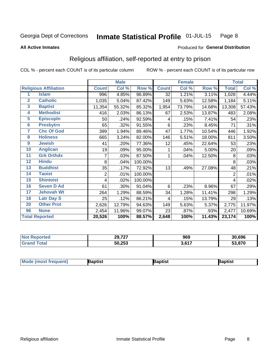#### Inmate Statistical Profile 01-JUL-15 Page 8

#### **All Active Inmates**

## Produced for General Distribution

# Religious affiliation, self-reported at entry to prison

COL % - percent each COUNT is of its particular column

|                 |                              |              | <b>Male</b> |         |              | <b>Female</b> |        |                | <b>Total</b> |
|-----------------|------------------------------|--------------|-------------|---------|--------------|---------------|--------|----------------|--------------|
|                 | <b>Religious Affiliation</b> | <b>Count</b> | Col %       | Row %   | <b>Count</b> | Col %         | Row %  | <b>Total</b>   | Col %        |
| 1               | <b>Islam</b>                 | 996          | 4.85%       | 96.89%  | 32           | 1.21%         | 3.11%  | 1,028          | 4.44%        |
| $\overline{2}$  | <b>Catholic</b>              | 1,035        | 5.04%       | 87.42%  | 149          | 5.63%         | 12.58% | 1,184          | 5.11%        |
| $\mathbf{3}$    | <b>Baptist</b>               | 11,354       | 55.32%      | 85.32%  | 1,954        | 73.79%        | 14.68% | 13,308         | 57.43%       |
| 4               | <b>Methodist</b>             | 416          | 2.03%       | 86.13%  | 67           | 2.53%         | 13.87% | 483            | 2.08%        |
| 5               | <b>EpiscopIn</b>             | 50           | .24%        | 92.59%  | 4            | .15%          | 7.41%  | 54             | .23%         |
| $6\phantom{a}$  | <b>Presbytrn</b>             | 65           | .32%        | 91.55%  | 6            | .23%          | 8.45%  | 71             | .31%         |
| 7               | <b>Chc Of God</b>            | 399          | 1.94%       | 89.46%  | 47           | 1.77%         | 10.54% | 446            | 1.92%        |
| 8               | <b>Holiness</b>              | 665          | 3.24%       | 82.00%  | 146          | 5.51%         | 18.00% | 811            | 3.50%        |
| 9               | <b>Jewish</b>                | 41           | .20%        | 77.36%  | 12           | .45%          | 22.64% | 53             | .23%         |
| 10              | <b>Anglican</b>              | 19           | .09%        | 95.00%  |              | .04%          | 5.00%  | 20             | .09%         |
| 11              | <b>Grk Orthdx</b>            | 7            | .03%        | 87.50%  | 1            | .04%          | 12.50% | 8              | .03%         |
| 12              | <b>Hindu</b>                 | 8            | .04%        | 100.00% |              |               |        | 8              | .03%         |
| 13              | <b>Buddhist</b>              | 35           | .17%        | 72.92%  | 13           | .49%          | 27.08% | 48             | .21%         |
| 14              | <b>Taoist</b>                | 2            | .01%        | 100.00% |              |               |        | $\overline{2}$ | .01%         |
| 15              | <b>Shintoist</b>             | 4            | .02%        | 100.00% |              |               |        | 4              | .02%         |
| 16              | <b>Seven D Ad</b>            | 61           | .30%        | 91.04%  | 6            | .23%          | 8.96%  | 67             | .29%         |
| $\overline{17}$ | <b>Jehovah Wt</b>            | 264          | 1.29%       | 88.59%  | 34           | 1.28%         | 11.41% | 298            | 1.29%        |
| 18              | <b>Latr Day S</b>            | 25           | .12%        | 86.21%  | 4            | .15%          | 13.79% | 29             | .13%         |
| 20              | <b>Other Prot</b>            | 2,626        | 12.79%      | 94.63%  | 149          | 5.63%         | 5.37%  | 2,775          | 11.97%       |
| 96              | <b>None</b>                  | 2,454        | 11.96%      | 99.07%  | 23           | .87%          | .93%   | 2,477          | 10.69%       |
|                 | <b>Total Reported</b>        | 20,526       | 100%        | 88.57%  | 2,648        | 100%          | 11.43% | 23,174         | 100%         |

| 29,727<br>$\sim$ | 969     | 30.696      |
|------------------|---------|-------------|
| 50,253           | 9 C 4 7 | .870<br>гл. |

| <b>Mode</b><br>aptist<br>3aptist<br>Baptist<br>a imast.<br>Treduent) |
|----------------------------------------------------------------------|
|----------------------------------------------------------------------|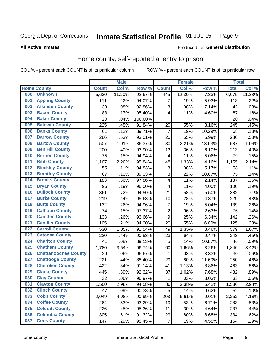#### Inmate Statistical Profile 01-JUL-15 Page 9

#### **All Active Inmates**

## Produced for General Distribution

# Home county, self-reported at entry to prison

COL % - percent each COUNT is of its particular column

|     |                             |              | <b>Male</b> |         |                | <b>Female</b> |        | <b>Total</b> |        |
|-----|-----------------------------|--------------|-------------|---------|----------------|---------------|--------|--------------|--------|
|     | <b>Home County</b>          | <b>Count</b> | Col %       | Row %   | <b>Count</b>   | Col %         | Row %  | <b>Total</b> | Col %  |
| 000 | <b>Unknown</b>              | 5,630        | 11.20%      | 92.67%  | 445            | 12.30%        | 7.33%  | 6,075        | 11.28% |
| 001 | <b>Appling County</b>       | 111          | .22%        | 94.07%  | 7              | .19%          | 5.93%  | 118          | .22%   |
| 002 | <b>Atkinson County</b>      | 39           | .08%        | 92.86%  | 3              | .08%          | 7.14%  | 42           | .08%   |
| 003 | <b>Bacon County</b>         | 83           | .17%        | 95.40%  | 4              | .11%          | 4.60%  | 87           | .16%   |
| 004 | <b>Baker County</b>         | 20           | .04%        | 100.00% |                |               |        | 20           | .04%   |
| 005 | <b>Baldwin County</b>       | 225          | .45%        | 91.84%  | 20             | .55%          | 8.16%  | 245          | .45%   |
| 006 | <b>Banks County</b>         | 61           | .12%        | 89.71%  | $\overline{7}$ | .19%          | 10.29% | 68           | .13%   |
| 007 | <b>Barrow County</b>        | 266          | .53%        | 93.01%  | 20             | .55%          | 6.99%  | 286          | .53%   |
| 008 | <b>Bartow County</b>        | 507          | 1.01%       | 86.37%  | 80             | 2.21%         | 13.63% | 587          | 1.09%  |
| 009 | <b>Ben Hill County</b>      | 200          | .40%        | 93.90%  | 13             | .36%          | 6.10%  | 213          | .40%   |
| 010 | <b>Berrien County</b>       | 75           | .15%        | 94.94%  | 4              | .11%          | 5.06%  | 79           | .15%   |
| 011 | <b>Bibb County</b>          | 1,107        | 2.20%       | 95.84%  | 48             | 1.33%         | 4.16%  | 1,155        | 2.14%  |
| 012 | <b>Bleckley County</b>      | 55           | .11%        | 94.83%  | 3              | .08%          | 5.17%  | 58           | .11%   |
| 013 | <b>Brantley County</b>      | 67           | .13%        | 89.33%  | 8              | .22%          | 10.67% | 75           | .14%   |
| 014 | <b>Brooks County</b>        | 183          | .36%        | 97.86%  | 4              | .11%          | 2.14%  | 187          | .35%   |
| 015 | <b>Bryan County</b>         | 96           | .19%        | 96.00%  | 4              | .11%          | 4.00%  | 100          | .19%   |
| 016 | <b>Bulloch County</b>       | 361          | .72%        | 94.50%  | 21             | .58%          | 5.50%  | 382          | .71%   |
| 017 | <b>Burke County</b>         | 219          | .44%        | 95.63%  | 10             | .28%          | 4.37%  | 229          | .43%   |
| 018 | <b>Butts County</b>         | 132          | .26%        | 94.96%  | 7              | .19%          | 5.04%  | 139          | .26%   |
| 019 | <b>Calhoun County</b>       | 74           | .15%        | 97.37%  | $\overline{c}$ | .06%          | 2.63%  | 76           | .14%   |
| 020 | <b>Camden County</b>        | 133          | .26%        | 93.66%  | 9              | .25%          | 6.34%  | 142          | .26%   |
| 021 | <b>Candler County</b>       | 105          | .21%        | 84.00%  | 20             | .55%          | 16.00% | 125          | .23%   |
| 022 | <b>Carroll County</b>       | 530          | 1.05%       | 91.54%  | 49             | 1.35%         | 8.46%  | 579          | 1.07%  |
| 023 | <b>Catoosa County</b>       | 220          | .44%        | 90.53%  | 23             | .64%          | 9.47%  | 243          | .45%   |
| 024 | <b>Charlton County</b>      | 41           | .08%        | 89.13%  | 5              | .14%          | 10.87% | 46           | .09%   |
| 025 | <b>Chatham County</b>       | 1,780        | 3.54%       | 96.74%  | 60             | 1.66%         | 3.26%  | 1,840        | 3.42%  |
| 026 | <b>Chattahoochee County</b> | 29           | .06%        | 96.67%  | 1              | .03%          | 3.33%  | 30           | .06%   |
| 027 | <b>Chattooga County</b>     | 221          | .44%        | 88.40%  | 29             | .80%          | 11.60% | 250          | .46%   |
| 028 | <b>Cherokee County</b>      | 422          | .84%        | 91.14%  | 41             | 1.13%         | 8.86%  | 463          | .86%   |
| 029 | <b>Clarke County</b>        | 445          | .89%        | 92.32%  | 37             | 1.02%         | 7.68%  | 482          | .89%   |
| 030 | <b>Clay County</b>          | 32           | .06%        | 96.97%  | 1              | .03%          | 3.03%  | 33           | .06%   |
| 031 | <b>Clayton County</b>       | 1,500        | 2.98%       | 94.58%  | 86             | 2.38%         | 5.42%  | 1,586        | 2.94%  |
| 032 | <b>Clinch County</b>        | 47           | .09%        | 90.38%  | 5              | .14%          | 9.62%  | 52           | .10%   |
| 033 | <b>Cobb County</b>          | 2,049        | 4.08%       | 90.99%  | 203            | 5.61%         | 9.01%  | 2,252        | 4.18%  |
| 034 | <b>Coffee County</b>        | 264          | .53%        | 93.29%  | 19             | .53%          | 6.71%  | 283          | .53%   |
| 035 | <b>Colquitt County</b>      | 226          | .45%        | 95.36%  | 11             | .30%          | 4.64%  | 237          | .44%   |
| 036 | <b>Columbia County</b>      | 305          | .61%        | 91.32%  | 29             | .80%          | 8.68%  | 334          | .62%   |
| 037 | <b>Cook County</b>          | 147          | .29%        | 95.45%  | $\overline{7}$ | .19%          | 4.55%  | 154          | .29%   |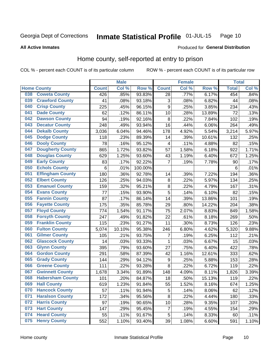#### Inmate Statistical Profile 01-JUL-15 Page 10

**All Active Inmates** 

## Produced for General Distribution

# Home county, self-reported at entry to prison

COL % - percent each COUNT is of its particular column

|     |                         |              | <b>Male</b> |                  |                | <b>Female</b> |                  | <b>Total</b> |       |
|-----|-------------------------|--------------|-------------|------------------|----------------|---------------|------------------|--------------|-------|
|     | <b>Home County</b>      | <b>Count</b> | Col %       | Row <sup>%</sup> | <b>Count</b>   | Col %         | Row <sup>%</sup> | <b>Total</b> | Col % |
| 038 | <b>Coweta County</b>    | 426          | .85%        | 93.83%           | 28             | .77%          | 6.17%            | 454          | .84%  |
| 039 | <b>Crawford County</b>  | 41           | .08%        | 93.18%           | 3              | .08%          | 6.82%            | 44           | .08%  |
| 040 | <b>Crisp County</b>     | 225          | .45%        | 96.15%           | 9              | .25%          | 3.85%            | 234          | .43%  |
| 041 | <b>Dade County</b>      | 62           | .12%        | 86.11%           | 10             | .28%          | 13.89%           | 72           | .13%  |
| 042 | <b>Dawson County</b>    | 94           | .19%        | 92.16%           | 8              | .22%          | 7.84%            | 102          | .19%  |
| 043 | <b>Decatur County</b>   | 248          | .49%        | 93.94%           | 16             | .44%          | 6.06%            | 264          | .49%  |
| 044 | <b>Dekalb County</b>    | 3,036        | 6.04%       | 94.46%           | 178            | 4.92%         | 5.54%            | 3,214        | 5.97% |
| 045 | <b>Dodge County</b>     | 118          | .23%        | 89.39%           | 14             | .39%          | 10.61%           | 132          | .25%  |
| 046 | <b>Dooly County</b>     | 78           | .16%        | 95.12%           | 4              | .11%          | 4.88%            | 82           | .15%  |
| 047 | <b>Dougherty County</b> | 865          | 1.72%       | 93.82%           | 57             | 1.58%         | 6.18%            | 922          | 1.71% |
| 048 | <b>Douglas County</b>   | 629          | 1.25%       | 93.60%           | 43             | 1.19%         | 6.40%            | 672          | 1.25% |
| 049 | <b>Early County</b>     | 83           | .17%        | 92.22%           | $\overline{7}$ | .19%          | 7.78%            | 90           | .17%  |
| 050 | <b>Echols County</b>    | 6            | .01%        | 100.00%          |                |               |                  | 6            | .01%  |
| 051 | <b>Effingham County</b> | 180          | .36%        | 92.78%           | 14             | .39%          | 7.22%            | 194          | .36%  |
| 052 | <b>Elbert County</b>    | 126          | .25%        | 94.03%           | 8              | .22%          | 5.97%            | 134          | .25%  |
| 053 | <b>Emanuel County</b>   | 159          | .32%        | 95.21%           | 8              | .22%          | 4.79%            | 167          | .31%  |
| 054 | <b>Evans County</b>     | 77           | .15%        | 93.90%           | 5              | .14%          | 6.10%            | 82           | .15%  |
| 055 | <b>Fannin County</b>    | 87           | .17%        | 86.14%           | 14             | .39%          | 13.86%           | 101          | .19%  |
| 056 | <b>Fayette County</b>   | 175          | .35%        | 85.78%           | 29             | .80%          | 14.22%           | 204          | .38%  |
| 057 | <b>Floyd County</b>     | 774          | 1.54%       | 91.17%           | 75             | 2.07%         | 8.83%            | 849          | 1.58% |
| 058 | <b>Forsyth County</b>   | 247          | .49%        | 91.82%           | 22             | .61%          | 8.18%            | 269          | .50%  |
| 059 | <b>Franklin County</b>  | 115          | .23%        | 91.27%           | 11             | .30%          | 8.73%            | 126          | .23%  |
| 060 | <b>Fulton County</b>    | 5,074        | 10.10%      | 95.38%           | 246            | 6.80%         | 4.62%            | 5,320        | 9.88% |
| 061 | <b>Gilmer County</b>    | 105          | .21%        | 93.75%           | 7              | .19%          | 6.25%            | 112          | .21%  |
| 062 | <b>Glascock County</b>  | 14           | .03%        | 93.33%           | $\mathbf{1}$   | .03%          | 6.67%            | 15           | .03%  |
| 063 | <b>Glynn County</b>     | 395          | .79%        | 93.60%           | 27             | .75%          | 6.40%            | 422          | .78%  |
| 064 | <b>Gordon County</b>    | 291          | .58%        | 87.39%           | 42             | 1.16%         | 12.61%           | 333          | .62%  |
| 065 | <b>Grady County</b>     | 144          | .29%        | 94.12%           | 9              | .25%          | 5.88%            | 153          | .28%  |
| 066 | <b>Greene County</b>    | 111          | .22%        | 93.28%           | 8              | .22%          | 6.72%            | 119          | .22%  |
| 067 | <b>Gwinnett County</b>  | 1,678        | 3.34%       | 91.89%           | 148            | 4.09%         | 8.11%            | 1,826        | 3.39% |
| 068 | <b>Habersham County</b> | 101          | .20%        | 84.87%           | 18             | .50%          | 15.13%           | 119          | .22%  |
| 069 | <b>Hall County</b>      | 619          | 1.23%       | 91.84%           | 55             | 1.52%         | 8.16%            | 674          | 1.25% |
| 070 | <b>Hancock County</b>   | 57           | .11%        | 91.94%           | 5              | .14%          | 8.06%            | 62           | .12%  |
| 071 | <b>Haralson County</b>  | 172          | .34%        | 95.56%           | 8              | .22%          | 4.44%            | 180          | .33%  |
| 072 | <b>Harris County</b>    | 97           | .19%        | 90.65%           | 10             | .28%          | 9.35%            | 107          | .20%  |
| 073 | <b>Hart County</b>      | 147          | .29%        | 95.45%           | $\overline{7}$ | .19%          | 4.55%            | 154          | .29%  |
| 074 | <b>Heard County</b>     | 55           | .11%        | 91.67%           | 5              | .14%          | 8.33%            | 60           | .11%  |
| 075 | <b>Henry County</b>     | 552          | 1.10%       | 93.40%           | 39             | 1.08%         | 6.60%            | 591          | 1.10% |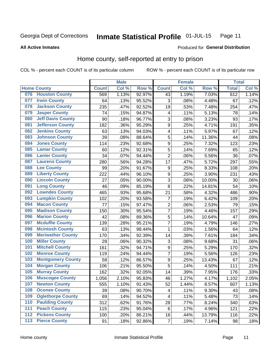#### Inmate Statistical Profile 01-JUL-15 Page 11

**All Active Inmates** 

## Produced for General Distribution

# Home county, self-reported at entry to prison

COL % - percent each COUNT is of its particular column

|                  |                          |              | <b>Male</b> |                  |                         | <b>Female</b> |        | <b>Total</b> |       |
|------------------|--------------------------|--------------|-------------|------------------|-------------------------|---------------|--------|--------------|-------|
|                  | <b>Home County</b>       | <b>Count</b> | Col %       | Row <sup>%</sup> | <b>Count</b>            | Col %         | Row %  | <b>Total</b> | Col % |
| 076              | <b>Houston County</b>    | 569          | 1.13%       | 92.97%           | 43                      | 1.19%         | 7.03%  | 612          | 1.14% |
| 077              | <b>Irwin County</b>      | 64           | .13%        | 95.52%           | 3                       | .08%          | 4.48%  | 67           | .12%  |
| 078              | <b>Jackson County</b>    | 235          | .47%        | 92.52%           | 19                      | .53%          | 7.48%  | 254          | .47%  |
| 079              | <b>Jasper County</b>     | 74           | .15%        | 94.87%           | 4                       | .11%          | 5.13%  | 78           | .14%  |
| 080              | <b>Jeff Davis County</b> | 90           | .18%        | 96.77%           | 3                       | .08%          | 3.23%  | 93           | .17%  |
| 081              | <b>Jefferson County</b>  | 182          | .36%        | 95.29%           | 9                       | .25%          | 4.71%  | 191          | .35%  |
| 082              | <b>Jenkins County</b>    | 63           | .13%        | 94.03%           | $\overline{\mathbf{4}}$ | .11%          | 5.97%  | 67           | .12%  |
| 083              | <b>Johnson County</b>    | 39           | .08%        | 88.64%           | 5                       | .14%          | 11.36% | 44           | .08%  |
| 084              | <b>Jones County</b>      | 114          | .23%        | 92.68%           | 9                       | .25%          | 7.32%  | 123          | .23%  |
| 085              | <b>Lamar County</b>      | 60           | .12%        | 92.31%           | 5                       | .14%          | 7.69%  | 65           | .12%  |
| 086              | <b>Lanier County</b>     | 34           | .07%        | 94.44%           | $\overline{2}$          | .06%          | 5.56%  | 36           | .07%  |
| 087              | <b>Laurens County</b>    | 280          | .56%        | 94.28%           | 17                      | .47%          | 5.72%  | 297          | .55%  |
| 088              | <b>Lee County</b>        | 99           | .20%        | 91.67%           | 9                       | .25%          | 8.33%  | 108          | .20%  |
| 089              | <b>Liberty County</b>    | 222          | .44%        | 96.10%           | 9                       | .25%          | 3.90%  | 231          | .43%  |
| 090              | <b>Lincoln County</b>    | 27           | .05%        | 90.00%           | 3                       | .08%          | 10.00% | 30           | .06%  |
| 091              | <b>Long County</b>       | 46           | .09%        | 85.19%           | 8                       | .22%          | 14.81% | 54           | .10%  |
| 092              | <b>Lowndes County</b>    | 465          | .93%        | 95.68%           | 21                      | .58%          | 4.32%  | 486          | .90%  |
| 093              | <b>Lumpkin County</b>    | 102          | .20%        | 93.58%           | $\overline{7}$          | .19%          | 6.42%  | 109          | .20%  |
| 094              | <b>Macon County</b>      | 77           | .15%        | 97.47%           | $\overline{2}$          | .06%          | 2.53%  | 79           | .15%  |
| 095              | <b>Madison County</b>    | 150          | .30%        | 95.54%           | 7                       | .19%          | 4.46%  | 157          | .29%  |
| 096              | <b>Marion County</b>     | 42           | .08%        | 89.36%           | 5                       | .14%          | 10.64% | 47           | .09%  |
| 097              | <b>Mcduffie County</b>   | 139          | .28%        | 95.21%           | 7                       | .19%          | 4.79%  | 146          | .27%  |
| 098              | <b>Mcintosh County</b>   | 63           | .13%        | 98.44%           | 1                       | .03%          | 1.56%  | 64           | .12%  |
| 099              | <b>Meriwether County</b> | 170          | .34%        | 92.39%           | 14                      | .39%          | 7.61%  | 184          | .34%  |
| 100              | <b>Miller County</b>     | 28           | .06%        | 90.32%           | 3                       | .08%          | 9.68%  | 31           | .06%  |
| 101              | <b>Mitchell County</b>   | 161          | .32%        | 94.71%           | $\boldsymbol{9}$        | .25%          | 5.29%  | 170          | .32%  |
| 102              | <b>Monroe County</b>     | 119          | .24%        | 94.44%           | $\overline{7}$          | .19%          | 5.56%  | 126          | .23%  |
| 103              | <b>Montgomery County</b> | 58           | .12%        | 86.57%           | 9                       | .25%          | 13.43% | 67           | .12%  |
| 104              | <b>Morgan County</b>     | 106          | .21%        | 95.50%           | 5                       | .14%          | 4.50%  | 111          | .21%  |
| 105              | <b>Murray County</b>     | 162          | .32%        | 92.05%           | 14                      | .39%          | 7.95%  | 176          | .33%  |
| 106              | <b>Muscogee County</b>   | 1,056        | 2.10%       | 95.83%           | 46                      | 1.27%         | 4.17%  | 1,102        | 2.05% |
| 107              | <b>Newton County</b>     | 555          | 1.10%       | 91.43%           | 52                      | 1.44%         | 8.57%  | 607          | 1.13% |
| 108              | <b>Oconee County</b>     | 39           | .08%        | 90.70%           | 4                       | .11%          | 9.30%  | 43           | .08%  |
| 109              | <b>Oglethorpe County</b> | 69           | .14%        | 94.52%           | $\overline{\mathbf{4}}$ | .11%          | 5.48%  | 73           | .14%  |
| 110              | <b>Paulding County</b>   | 312          | .62%        | 91.76%           | 28                      | .77%          | 8.24%  | 340          | .63%  |
| 111              | <b>Peach County</b>      | 115          | .23%        | 95.04%           | 6                       | .17%          | 4.96%  | 121          | .22%  |
| $\overline{112}$ | <b>Pickens County</b>    | 100          | .20%        | 86.21%           | 16                      | .44%          | 13.79% | 116          | .22%  |
| 113              | <b>Pierce County</b>     | 91           | .18%        | 92.86%           | $\overline{7}$          | .19%          | 7.14%  | 98           | .18%  |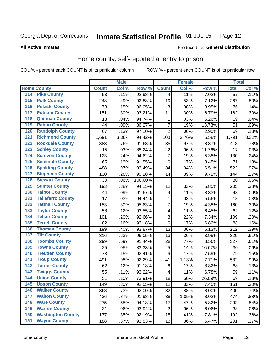#### Inmate Statistical Profile 01-JUL-15 Page 12

## **All Active Inmates**

# Produced for General Distribution

# Home county, self-reported at entry to prison

COL % - percent each COUNT is of its particular column

|                    |                          |              | <b>Male</b> |         |                         | <b>Female</b> |        | <b>Total</b>    |       |
|--------------------|--------------------------|--------------|-------------|---------|-------------------------|---------------|--------|-----------------|-------|
| <b>Home County</b> |                          | <b>Count</b> | Col %       | Row %   | <b>Count</b>            | Col %         | Row %  | <b>Total</b>    | Col % |
| 114                | <b>Pike County</b>       | 53           | .11%        | 92.98%  | 4                       | .11%          | 7.02%  | $\overline{57}$ | .11%  |
| $\overline{115}$   | <b>Polk County</b>       | 248          | .49%        | 92.88%  | 19                      | .53%          | 7.12%  | 267             | .50%  |
| 116                | <b>Pulaski County</b>    | 73           | .15%        | 96.05%  | 3                       | .08%          | 3.95%  | 76              | .14%  |
| 117                | <b>Putnam County</b>     | 151          | .30%        | 93.21%  | 11                      | .30%          | 6.79%  | 162             | .30%  |
| 118                | <b>Quitman County</b>    | 18           | .04%        | 94.74%  | 1                       | .03%          | 5.26%  | 19              | .04%  |
| 119                | <b>Rabun County</b>      | 44           | .09%        | 86.27%  | $\overline{7}$          | .19%          | 13.73% | 51              | .09%  |
| 120                | <b>Randolph County</b>   | 67           | .13%        | 97.10%  | $\overline{2}$          | .06%          | 2.90%  | 69              | .13%  |
| 121                | <b>Richmond County</b>   | 1,691        | 3.36%       | 94.42%  | 100                     | 2.76%         | 5.58%  | 1,791           | 3.32% |
| 122                | <b>Rockdale County</b>   | 383          | .76%        | 91.63%  | 35                      | .97%          | 8.37%  | 418             | .78%  |
| 123                | <b>Schley County</b>     | 15           | .03%        | 88.24%  | $\overline{2}$          | .06%          | 11.76% | 17              | .03%  |
| 124                | <b>Screven County</b>    | 123          | .24%        | 94.62%  | $\overline{7}$          | .19%          | 5.38%  | 130             | .24%  |
| 125                | <b>Seminole County</b>   | 65           | .13%        | 91.55%  | 6                       | .17%          | 8.45%  | 71              | .13%  |
| 126                | <b>Spalding County</b>   | 488          | .97%        | 93.49%  | 34                      | .94%          | 6.51%  | 522             | .97%  |
| 127                | <b>Stephens County</b>   | 130          | .26%        | 90.28%  | 14                      | .39%          | 9.72%  | 144             | .27%  |
| 128                | <b>Stewart County</b>    | 30           | .06%        | 100.00% |                         |               |        | 30              | .06%  |
| 129                | <b>Sumter County</b>     | 193          | .38%        | 94.15%  | 12                      | .33%          | 5.85%  | 205             | .38%  |
| 130                | <b>Talbot County</b>     | 44           | .09%        | 91.67%  | $\overline{\mathbf{4}}$ | .11%          | 8.33%  | 48              | .09%  |
| 131                | <b>Taliaferro County</b> | 17           | .03%        | 94.44%  | 1                       | .03%          | 5.56%  | 18              | .03%  |
| 132                | <b>Tattnall County</b>   | 153          | .30%        | 95.63%  | $\overline{7}$          | .19%          | 4.38%  | 160             | .30%  |
| 133                | <b>Taylor County</b>     | 58           | .12%        | 93.55%  | 4                       | .11%          | 6.45%  | 62              | .12%  |
| 134                | <b>Telfair County</b>    | 101          | .20%        | 92.66%  | 8                       | .22%          | 7.34%  | 109             | .20%  |
| 135                | <b>Terrell County</b>    | 82           | .16%        | 93.18%  | 6                       | .17%          | 6.82%  | 88              | .16%  |
| 136                | <b>Thomas County</b>     | 199          | .40%        | 93.87%  | 13                      | .36%          | 6.13%  | 212             | .39%  |
| 137                | <b>Tift County</b>       | 316          | .63%        | 96.05%  | 13                      | .36%          | 3.95%  | 329             | .61%  |
| 138                | <b>Toombs County</b>     | 299          | .59%        | 91.44%  | 28                      | .77%          | 8.56%  | 327             | .61%  |
| 139                | <b>Towns County</b>      | 25           | .05%        | 83.33%  | 5                       | .14%          | 16.67% | 30              | .06%  |
| 140                | <b>Treutlen County</b>   | 73           | .15%        | 92.41%  | 6                       | .17%          | 7.59%  | 79              | .15%  |
| 141                | <b>Troup County</b>      | 491          | .98%        | 92.29%  | 41                      | 1.13%         | 7.71%  | 532             | .99%  |
| 142                | <b>Turner County</b>     | 62           | .12%        | 91.18%  | 6                       | .17%          | 8.82%  | 68              | .13%  |
| 143                | <b>Twiggs County</b>     | 55           | .11%        | 93.22%  | 4                       | .11%          | 6.78%  | 59              | .11%  |
| 144                | <b>Union County</b>      | 51           | .10%        | 73.91%  | 18                      | .50%          | 26.09% | 69              | .13%  |
| 145                | <b>Upson County</b>      | 149          | .30%        | 92.55%  | 12                      | .33%          | 7.45%  | 161             | .30%  |
| 146                | <b>Walker County</b>     | 368          | .73%        | 92.00%  | 32                      | .88%          | 8.00%  | 400             | .74%  |
| 147                | <b>Walton County</b>     | 436          | .87%        | 91.98%  | 38                      | 1.05%         | 8.02%  | 474             | .88%  |
| 148                | <b>Ware County</b>       | 275          | .55%        | 94.18%  | 17                      | .47%          | 5.82%  | 292             | .54%  |
| 149                | <b>Warren County</b>     | 31           | .06%        | 93.94%  | $\overline{2}$          | .06%          | 6.06%  | 33              | .06%  |
| 150                | <b>Washington County</b> | 177          | .35%        | 92.19%  | 15                      | .41%          | 7.81%  | 192             | .36%  |
| 151                | <b>Wayne County</b>      | 188          | .37%        | 93.53%  | 13                      | .36%          | 6.47%  | 201             | .37%  |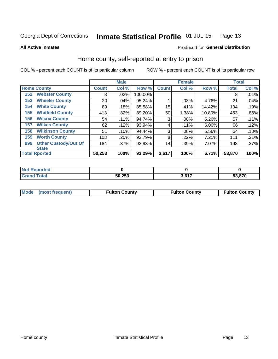#### Inmate Statistical Profile 01-JUL-15 Page 13

## **All Active Inmates**

## Produced for General Distribution

# Home county, self-reported at entry to prison

COL % - percent each COUNT is of its particular column

|     |                             |              | <b>Male</b> |         |              | <b>Female</b> |        | <b>Total</b> |         |
|-----|-----------------------------|--------------|-------------|---------|--------------|---------------|--------|--------------|---------|
|     | <b>Home County</b>          | <b>Count</b> | Col %       | Row %   | <b>Count</b> | Col %         | Row %  | <b>Total</b> | Col %   |
| 152 | <b>Webster County</b>       | 8            | .02%        | 100.00% |              |               |        | 8            | .01%    |
| 153 | <b>Wheeler County</b>       | 20           | .04%        | 95.24%  |              | .03%          | 4.76%  | 21           | .04%    |
| 154 | <b>White County</b>         | 89           | .18%        | 85.58%  | 15           | .41%          | 14.42% | 104          | .19%    |
| 155 | <b>Whitfield County</b>     | 413          | .82%        | 89.20%  | 50           | 1.38%         | 10.80% | 463          | $.86\%$ |
| 156 | <b>Wilcox County</b>        | 54           | .11%        | 94.74%  | 3            | .08%          | 5.26%  | 57           | .11%    |
| 157 | <b>Wilkes County</b>        | 62           | .12%        | 93.94%  | 4            | .11%          | 6.06%  | 66           | .12%    |
| 158 | <b>Wilkinson County</b>     | 51           | .10%        | 94.44%  | 3            | .08%          | 5.56%  | 54           | .10%    |
| 159 | <b>Worth County</b>         | 103          | .20%        | 92.79%  | 8            | .22%          | 7.21%  | 111          | .21%    |
| 999 | <b>Other Custody/Out Of</b> | 184          | .37%        | 92.93%  | 14           | .39%          | 7.07%  | 198          | .37%    |
|     | <b>State</b>                |              |             |         |              |               |        |              |         |
|     | <b>Total Rported</b>        | 50,253       | 100%        | 93.29%  | 3,617        | 100%          | 6.71%  | 53,870       | 100%    |

| Reported<br><b>NOT</b> |        |      |        |
|------------------------|--------|------|--------|
| <b>otal</b>            | 50,253 | 2017 | 53,870 |

| Mode (most frequent) | <b>Fulton County</b> | <b>Fulton County</b> | <b>Fulton County</b> |
|----------------------|----------------------|----------------------|----------------------|
|                      |                      |                      |                      |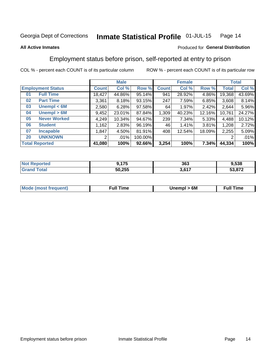#### Inmate Statistical Profile 01-JUL-15 Page 14

## **All Active Inmates**

## Produced for General Distribution

# Employment status before prison, self-reported at entry to prison

COL % - percent each COUNT is of its particular column

|                           |              | <b>Male</b> |         |              | <b>Female</b> |        |        | <b>Total</b> |
|---------------------------|--------------|-------------|---------|--------------|---------------|--------|--------|--------------|
| <b>Employment Status</b>  | <b>Count</b> | Col %       | Row %   | <b>Count</b> | Col %         | Row %  | Total  | Col %        |
| <b>Full Time</b><br>01    | 18,427       | 44.86%      | 95.14%  | 941          | 28.92%        | 4.86%  | 19,368 | 43.69%       |
| <b>Part Time</b><br>02    | 3,361        | 8.18%       | 93.15%  | 247          | 7.59%         | 6.85%  | 3,608  | 8.14%        |
| Unempl $<$ 6M<br>03       | 2,580        | 6.28%       | 97.58%  | 64           | 1.97%         | 2.42%  | 2,644  | 5.96%        |
| Unempl > 6M<br>04         | 9,452        | 23.01%      | 87.84%  | 1,309        | 40.23%        | 12.16% | 10,761 | 24.27%       |
| <b>Never Worked</b><br>05 | 4,249        | 10.34%      | 94.67%  | 239          | 7.34%         | 5.33%  | 4,488  | 10.12%       |
| <b>Student</b><br>06      | ,162         | 2.83%       | 96.19%  | 46           | 1.41%         | 3.81%  | 1,208  | 2.72%        |
| 07<br><b>Incapable</b>    | .847         | 4.50%       | 81.91%  | 408          | 12.54%        | 18.09% | 2,255  | 5.09%        |
| <b>UNKNOWN</b><br>20      | 2            | .01%        | 100.00% |              |               |        | 2      | .01%         |
| <b>Total Reported</b>     | 41,080       | 100%        | 92.66%  | 3,254        | 100%          | 7.34%  | 44,334 | 100%         |

| <b>Not Reported</b> | 9,175  | 363   | 9,538  |
|---------------------|--------|-------|--------|
| <b>Grand Total</b>  | 50,255 | 3,617 | 53,872 |

| <b>Mode (most frequent)</b> | Unempl > 6M | <b>Full Time</b> |
|-----------------------------|-------------|------------------|
|                             |             |                  |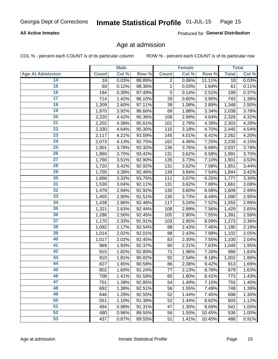## **All Active Inmates**

Produced for General Distribution

# Age at admission

COL % - percent each COUNT is of its particular column

|                         |              | <b>Male</b> |        |                | <b>Female</b> |        |              | <b>Total</b> |
|-------------------------|--------------|-------------|--------|----------------|---------------|--------|--------------|--------------|
| <b>Age At Admission</b> | <b>Count</b> | Col %       | Row %  | <b>Count</b>   | Col %         | Row %  | <b>Total</b> | Col %        |
| 14                      | 16           | 0.03%       | 88.89% | $\overline{2}$ | 0.06%         | 11.11% | 18           | 0.03%        |
| $\overline{15}$         | 60           | 0.12%       | 98.36% | 1              | 0.03%         | 1.64%  | 61           | 0.11%        |
| 16                      | 194          | 0.39%       | 97.49% | 5              | 0.14%         | 2.51%  | 199          | 0.37%        |
| $\overline{17}$         | 714          | 1.42%       | 96.10% | 29             | 0.80%         | 3.90%  | 743          | 1.38%        |
| $\overline{18}$         | 1,309        | 2.60%       | 97.11% | 39             | 1.08%         | 2.89%  | 1,348        | 2.50%        |
| 19                      | 1,970        | 3.92%       | 96.66% | 68             | 1.88%         | 3.34%  | 2,038        | 3.78%        |
| 20                      | 2,220        | 4.42%       | 95.36% | 108            | 2.99%         | 4.64%  | 2,328        | 4.32%        |
| $\overline{21}$         | 2,202        | 4.38%       | 95.61% | 101            | 2.79%         | 4.39%  | 2,303        | 4.28%        |
| $\overline{22}$         | 2,330        | 4.64%       | 95.30% | 115            | 3.18%         | 4.70%  | 2,445        | 4.54%        |
| 23                      | 2,117        | 4.21%       | 93.59% | 145            | 4.01%         | 6.41%  | 2,262        | 4.20%        |
| 24                      | 2,073        | 4.13%       | 92.75% | 162            | 4.48%         | 7.25%  | 2,235        | 4.15%        |
| $\overline{25}$         | 1,901        | 3.78%       | 93.32% | 136            | 3.76%         | 6.68%  | 2,037        | 3.78%        |
| $\overline{26}$         | 1,860        | 3.70%       | 93.42% | 131            | 3.62%         | 6.58%  | 1,991        | 3.70%        |
| $\overline{27}$         | 1,766        | 3.51%       | 92.90% | 135            | 3.73%         | 7.10%  | 1,901        | 3.53%        |
| 28                      | 1,720        | 3.42%       | 92.92% | 131            | 3.62%         | 7.08%  | 1,851        | 3.44%        |
| 29                      | 1,705        | 3.39%       | 92.46% | 139            | 3.84%         | 7.54%  | 1,844        | 3.42%        |
| 30                      | 1,666        | 3.32%       | 93.75% | 111            | 3.07%         | 6.25%  | 1,777        | 3.30%        |
| 31                      | 1,530        | 3.04%       | 92.11% | 131            | 3.62%         | 7.89%  | 1,661        | 3.08%        |
| 32                      | 1,479        | 2.94%       | 91.92% | 130            | 3.60%         | 8.08%  | 1,609        | 2.99%        |
| 33                      | 1,455        | 2.90%       | 91.51% | 135            | 3.73%         | 8.49%  | 1,590        | 2.95%        |
| 34                      | 1,438        | 2.86%       | 92.48% | 117            | 3.24%         | 7.52%  | 1,555        | 2.89%        |
| 35                      | 1,321        | 2.63%       | 92.44% | 108            | 2.99%         | 7.56%  | 1,429        | 2.65%        |
| 36                      | 1,286        | 2.56%       | 92.45% | 105            | 2.90%         | 7.55%  | 1,391        | 2.58%        |
| $\overline{37}$         | 1,170        | 2.33%       | 91.91% | 103            | 2.85%         | 8.09%  | 1,273        | 2.36%        |
| 38                      | 1,092        | 2.17%       | 92.54% | 88             | 2.43%         | 7.46%  | 1,180        | 2.19%        |
| 39                      | 1,014        | 2.02%       | 92.01% | 88             | 2.43%         | 7.99%  | 1,102        | 2.05%        |
| 40                      | 1,017        | 2.02%       | 92.45% | 83             | 2.30%         | 7.55%  | 1,100        | 2.04%        |
| 41                      | 969          | 1.93%       | 92.37% | 80             | 2.21%         | 7.63%  | 1,049        | 1.95%        |
| 42                      | 915          | 1.82%       | 92.80% | 71             | 1.96%         | 7.20%  | 986          | 1.83%        |
| 43                      | 910          | 1.81%       | 90.82% | 92             | 2.54%         | 9.18%  | 1,002        | 1.86%        |
| 44                      | 827          | 1.65%       | 90.58% | 86             | 2.38%         | 9.42%  | 913          | 1.69%        |
| 45                      | 802          | 1.60%       | 91.24% | 77             | 2.13%         | 8.76%  | 879          | 1.63%        |
| 46                      | 708          | 1.41%       | 91.59% | 65             | 1.80%         | 8.41%  | 773          | 1.43%        |
| 47                      | 701          | 1.39%       | 92.85% | 54             | 1.49%         | 7.15%  | 755          | 1.40%        |
| 48                      | 692          | 1.38%       | 92.51% | 56             | 1.55%         | 7.49%  | 748          | 1.39%        |
| 49                      | 646          | 1.29%       | 92.55% | 52             | 1.44%         | 7.45%  | 698          | 1.30%        |
| 50                      | 551          | 1.10%       | 91.38% | 52             | 1.44%         | 8.62%  | 603          | 1.12%        |
| 51                      | 494          | 0.98%       | 91.31% | 47             | 1.30%         | 8.69%  | 541          | 1.00%        |
| 52                      | 480          | 0.96%       | 89.55% | 56             | 1.55%         | 10.45% | 536          | 1.00%        |
| 53                      | 437          | 0.87%       | 89.55% | 51             | 1.41%         | 10.45% | 488          | 0.91%        |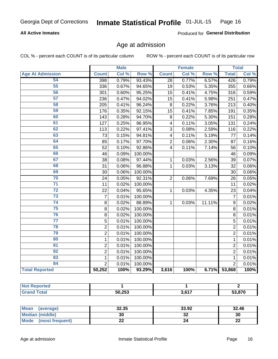## **All Active Inmates**

Produced for General Distribution

# Age at admission

COL % - percent each COUNT is of its particular column

|                         |                | <b>Male</b> |         |                         | <b>Female</b> |        |                 | <b>Total</b> |
|-------------------------|----------------|-------------|---------|-------------------------|---------------|--------|-----------------|--------------|
| <b>Age At Admission</b> | <b>Count</b>   | Col %       | Row %   | <b>Count</b>            | Col %         | Row %  | <b>Total</b>    | Col %        |
| 54                      | 398            | 0.79%       | 93.43%  | 28                      | 0.77%         | 6.57%  | 426             | 0.79%        |
| 55                      | 336            | 0.67%       | 94.65%  | 19                      | 0.53%         | 5.35%  | 355             | 0.66%        |
| 56                      | 301            | 0.60%       | 95.25%  | 15                      | 0.41%         | 4.75%  | 316             | 0.59%        |
| $\overline{57}$         | 236            | 0.47%       | 94.02%  | 15                      | 0.41%         | 5.98%  | 251             | 0.47%        |
| 58                      | 205            | 0.41%       | 96.24%  | 8                       | 0.22%         | 3.76%  | 213             | 0.40%        |
| 59                      | 176            | 0.35%       | 92.15%  | 15                      | 0.41%         | 7.85%  | 191             | 0.35%        |
| 60                      | 143            | 0.28%       | 94.70%  | 8                       | 0.22%         | 5.30%  | 151             | 0.28%        |
| 61                      | 127            | 0.25%       | 96.95%  | $\overline{\mathbf{4}}$ | 0.11%         | 3.05%  | 131             | 0.24%        |
| 62                      | 113            | 0.22%       | 97.41%  | $\overline{3}$          | 0.08%         | 2.59%  | 116             | 0.22%        |
| 63                      | 73             | 0.15%       | 94.81%  | $\overline{\mathbf{4}}$ | 0.11%         | 5.19%  | 77              | 0.14%        |
| 64                      | 85             | 0.17%       | 97.70%  | $\overline{2}$          | 0.06%         | 2.30%  | 87              | 0.16%        |
| 65                      | 52             | 0.10%       | 92.86%  | $\overline{\mathbf{4}}$ | 0.11%         | 7.14%  | 56              | 0.10%        |
| 66                      | 46             | 0.09%       | 100.00% |                         |               |        | 46              | 0.09%        |
| 67                      | 38             | 0.08%       | 97.44%  | 1                       | 0.03%         | 2.56%  | 39              | 0.07%        |
| 68                      | 31             | 0.06%       | 96.88%  | 1                       | 0.03%         | 3.13%  | 32              | 0.06%        |
| 69                      | 30             | 0.06%       | 100.00% |                         |               |        | 30              | 0.06%        |
| 70                      | 24             | 0.05%       | 92.31%  | $\overline{2}$          | 0.06%         | 7.69%  | 26              | 0.05%        |
| $\overline{71}$         | 11             | 0.02%       | 100.00% |                         |               |        | $\overline{11}$ | 0.02%        |
| $\overline{72}$         | 22             | 0.04%       | 95.65%  | 1                       | 0.03%         | 4.35%  | 23              | 0.04%        |
| $\overline{73}$         | $\overline{7}$ | 0.01%       | 100.00% |                         |               |        | $\overline{7}$  | 0.01%        |
| 74                      | 8              | 0.02%       | 88.89%  | $\mathbf{1}$            | 0.03%         | 11.11% | 9               | 0.02%        |
| 75                      | 8              | 0.02%       | 100.00% |                         |               |        | 8               | 0.01%        |
| 76                      | 8              | 0.02%       | 100.00% |                         |               |        | 8               | 0.01%        |
| $\overline{77}$         | 5              | 0.01%       | 100.00% |                         |               |        | 5               | 0.01%        |
| 78                      | $\overline{2}$ | 0.01%       | 100.00% |                         |               |        | $\overline{2}$  | 0.01%        |
| 79                      | $\overline{2}$ | 0.01%       | 100.00% |                         |               |        | $\overline{2}$  | 0.01%        |
| 80                      | $\mathbf{1}$   | 0.01%       | 100.00% |                         |               |        | $\mathbf{1}$    | 0.01%        |
| $\overline{81}$         | $\overline{2}$ | 0.01%       | 100.00% |                         |               |        | $\overline{2}$  | 0.01%        |
| $\overline{82}$         | $\overline{2}$ | 0.01%       | 100.00% |                         |               |        | $\overline{2}$  | 0.01%        |
| 83                      | 1              | 0.01%       | 100.00% |                         |               |        | $\mathbf{1}$    | 0.01%        |
| 84                      | $\overline{2}$ | 0.01%       | 100.00% |                         |               |        | $\overline{2}$  | 0.01%        |
| <b>Total Reported</b>   | 50,252         | 100%        | 93.29%  | 3,616                   | 100%          | 6.71%  | 53,868          | 100%         |

| <b>Not Reported</b> |        |       |        |
|---------------------|--------|-------|--------|
| <b>Total</b>        | 50,253 | 3,617 | 53,870 |

| Mean (average)          | 32.35 | 33.92   | 32.46    |
|-------------------------|-------|---------|----------|
| <b>Median (middle)</b>  | 30    | ^^<br>◡ | 30       |
| Mode<br>(most frequent) | ∸∸    | 24      | ጣጣ<br>LL |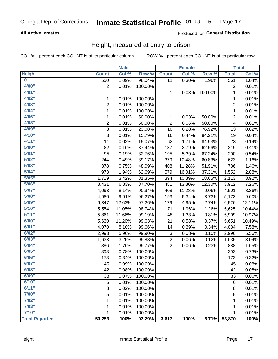## **All Active Inmates**

## Produced for General Distribution

# Height, measured at entry to prison

COL % - percent each COUNT is of its particular column

|                         |                | <b>Male</b> |         |                | <b>Female</b> |         |                | <b>Total</b> |
|-------------------------|----------------|-------------|---------|----------------|---------------|---------|----------------|--------------|
| <b>Height</b>           | <b>Count</b>   | Col %       | Row %   | <b>Count</b>   | Col %         | Row %   | <b>Total</b>   | Col %        |
| $\overline{\mathbf{0}}$ | 550            | 1.09%       | 98.04%  | 11             | 0.30%         | 1.96%   | 561            | 1.04%        |
| 4'00"                   | $\overline{2}$ | 0.01%       | 100.00% |                |               |         | 2              | 0.01%        |
| 4'01''                  |                |             |         | $\mathbf 1$    | 0.03%         | 100.00% | 1              | 0.01%        |
| 4'02"                   | 1              | 0.01%       | 100.00% |                |               |         | 1              | 0.01%        |
| 4'03''                  | $\overline{2}$ | 0.01%       | 100.00% |                |               |         | $\overline{2}$ | 0.01%        |
| 4'04"                   | $\mathbf{1}$   | 0.01%       | 100.00% |                |               |         | 1              | 0.01%        |
| 4'06"                   | 1              | 0.01%       | 50.00%  | 1              | 0.03%         | 50.00%  | 2              | 0.01%        |
| 4'08"                   | $\overline{2}$ | 0.01%       | 50.00%  | $\overline{2}$ | 0.06%         | 50.00%  | 4              | 0.01%        |
| 4'09"                   | 3              | 0.01%       | 23.08%  | 10             | 0.28%         | 76.92%  | 13             | 0.02%        |
| 4'10"                   | 3              | 0.01%       | 15.79%  | 16             | 0.44%         | 84.21%  | 19             | 0.04%        |
| 4'11''                  | 11             | 0.02%       | 15.07%  | 62             | 1.71%         | 84.93%  | 73             | 0.14%        |
| 5'00''                  | 82             | 0.16%       | 37.44%  | 137            | 3.79%         | 62.56%  | 219            | 0.41%        |
| 5'01''                  | 95             | 0.19%       | 32.76%  | 195            | 5.39%         | 67.24%  | 290            | 0.54%        |
| 5'02"                   | 244            | 0.49%       | 39.17%  | 379            | 10.48%        | 60.83%  | 623            | 1.16%        |
| 5'03''                  | 378            | 0.75%       | 48.09%  | 408            | 11.28%        | 51.91%  | 786            | 1.46%        |
| 5'04"                   | 973            | 1.94%       | 62.69%  | 579            | 16.01%        | 37.31%  | 1,552          | 2.88%        |
| 5'05"                   | 1,719          | 3.42%       | 81.35%  | 394            | 10.89%        | 18.65%  | 2,113          | 3.92%        |
| 5'06''                  | 3,431          | 6.83%       | 87.70%  | 481            | 13.30%        | 12.30%  | 3,912          | 7.26%        |
| 5'07''                  | 4,093          | 8.14%       | 90.94%  | 408            | 11.28%        | 9.06%   | 4,501          | 8.36%        |
| 5'08''                  | 4,980          | 9.91%       | 96.27%  | 193            | 5.34%         | 3.73%   | 5,173          | 9.60%        |
| 5'09''                  | 6,347          | 12.63%      | 97.26%  | 179            | 4.95%         | 2.74%   | 6,526          | 12.11%       |
| 5'10''                  | 5,554          | 11.05%      | 98.74%  | 71             | 1.96%         | 1.26%   | 5,625          | 10.44%       |
| 5'11"                   | 5,861          | 11.66%      | 99.19%  | 48             | 1.33%         | 0.81%   | 5,909          | 10.97%       |
| 6'00''                  | 5,630          | 11.20%      | 99.63%  | 21             | 0.58%         | 0.37%   | 5,651          | 10.49%       |
| 6'01''                  | 4,070          | 8.10%       | 99.66%  | 14             | 0.39%         | 0.34%   | 4,084          | 7.58%        |
| 6'02"                   | 2,993          | 5.96%       | 99.90%  | 3              | 0.08%         | 0.10%   | 2,996          | 5.56%        |
| 6'03''                  | 1,633          | 3.25%       | 99.88%  | $\overline{c}$ | 0.06%         | 0.12%   | 1,635          | 3.04%        |
| 6'04"                   | 886            | 1.76%       | 99.77%  | $\overline{2}$ | 0.06%         | 0.23%   | 888            | 1.65%        |
| 6'05"                   | 393            | 0.78%       | 100.00% |                |               |         | 393            | 0.73%        |
| 6'06''                  | 173            | 0.34%       | 100.00% |                |               |         | 173            | 0.32%        |
| 6'07''                  | 45             | 0.09%       | 100.00% |                |               |         | 45             | 0.08%        |
| 6'08"                   | 42             | 0.08%       | 100.00% |                |               |         | 42             | 0.08%        |
| 6'09''                  | 33             | 0.07%       | 100.00% |                |               |         | 33             | 0.06%        |
| 6'10''                  | 6              | 0.01%       | 100.00% |                |               |         | 6              | 0.01%        |
| 6'11''                  | 8              | 0.02%       | 100.00% |                |               |         | 8              | 0.01%        |
| 7'00"                   | 5              | 0.01%       | 100.00% |                |               |         | 5              | 0.01%        |
| 7'02"                   | 1              | 0.01%       | 100.00% |                |               |         | 1              | 0.01%        |
| 7'03''                  | 1              | 0.01%       | 100.00% |                |               |         | 1              | 0.01%        |
| 7'10''                  | 1              | 0.01%       | 100.00% |                |               |         | 1              | 0.01%        |
| <b>Total Reported</b>   | 50,253         | 100%        | 93.29%  | 3,617          | 100%          | 6.71%   | 53,870         | 100%         |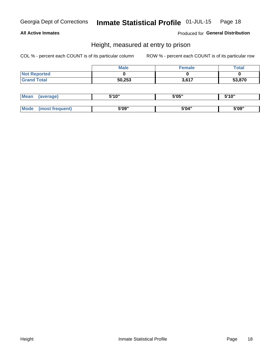## **All Active Inmates**

Produced for General Distribution

# Height, measured at entry to prison

COL % - percent each COUNT is of its particular column

|                     | <b>Male</b> | Female | Total  |
|---------------------|-------------|--------|--------|
| <b>Not Reported</b> |             |        |        |
| <b>Grand Total</b>  | 50,253      | 3,617  | 53,870 |

| <b>Mean</b> | erage) | 5'10" | 5'05" | <b>CIA AIL</b><br>. . |
|-------------|--------|-------|-------|-----------------------|
|             |        |       |       |                       |
| <b>Mode</b> |        | 5'09" | 5'04" | 5'09"                 |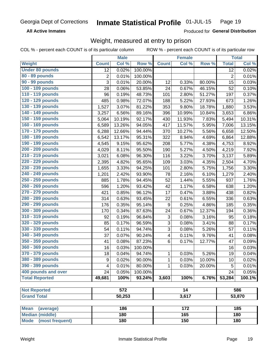**All Active Inmates** 

Produced for General Distribution

# Weight, measured at entry to prison

COL % - percent each COUNT is of its particular column

|                          |              | <b>Male</b> |         |                         | <b>Female</b>    |        |                | <b>Total</b> |
|--------------------------|--------------|-------------|---------|-------------------------|------------------|--------|----------------|--------------|
| Weight                   | <b>Count</b> | Col %       | Row %   | <b>Count</b>            | Col %            | Row %  | <b>Total</b>   | Col %        |
| <b>Under 80 pounds</b>   | 12           | 0.02%       | 100.00% |                         |                  |        | 12             | 0.02%        |
| 80 - 89 pounds           | $\mathbf 2$  | 0.01%       | 100.00% |                         |                  |        | $\overline{2}$ | 0.01%        |
| 90 - 99 pounds           | 3            | 0.01%       | 20.00%  | 12                      | 0.33%            | 80.00% | 15             | 0.03%        |
| 100 - 109 pounds         | 28           | 0.06%       | 53.85%  | 24                      | 0.67%            | 46.15% | 52             | 0.10%        |
| 110 - 119 pounds         | 96           | 0.19%       | 48.73%  | 101                     | 2.80%            | 51.27% | 197            | 0.37%        |
| 120 - 129 pounds         | 485          | 0.98%       | 72.07%  | 188                     | 5.22%            | 27.93% | 673            | 1.26%        |
| 130 - 139 pounds         | 1,527        | 3.07%       | 81.22%  | 353                     | 9.80%            | 18.78% | 1,880          | 3.53%        |
| 140 - 149 pounds         | 3,257        | 6.56%       | 89.16%  | 396                     | 10.99%           | 10.84% | 3,653          | 6.86%        |
| 150 - 159 pounds         | 5,064        | 10.19%      | 92.17%  | 430                     | 11.93%           | 7.83%  | 5,494          | 10.31%       |
| 160 - 169 pounds         | 6,589        | 13.26%      | 94.05%  | $41\overline{7}$        | 11.57%           | 5.95%  | 7,006          | 13.15%       |
| 170 - 179 pounds         | 6,288        | 12.66%      | 94.44%  | 370                     | 10.27%           | 5.56%  | 6,658          | 12.50%       |
| 180 - 189 pounds         | 6,542        | 13.17%      | 95.31%  | 322                     | 8.94%            | 4.69%  | 6,864          | 12.88%       |
| 190 - 199 pounds         | 4,545        | 9.15%       | 95.62%  | 208                     | 5.77%            | 4.38%  | 4,753          | 8.92%        |
| 200 - 209 pounds         | 4,029        | 8.11%       | 95.50%  | 190                     | 5.27%            | 4.50%  | 4,219          | 7.92%        |
| 210 - 219 pounds         | 3,021        | 6.08%       | 96.30%  | 116                     | 3.22%            | 3.70%  | 3,137          | 5.89%        |
| 220 - 229 pounds         | 2,395        | 4.82%       | 95.65%  | 109                     | 3.03%            | 4.35%  | 2,504          | 4.70%        |
| 230 - 239 pounds         | 1,655        | 3.33%       | 94.25%  | 101                     | 2.80%            | 5.75%  | 1,756          | 3.30%        |
| 240 - 249 pounds         | 1,201        | 2.42%       | 93.90%  | 78                      | 2.16%            | 6.10%  | 1,279          | 2.40%        |
| 250 - 259 pounds         | 885          | 1.78%       | 94.45%  | 52                      | 1.44%            | 5.55%  | 937            | 1.76%        |
| 260 - 269 pounds         | 596          | 1.20%       | 93.42%  | 42                      | 1.17%            | 6.58%  | 638            | 1.20%        |
| 270 - 279 pounds         | 421          | 0.85%       | 96.12%  | 17                      | 0.47%            | 3.88%  | 438            | 0.82%        |
| 280 - 289 pounds         | 314          | 0.63%       | 93.45%  | 22                      | 0.61%            | 6.55%  | 336            | 0.63%        |
| 290 - 299 pounds         | 176          | 0.35%       | 95.14%  | 9                       | 0.25%            | 4.86%  | 185            | 0.35%        |
| 300 - 309 pounds         | 170          | 0.34%       | 87.63%  | 24                      | 0.67%            | 12.37% | 194            | 0.36%        |
| 310 - 319 pounds         | 92           | 0.19%       | 96.84%  | 3                       | 0.08%            | 3.16%  | 95             | 0.18%        |
| 320 - 329 pounds         | 85           | 0.17%       | 96.59%  | 3                       | 0.08%            | 3.41%  | 88             | 0.17%        |
| 330 - 339 pounds         | 54           | 0.11%       | 94.74%  | 3                       | 0.08%            | 5.26%  | 57             | 0.11%        |
| 340 - 349 pounds         | 37           | 0.07%       | 90.24%  | $\overline{\mathbf{4}}$ | 0.11%            | 9.76%  | 41             | 0.08%        |
| 350 - 359 pounds         | 41           | 0.08%       | 87.23%  | 6                       | 0.17%            | 12.77% | 47             | 0.09%        |
| 360 - 369 pounds         | 16           | 0.03%       | 100.00% |                         |                  |        | 16             | 0.03%        |
| 370 - 379 pounds         | 18           | 0.04%       | 94.74%  | 1                       | 0.03%            | 5.26%  | 19             | 0.04%        |
| 380 - 389 pounds         | 9            | 0.02%       | 90.00%  | 1                       | 0.03%            | 10.00% | 10             | 0.02%        |
| 390 - 399 pounds         | 4            | 0.01%       | 80.00%  | 1                       | 0.03%            | 20.00% | 5              | 0.01%        |
| 400 pounds and over      | 24           | 0.05%       | 100.00% |                         |                  |        | 24             | 0.05%        |
| <b>Total Reported</b>    | 49,681       | 100%        | 93.24%  | 3,603                   | 100%             | 6.76%  | 53,284         | 100.1%       |
|                          |              |             |         |                         |                  |        |                |              |
| <b>Not Reported</b>      |              | 572         |         |                         | $\overline{14}$  |        |                | 586          |
| <b>Grand Total</b>       |              | 50,253      |         |                         | 3,617            |        |                | 53,870       |
|                          |              |             |         |                         |                  |        |                |              |
| <b>Mean</b><br>(average) |              | 186         |         |                         | $\overline{172}$ |        |                | 185          |
| <b>Median (middle)</b>   |              | 180         |         |                         | 165              |        |                | 180          |
| Mode (most frequent)     |              | 180         |         |                         | 150              |        |                | 180          |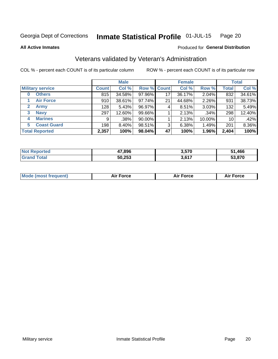#### Inmate Statistical Profile 01-JUL-15 Page 20

**All Active Inmates** 

## Produced for General Distribution

# Veterans validated by Veteran's Administration

COL % - percent each COUNT is of its particular column

|                             | <b>Male</b>  |        |             | <b>Female</b> |        |           | <b>Total</b> |        |
|-----------------------------|--------------|--------|-------------|---------------|--------|-----------|--------------|--------|
| <b>Military service</b>     | <b>Count</b> | Col %  | Row % Count |               | Col %  | Row %     | <b>Total</b> | Col %  |
| <b>Others</b><br>0          | 815          | 34.58% | 97.96%      | 17            | 36.17% | 2.04%     | 832          | 34.61% |
| <b>Air Force</b>            | 910          | 38.61% | 97.74%      | 21            | 44.68% | 2.26%     | 931          | 38.73% |
| $\mathbf{2}$<br><b>Army</b> | 128          | 5.43%  | 96.97%      | 4             | 8.51%  | 3.03%     | 132          | 5.49%  |
| <b>Navy</b><br>3            | 297          | 12.60% | 99.66%      |               | 2.13%  | .34%      | 298          | 12.40% |
| <b>Marines</b><br>4         | 9            | .38%   | 90.00%      |               | 2.13%  | $10.00\%$ | 10           | .42%   |
| <b>Coast Guard</b><br>5.    | 198          | 8.40%  | 98.51%      | 3             | 6.38%  | 1.49%     | 201          | 8.36%  |
| <b>Total Reported</b>       | 2,357        | 100%   | 98.04%      | 47            | 100%   | 1.96%     | 2,404        | 100%   |

| rted<br>NOI | 17.896 | 3,570 | .466   |
|-------------|--------|-------|--------|
|             | 50,253 | 9 G47 | 53.870 |

| <b>Mode (most frequent)</b> | <b>Force</b> | ™∩rra | <b>Force</b><br>- |
|-----------------------------|--------------|-------|-------------------|
|                             |              |       |                   |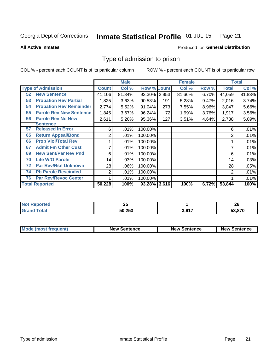#### Inmate Statistical Profile 01-JUL-15 Page 21

**All Active Inmates** 

## Produced for General Distribution

# Type of admission to prison

COL % - percent each COUNT is of its particular column

|    |                                |                | <b>Male</b> |                    |     | <b>Female</b> |       |        | <b>Total</b> |
|----|--------------------------------|----------------|-------------|--------------------|-----|---------------|-------|--------|--------------|
|    | <b>Type of Admission</b>       | <b>Count</b>   | Col %       | <b>Row % Count</b> |     | Col %         | Row % | Total  | Col %        |
| 52 | <b>New Sentence</b>            | 41,106         | 81.84%      | 93.30% 2,953       |     | 81.66%        | 6.70% | 44,059 | 81.83%       |
| 53 | <b>Probation Rev Partial</b>   | 1,825          | 3.63%       | 90.53%             | 191 | 5.28%         | 9.47% | 2,016  | 3.74%        |
| 54 | <b>Probation Rev Remainder</b> | 2,774          | 5.52%       | 91.04%             | 273 | 7.55%         | 8.96% | 3,047  | 5.66%        |
| 55 | <b>Parole Rev New Sentence</b> | 1,845          | 3.67%       | 96.24%             | 72  | 1.99%         | 3.76% | 1,917  | 3.56%        |
| 56 | <b>Parole Rev No New</b>       | 2,611          | 5.20%       | 95.36%             | 127 | 3.51%         | 4.64% | 2,738  | 5.09%        |
|    | <b>Sentence</b>                |                |             |                    |     |               |       |        |              |
| 57 | <b>Released In Error</b>       | 6              | .01%        | 100.00%            |     |               |       | 6      | .01%         |
| 65 | <b>Return Appeal/Bond</b>      | 2              | .01%        | 100.00%            |     |               |       | 2      | .01%         |
| 66 | <b>Prob Viol/Total Rev</b>     |                | .01%        | 100.00%            |     |               |       |        | .01%         |
| 67 | <b>Admit Fm Other Cust</b>     | 7              | .01%        | 100.00%            |     |               |       | ⇁      | .01%         |
| 69 | <b>New Sent/Par Rev Pnd</b>    | 6              | .01%        | 100.00%            |     |               |       | 6      | .01%         |
| 70 | <b>Life W/O Parole</b>         | 14             | .03%        | 100.00%            |     |               |       | 14     | .03%         |
| 72 | <b>Par Rev/Rsn Unknown</b>     | 28             | .06%        | 100.00%            |     |               |       | 28     | .05%         |
| 74 | <b>Pb Parole Rescinded</b>     | $\overline{2}$ | .01%        | 100.00%            |     |               |       | 2      | .01%         |
| 76 | <b>Par Rev/Revoc Center</b>    |                | .01%        | 100.00%            |     |               |       |        | .01%         |
|    | <b>Total Reported</b>          | 50,228         | 100%        | 93.28% 3,616       |     | 100%          | 6.72% | 53,844 | 100%         |

| neo        | nг       |            | nr.    |
|------------|----------|------------|--------|
| <b>NOT</b> | <u>_</u> |            | ZU     |
|            | 50,253   | 647<br>ו ס | 53,870 |

| <b>Mode (most frequent)</b> | <b>New Sentence</b> | <b>New Sentence</b> | <b>New Sentence</b> |
|-----------------------------|---------------------|---------------------|---------------------|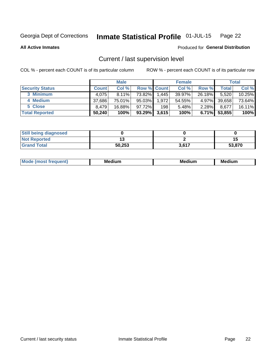#### Inmate Statistical Profile 01-JUL-15 Page 22

**All Active Inmates** 

## Produced for General Distribution

# Current / last supervision level

COL % - percent each COUNT is of its particular column

|                        | <b>Male</b>  |           | <b>Female</b>      |       |        | <b>Total</b> |        |        |
|------------------------|--------------|-----------|--------------------|-------|--------|--------------|--------|--------|
| <b>Security Status</b> | <b>Count</b> | Col %     | <b>Row % Count</b> |       | Col %  | Row %        | Total  | Col %  |
| 3 Minimum              | 4.075        | $8.11\%$  | 73.82%             | 1,445 | 39.97% | 26.18%       | 5,520  | 10.25% |
| 4 Medium               | 37,686       | 75.01%    | $95.03\%$          | 1,972 | 54.55% | 4.97%        | 39,658 | 73.64% |
| 5 Close                | 8.479        | $16.88\%$ | 97.72%             | 198   | 5.48%  | $2.28\%$     | 8,677  | 16.11% |
| <b>Total Reported</b>  | 50,240       | 100%      | $93.29\%$          | 3,615 | 100%   | $6.71\%$     | 53,855 | 100%   |

| <b>Still being diagnosed</b> |        |       |        |
|------------------------------|--------|-------|--------|
| <b>Not Reported</b>          |        |       | -11    |
| <b>Grand Total</b>           | 50,253 | 3,617 | 53,870 |

| M | M | . . |
|---|---|-----|
|   |   |     |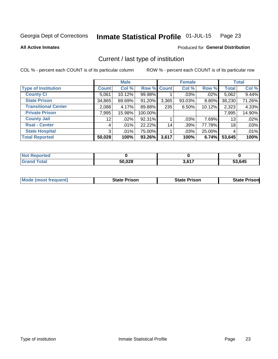#### Inmate Statistical Profile 01-JUL-15 Page 23

**All Active Inmates** 

## Produced for General Distribution

# Current / last type of institution

COL % - percent each COUNT is of its particular column

|                            |                 | <b>Male</b> |             |       | <b>Female</b> |        |              | <b>Total</b> |
|----------------------------|-----------------|-------------|-------------|-------|---------------|--------|--------------|--------------|
| <b>Type of Institution</b> | <b>Count</b>    | Col %       | Row % Count |       | Col %         | Row %  | <b>Total</b> | Col %        |
| <b>County Ci</b>           | 5,061           | 10.12%      | 99.98%      |       | $.03\%$       | .02%   | 5,062        | 9.44%        |
| <b>State Prison</b>        | 34,865          | 69.69%      | 91.20%      | 3,365 | 93.03%        | 8.80%  | 38,230       | 71.26%       |
| <b>Transitional Center</b> | 2,088           | 4.17%       | 89.88%      | 235   | 6.50%         | 10.12% | 2,323        | 4.33%        |
| <b>Private Prison</b>      | 7,995           | 15.98%      | 100.00%     |       |               |        | 7,995        | 14.90%       |
| <b>County Jail</b>         | 12 <sup>°</sup> | .02%        | 92.31%      |       | $.03\%$       | 7.69%  | 13           | .02%         |
| <b>Rsat - Center</b>       | 4               | .01%        | 22.22%      | 14    | .39%          | 77.78% | 18           | .03%         |
| <b>State Hospital</b>      | 3 <sup>1</sup>  | $.01\%$     | 75.00%      |       | .03%          | 25.00% | 4            | .01%         |
| <b>Total Reported</b>      | 50,028          | 100%        | 93.26%      | 3,617 | 100%          | 6.74%  | 53,645       | 100%         |

| ported<br><b>NOT</b> |        |      |               |
|----------------------|--------|------|---------------|
| <b>otal</b>          | 50,028 | 2017 | 53,645<br>33. |

| <b>State Prison</b> | <b>State Prison</b> | State r<br>Prisonl |
|---------------------|---------------------|--------------------|
|                     |                     |                    |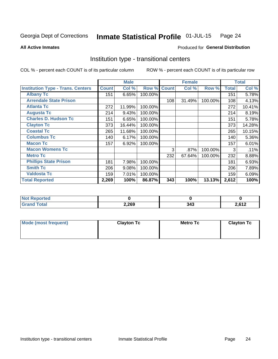#### Inmate Statistical Profile 01-JUL-15 Page 24

**All Active Inmates** 

## Produced for General Distribution

# Institution type - transitional centers

COL % - percent each COUNT is of its particular column

|                                          |              | <b>Male</b> |         |              | <b>Female</b> |         |              | <b>Total</b> |
|------------------------------------------|--------------|-------------|---------|--------------|---------------|---------|--------------|--------------|
| <b>Institution Type - Trans. Centers</b> | <b>Count</b> | Col %       | Row %   | <b>Count</b> | Col %         | Row %   | <b>Total</b> | Col %        |
| <b>Albany Tc</b>                         | 151          | 6.65%       | 100.00% |              |               |         | 151          | 5.78%        |
| <b>Arrendale State Prison</b>            |              |             |         | 108          | 31.49%        | 100.00% | 108          | 4.13%        |
| <b>Atlanta Tc</b>                        | 272          | 11.99%      | 100.00% |              |               |         | 272          | 10.41%       |
| <b>Augusta Tc</b>                        | 214          | 9.43%       | 100.00% |              |               |         | 214          | 8.19%        |
| <b>Charles D. Hudson Tc</b>              | 151          | 6.65%       | 100.00% |              |               |         | 151          | 5.78%        |
| <b>Clayton Tc</b>                        | 373          | 16.44%      | 100.00% |              |               |         | 373          | 14.28%       |
| <b>Coastal Tc</b>                        | 265          | 11.68%      | 100.00% |              |               |         | 265          | 10.15%       |
| <b>Columbus Tc</b>                       | 140          | 6.17%       | 100.00% |              |               |         | 140          | 5.36%        |
| <b>Macon Tc</b>                          | 157          | 6.92%       | 100.00% |              |               |         | 157          | 6.01%        |
| <b>Macon Womens Tc</b>                   |              |             |         | 3            | $.87\%$       | 100.00% | 3            | .11%         |
| <b>Metro Tc</b>                          |              |             |         | 232          | 67.64%        | 100.00% | 232          | 8.88%        |
| <b>Phillips State Prison</b>             | 181          | 7.98%       | 100.00% |              |               |         | 181          | 6.93%        |
| <b>Smith Tc</b>                          | 206          | 9.08%       | 100.00% |              |               |         | 206          | 7.89%        |
| <b>Valdosta Tc</b>                       | 159          | 7.01%       | 100.00% |              |               |         | 159          | 6.09%        |
| <b>Total Reported</b>                    | 2,269        | 100%        | 86.87%  | 343          | 100%          | 13.13%  | 2,612        | 100%         |

| orted<br>$\sim$ |       |     |                                 |
|-----------------|-------|-----|---------------------------------|
| <b>ota</b>      | 2,269 | つれつ | 2.64 <sup>o</sup><br><u>י ג</u> |

| Mode (most frequent) | <b>Clayton Tc</b> | <b>Metro Tc</b> | <b>Clayton Tc</b> |
|----------------------|-------------------|-----------------|-------------------|
|                      |                   |                 |                   |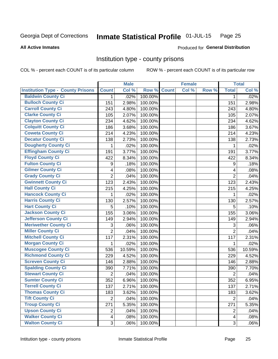#### Inmate Statistical Profile 01-JUL-15 Page 25

**All Active Inmates** 

Produced for General Distribution

## Institution type - county prisons

COL % - percent each COUNT is of its particular column

|                                          |                         | <b>Male</b> |         |              | <b>Female</b> |       |                         | <b>Total</b> |
|------------------------------------------|-------------------------|-------------|---------|--------------|---------------|-------|-------------------------|--------------|
| <b>Institution Type - County Prisons</b> | <b>Count</b>            | Col %       | Row %   | <b>Count</b> | Col %         | Row % | <b>Total</b>            | Col %        |
| <b>Baldwin County Ci</b>                 | $\mathbf{1}$            | .02%        | 100.00% |              |               |       | 1                       | .02%         |
| <b>Bulloch County Ci</b>                 | 151                     | 2.98%       | 100.00% |              |               |       | 151                     | 2.98%        |
| <b>Carroll County Ci</b>                 | 243                     | 4.80%       | 100.00% |              |               |       | 243                     | 4.80%        |
| <b>Clarke County Ci</b>                  | 105                     | 2.07%       | 100.00% |              |               |       | 105                     | 2.07%        |
| <b>Clayton County Ci</b>                 | 234                     | 4.62%       | 100.00% |              |               |       | 234                     | 4.62%        |
| <b>Colquitt County Ci</b>                | 186                     | 3.68%       | 100.00% |              |               |       | 186                     | 3.67%        |
| <b>Coweta County Ci</b>                  | 214                     | 4.23%       | 100.00% |              |               |       | 214                     | 4.23%        |
| <b>Decatur County Ci</b>                 | 138                     | 2.73%       | 100.00% |              |               |       | 138                     | 2.73%        |
| <b>Dougherty County Ci</b>               | 1                       | .02%        | 100.00% |              |               |       | 1                       | .02%         |
| <b>Effingham County Ci</b>               | 191                     | 3.77%       | 100.00% |              |               |       | 191                     | 3.77%        |
| <b>Floyd County Ci</b>                   | 422                     | 8.34%       | 100.00% |              |               |       | 422                     | 8.34%        |
| <b>Fulton County Ci</b>                  | 9                       | .18%        | 100.00% |              |               |       | 9                       | .18%         |
| <b>Gilmer County Ci</b>                  | $\overline{\mathbf{4}}$ | .08%        | 100.00% |              |               |       | 4                       | .08%         |
| <b>Grady County Ci</b>                   | $\overline{2}$          | .04%        | 100.00% |              |               |       | $\overline{2}$          | .04%         |
| <b>Gwinnett County Ci</b>                | 123                     | 2.43%       | 100.00% |              |               |       | 123                     | 2.43%        |
| <b>Hall County Ci</b>                    | 215                     | 4.25%       | 100.00% |              |               |       | 215                     | 4.25%        |
| <b>Hancock County Ci</b>                 | 1                       | .02%        | 100.00% |              |               |       | 1                       | .02%         |
| <b>Harris County Ci</b>                  | 130                     | 2.57%       | 100.00% |              |               |       | 130                     | 2.57%        |
| <b>Hart County Ci</b>                    | 5                       | .10%        | 100.00% |              |               |       | 5                       | .10%         |
| <b>Jackson County Ci</b>                 | 155                     | 3.06%       | 100.00% |              |               |       | 155                     | 3.06%        |
| <b>Jefferson County Ci</b>               | 149                     | 2.94%       | 100.00% |              |               |       | 149                     | 2.94%        |
| <b>Meriwether County Ci</b>              | 3                       | .06%        | 100.00% |              |               |       | 3                       | .06%         |
| <b>Miller County Ci</b>                  | $\overline{2}$          | .04%        | 100.00% |              |               |       | $\overline{2}$          | .04%         |
| <b>Mitchell County Ci</b>                | 117                     | 2.31%       | 100.00% |              |               |       | 117                     | 2.31%        |
| <b>Morgan County Ci</b>                  | 1                       | .02%        | 100.00% |              |               |       | 1                       | .02%         |
| <b>Muscogee County Ci</b>                | 536                     | 10.59%      | 100.00% |              |               |       | 536                     | 10.59%       |
| <b>Richmond County Ci</b>                | 229                     | 4.52%       | 100.00% |              |               |       | 229                     | 4.52%        |
| <b>Screven County Ci</b>                 | 146                     | 2.88%       | 100.00% |              |               |       | 146                     | 2.88%        |
| <b>Spalding County Ci</b>                | 390                     | 7.71%       | 100.00% |              |               |       | 390                     | 7.70%        |
| <b>Stewart County Ci</b>                 | $\overline{2}$          | .04%        | 100.00% |              |               |       | $\overline{2}$          | .04%         |
| <b>Sumter County Ci</b>                  | 352                     | 6.96%       | 100.00% |              |               |       | 352                     | 6.95%        |
| <b>Terrell County Ci</b>                 | 137                     | 2.71%       | 100.00% |              |               |       | 137                     | 2.71%        |
| <b>Thomas County Ci</b>                  | 183                     | 3.62%       | 100.00% |              |               |       | 183                     | 3.62%        |
| <b>Tift County Ci</b>                    | $\overline{2}$          | .04%        | 100.00% |              |               |       | $\overline{2}$          | .04%         |
| <b>Troup County Ci</b>                   | 271                     | 5.35%       | 100.00% |              |               |       | 271                     | 5.35%        |
| <b>Upson County Ci</b>                   | $\overline{2}$          | .04%        | 100.00% |              |               |       | $\overline{2}$          | .04%         |
| <b>Walker County Ci</b>                  | 4                       | .08%        | 100.00% |              |               |       | $\overline{\mathbf{4}}$ | .08%         |
| <b>Walton County Ci</b>                  | $\overline{3}$          | .06%        | 100.00% |              |               |       | 3                       | .06%         |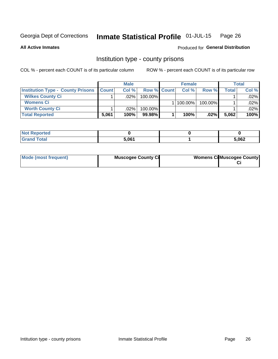#### Inmate Statistical Profile 01-JUL-15 Page 26

**All Active Inmates** 

## Produced for General Distribution

## Institution type - county prisons

COL % - percent each COUNT is of its particular column

|                                          |              | <b>Male</b> |             |  | <b>Female</b> |         | <b>Total</b> |       |
|------------------------------------------|--------------|-------------|-------------|--|---------------|---------|--------------|-------|
| <b>Institution Type - County Prisons</b> | <b>Count</b> | Col%        | Row % Count |  | Col%          | Row %   | Total        | Col % |
| <b>Wilkes County Ci</b>                  |              | $.02\%$     | 100.00%     |  |               |         |              | .02%  |
| <b>Womens Ci</b>                         |              |             |             |  | 100.00%       | 100.00% |              | .02%  |
| <b>Worth County Ci</b>                   |              | $.02\%$     | 100.00%     |  |               |         |              | .02%  |
| <b>Total Reported</b>                    | 5,061        | $100\%$     | 99.98%      |  | 100%          | $.02\%$ | 5,062        | 100%  |

| <u>ica</u><br>. |              |       |
|-----------------|--------------|-------|
| ______          | <b>E</b> ner | 5,062 |

| Mode (most frequent) | <b>Muscogee County Ci</b> | <b>Womens Cil Muscogee County</b> |
|----------------------|---------------------------|-----------------------------------|
|                      |                           |                                   |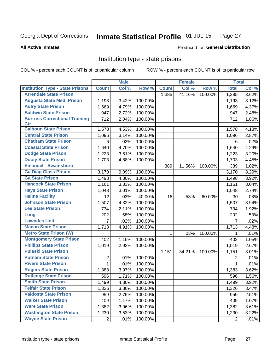#### Inmate Statistical Profile 01-JUL-15 Page 27

#### **All Active Inmates**

## **Produced for General Distribution**

## Institution type - state prisons

COL % - percent each COUNT is of its particular column

|                                         |                | <b>Male</b> |         |              | <b>Female</b> |         | <b>Total</b>   |       |
|-----------------------------------------|----------------|-------------|---------|--------------|---------------|---------|----------------|-------|
| <b>Institution Type - State Prisons</b> | <b>Count</b>   | Col %       | Row %   | <b>Count</b> | Col %         | Row %   | <b>Total</b>   | Col % |
| <b>Arrendale State Prison</b>           |                |             |         | 1,385        | 41.16%        | 100.00% | 1,385          | 3.62% |
| <b>Augusta State Med. Prison</b>        | 1,193          | 3.42%       | 100.00% |              |               |         | 1,193          | 3.12% |
| <b>Autry State Prison</b>               | 1,669          | 4.79%       | 100.00% |              |               |         | 1,669          | 4.37% |
| <b>Baldwin State Prison</b>             | 947            | 2.72%       | 100.00% |              |               |         | 947            | 2.48% |
| <b>Burruss Correctional Training</b>    | 712            | 2.04%       | 100.00% |              |               |         | 712            | 1.86% |
| <b>Ctr</b>                              |                |             |         |              |               |         |                |       |
| <b>Calhoun State Prison</b>             | 1,578          | 4.53%       | 100.00% |              |               |         | 1,578          | 4.13% |
| <b>Central State Prison</b>             | 1,096          | 3.14%       | 100.00% |              |               |         | 1,096          | 2.87% |
| <b>Chatham State Prison</b>             | 6              | .02%        | 100.00% |              |               |         | 6              | .02%  |
| <b>Coastal State Prison</b>             | 1,640          | 4.70%       | 100.00% |              |               |         | 1,640          | 4.29% |
| <b>Dodge State Prison</b>               | 1,223          | 3.51%       | 100.00% |              |               |         | 1,223          | 3.20% |
| <b>Dooly State Prison</b>               | 1,703          | 4.88%       | 100.00% |              |               |         | 1,703          | 4.45% |
| <b>Emanuel - Swainsboro</b>             |                |             |         | 389          | 11.56%        | 100.00% | 389            | 1.02% |
| <b>Ga Diag Class Prison</b>             | 3,170          | 9.09%       | 100.00% |              |               |         | 3,170          | 8.29% |
| <b>Ga State Prison</b>                  | 1,498          | 4.30%       | 100.00% |              |               |         | 1,498          | 3.92% |
| <b>Hancock State Prison</b>             | 1,161          | 3.33%       | 100.00% |              |               |         | 1,161          | 3.04% |
| <b>Hays State Prison</b>                | 1,048          | 3.01%       | 100.00% |              |               |         | 1,048          | 2.74% |
| <b>Helms Facility</b>                   | 12             | .03%        | 40.00%  | 18           | .53%          | 60.00%  | 30             | .08%  |
| <b>Johnson State Prison</b>             | 1,507          | 4.32%       | 100.00% |              |               |         | 1,507          | 3.94% |
| <b>Lee State Prison</b>                 | 734            | 2.11%       | 100.00% |              |               |         | 734            | 1.92% |
| Long                                    | 202            | .58%        | 100.00% |              |               |         | 202            | .53%  |
| <b>Lowndes Unit</b>                     | 7              | .02%        | 100.00% |              |               |         | 7              | .02%  |
| <b>Macon State Prison</b>               | 1,713          | 4.91%       | 100.00% |              |               |         | 1,713          | 4.48% |
| <b>Metro State Prison (W)</b>           |                |             |         | $\mathbf 1$  | .03%          | 100.00% | 1              | .01%  |
| <b>Montgomery State Prison</b>          | 402            | 1.15%       | 100.00% |              |               |         | 402            | 1.05% |
| <b>Phillips State Prison</b>            | 1,019          | 2.92%       | 100.00% |              |               |         | 1,019          | 2.67% |
| <b>Pulaski State Prison</b>             |                |             |         | 1,151        | 34.21%        | 100.00% | 1,151          | 3.01% |
| <b>Putnam State Prison</b>              | $\overline{2}$ | .01%        | 100.00% |              |               |         | 2              | .01%  |
| <b>Rivers State Prison</b>              | $\mathbf{1}$   | .01%        | 100.00% |              |               |         | $\mathbf{1}$   | .01%  |
| <b>Rogers State Prison</b>              | 1,383          | 3.97%       | 100.00% |              |               |         | 1,383          | 3.62% |
| <b>Rutledge State Prison</b>            | 596            | 1.71%       | 100.00% |              |               |         | 596            | 1.56% |
| <b>Smith State Prison</b>               | 1,499          | $4.30\%$    | 100.00% |              |               |         | 1,499          | 3.92% |
| <b>Telfair State Prison</b>             | 1,326          | 3.80%       | 100.00% |              |               |         | 1,326          | 3.47% |
| <b>Valdosta State Prison</b>            | 959            | 2.75%       | 100.00% |              |               |         | 959            | 2.51% |
| <b>Walker State Prison</b>              | 409            | 1.17%       | 100.00% |              |               |         | 409            | 1.07% |
| <b>Ware State Prison</b>                | 1,382          | 3.96%       | 100.00% |              |               |         | 1,382          | 3.61% |
| <b>Washington State Prison</b>          | 1,230          | 3.53%       | 100.00% |              |               |         | 1,230          | 3.22% |
| <b>Wayne State Prison</b>               | $\overline{2}$ | .01%        | 100.00% |              |               |         | $\overline{2}$ | .01%  |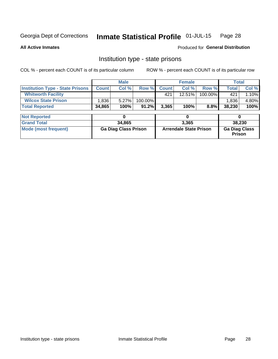#### Inmate Statistical Profile 01-JUL-15 Page 28

#### **All Active Inmates**

## Produced for General Distribution

# Institution type - state prisons

COL % - percent each COUNT is of its particular column

|                                         |              | <b>Male</b>                 |         |                               | <b>Female</b> |         | <b>Total</b>                   |        |  |  |
|-----------------------------------------|--------------|-----------------------------|---------|-------------------------------|---------------|---------|--------------------------------|--------|--|--|
| <b>Institution Type - State Prisons</b> | <b>Count</b> | Col %                       | Row %   | <b>Count</b>                  | Col %         | Row %   | <b>Total</b>                   | Col %  |  |  |
| <b>Whitworth Facility</b>               |              |                             |         | 421                           | 12.51%        | 100.00% | 421                            | 1.10%  |  |  |
| <b>Wilcox State Prison</b>              | 1,836        | 5.27%                       | 100.00% |                               |               |         | 1,836                          | 4.80%  |  |  |
| <b>Total Reported</b>                   | 34,865       | 100%                        | 91.2%   | 3,365                         | 100%          | $8.8\%$ | 38,230                         | 100%   |  |  |
| <b>Not Reported</b>                     |              | 0                           |         |                               | 0             |         |                                | 0      |  |  |
| <b>Grand Total</b>                      |              | 34,865                      |         |                               | 3,365         |         |                                | 38,230 |  |  |
| <b>Mode (most frequent)</b>             |              | <b>Ga Diag Class Prison</b> |         | <b>Arrendale State Prison</b> |               |         | <b>Ga Diag Class</b><br>Prison |        |  |  |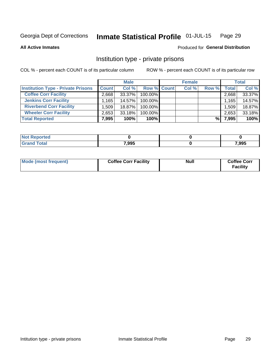#### Inmate Statistical Profile 01-JUL-15 Page 29

#### **All Active Inmates**

## Produced for General Distribution

# Institution type - private prisons

COL % - percent each COUNT is of its particular column

|                                           | <b>Male</b>  |           | <b>Female</b> |  |       | <b>Total</b> |       |        |
|-------------------------------------------|--------------|-----------|---------------|--|-------|--------------|-------|--------|
| <b>Institution Type - Private Prisons</b> | <b>Count</b> | Col%      | Row % Count   |  | Col % | Row %        | Total | Col %  |
| <b>Coffee Corr Facility</b>               | 2,668        | 33.37%    | 100.00%       |  |       |              | 2,668 | 33.37% |
| <b>Jenkins Corr Facility</b>              | 1,165        | 14.57%    | 100.00%       |  |       |              | 1,165 | 14.57% |
| <b>Riverbend Corr Facility</b>            | 1.509        | 18.87%    | 100.00%       |  |       |              | 1,509 | 18.87% |
| <b>Wheeler Corr Facility</b>              | 2,653        | $33.18\%$ | 100.00%       |  |       |              | 2,653 | 33.18% |
| <b>Total Reported</b>                     | 7,995        | 100%      | 100%          |  |       | %।           | 7,995 | 100%   |

| <b>Reported</b><br>∴NO). |       |       |
|--------------------------|-------|-------|
| <b>otal</b>              | 7,995 | 7,995 |

| Mode (most frequent) | <b>Coffee Corr Facility</b> | <b>Null</b> | <b>Coffee Corr</b><br><b>Facility</b> |
|----------------------|-----------------------------|-------------|---------------------------------------|
|----------------------|-----------------------------|-------------|---------------------------------------|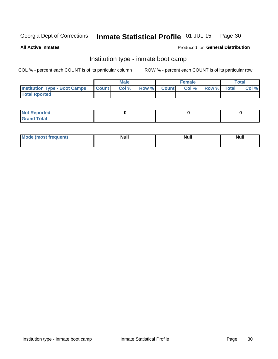#### Inmate Statistical Profile 01-JUL-15 Page 30

**All Active Inmates** 

## Produced for General Distribution

# Institution type - inmate boot camp

COL % - percent each COUNT is of its particular column

|                                      |              | <b>Male</b> |               |              | <b>Female</b> |             | <b>Total</b> |
|--------------------------------------|--------------|-------------|---------------|--------------|---------------|-------------|--------------|
| <b>Institution Type - Boot Camps</b> | <b>Count</b> | Col %       | <b>Row %I</b> | <b>Count</b> | Col %         | Row % Total | Col %        |
| <b>Total Rported</b>                 |              |             |               |              |               |             |              |

| <b>Not Reported</b> |  |  |
|---------------------|--|--|
| <b>Total</b><br>Cro |  |  |

| Mod<br>uamo | Nul.<br>$- - - - - -$ | <b>Null</b> | . .<br>uu.<br>------ |
|-------------|-----------------------|-------------|----------------------|
|             |                       |             |                      |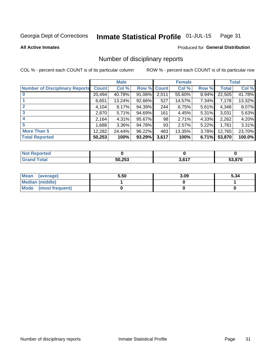#### Inmate Statistical Profile 01-JUL-15 Page 31

**All Active Inmates** 

## Produced for General Distribution

# Number of disciplinary reports

COL % - percent each COUNT is of its particular column

|                                       | <b>Male</b>  |        | <b>Female</b> |       |        | <b>Total</b> |        |        |
|---------------------------------------|--------------|--------|---------------|-------|--------|--------------|--------|--------|
| <b>Number of Disciplinary Reports</b> | <b>Count</b> | Col %  | Row % Count   |       | Col %  | Row %        | Total  | Col %  |
|                                       | 20,494       | 40.78% | 91.06%        | 2,011 | 55.60% | 8.94%        | 22,505 | 41.78% |
|                                       | 6,651        | 13.24% | $92.66\%$     | 527   | 14.57% | 7.34%        | 7,178  | 13.32% |
|                                       | 4,104        | 8.17%  | 94.39%        | 244   | 6.75%  | 5.61%        | 4,348  | 8.07%  |
| 3                                     | 2,870        | 5.71%  | 94.69%        | 161   | 4.45%  | 5.31%        | 3,031  | 5.63%  |
|                                       | 2,164        | 4.31%  | 95.67%        | 98    | 2.71%  | 4.33%        | 2,262  | 4.20%  |
| 5                                     | ,688         | 3.36%  | 94.78%        | 93    | 2.57%  | 5.22%        | 1,781  | 3.31%  |
| <b>More Than 5</b>                    | 12,282       | 24.44% | 96.22%        | 483   | 13.35% | 3.78%        | 12,765 | 23.70% |
| <b>Total Reported</b>                 | 50,253       | 100%   | 93.29%        | 3,617 | 100%   | 6.71%        | 53,870 | 100.0% |

| <b>Not Reported</b> |        |                    |        |
|---------------------|--------|--------------------|--------|
| <b>Total</b>        | 50,253 | 2017<br><b>JUL</b> | 53.870 |

| Mean (average)       | 5.50 | 3.09 | 5.34 |
|----------------------|------|------|------|
| Median (middle)      |      |      |      |
| Mode (most frequent) |      |      |      |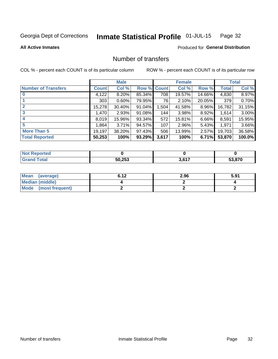#### Inmate Statistical Profile 01-JUL-15 Page 32

**All Active Inmates** 

## **Produced for General Distribution**

# Number of transfers

COL % - percent each COUNT is of its particular column

|                            |              | <b>Male</b> |             |       | <b>Female</b> |          |        | <b>Total</b> |  |
|----------------------------|--------------|-------------|-------------|-------|---------------|----------|--------|--------------|--|
| <b>Number of Transfers</b> | <b>Count</b> | Col %       | Row % Count |       | Col %         | Row %    | Total  | Col %        |  |
| $\bf{0}$                   | 4,122        | 8.20%       | 85.34%      | 708   | 19.57%        | 14.66%   | 4,830  | 8.97%        |  |
|                            | 303          | 0.60%       | 79.95%      | 76    | 2.10%         | 20.05%   | 379    | 0.70%        |  |
| $\mathbf{2}$               | 15,278       | 30.40%      | 91.04%      | 1,504 | 41.58%        | 8.96%    | 16,782 | 31.15%       |  |
| 3                          | 1,470        | 2.93%       | 91.08%      | 144   | 3.98%         | 8.92%    | 1.614  | 3.00%        |  |
| 4                          | 8,019        | 15.96%      | 93.34%      | 572   | 15.81%        | 6.66%    | 8,591  | 15.95%       |  |
| 5                          | .864         | 3.71%       | 94.57%      | 107   | 2.96%         | 5.43%    | 1,971  | 3.66%        |  |
| <b>More Than 5</b>         | 19,197       | 38.20%      | 97.43%      | 506   | 13.99%        | $2.57\%$ | 19,703 | 36.58%       |  |
| <b>Total Reported</b>      | 50,253       | 100%        | 93.29%      | 3,617 | 100%          | 6.71%    | 53,870 | 100.0%       |  |

| Not F<br>Reported |        |      |      |
|-------------------|--------|------|------|
| <b>Total</b>      | 50,253 | 2001 | .870 |

| Mean (average)       | 6.12 | 2.96 | 5.91 |
|----------------------|------|------|------|
| Median (middle)      |      |      |      |
| Mode (most frequent) |      |      |      |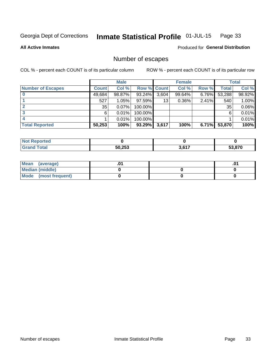#### Inmate Statistical Profile 01-JUL-15 Page 33

**All Active Inmates** 

## **Produced for General Distribution**

# Number of escapes

COL % - percent each COUNT is of its particular column

| <b>Male</b>              |              |        |             | <b>Female</b> | <b>Total</b> |       |        |        |
|--------------------------|--------------|--------|-------------|---------------|--------------|-------|--------|--------|
| <b>Number of Escapes</b> | <b>Count</b> | Col %  | Row % Count |               | Col %        | Row % | Total  | Col %  |
|                          | 49,684       | 98.87% | $93.24\%$   | 3,604         | 99.64%       | 6.76% | 53,288 | 98.92% |
|                          | 527          | 1.05%  | $97.59\%$   | 13            | $0.36\%$     | 2.41% | 540    | 1.00%  |
| 2                        | 35           | 0.07%  | 100.00%     |               |              |       | 35     | 0.06%  |
|                          | 6            | 0.01%  | 100.00%     |               |              |       | 6      | 0.01%  |
|                          |              | 0.01%  | 100.00%     |               |              |       |        | 0.01%  |
| <b>Total Reported</b>    | 50,253       | 100%   | $93.29\%$   | 3,617         | 100%         | 6.71% | 53,870 | 100%   |

| <u>orteo</u> |        |      |        |
|--------------|--------|------|--------|
| Total        | 50.253 | 2017 | 53.870 |

| Mean (average)         |  | .0 |
|------------------------|--|----|
| <b>Median (middle)</b> |  |    |
| Mode (most frequent)   |  |    |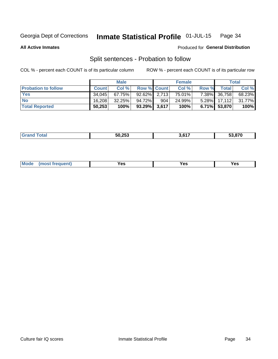#### Inmate Statistical Profile 01-JUL-15 Page 34

**All Active Inmates** 

## Produced for General Distribution

# Split sentences - Probation to follow

COL % - percent each COUNT is of its particular column

|                            | <b>Male</b>  |           |                    | <b>Female</b> |        |       | <b>Total</b>    |        |
|----------------------------|--------------|-----------|--------------------|---------------|--------|-------|-----------------|--------|
| <b>Probation to follow</b> | <b>Count</b> | Col%      | <b>Row % Count</b> |               | Col %  | Row % | Totall          | Col %  |
| <b>Yes</b>                 | 34.045       | 67.75%    | $92.62\%$ 2,713    |               | 75.01% |       | 7.38% 36,758    | 68.23% |
| <b>No</b>                  | 16.208       | $32.25\%$ | 94.72%1            | 904           | 24.99% |       | $5.28\%$ 17,112 | 31.77% |
| <b>Total Reported</b>      | 50,253       | 100%      | $93.29\%$ 3,617    |               | 100%   |       | $6.71\%$ 53,870 | 100%   |

| 50.253 | 0.47<br>י ס.נ | 53.870 |
|--------|---------------|--------|
|        |               |        |

| <b>Mode</b><br>reauent)<br>Yes<br>v.c<br>0٥<br>.<br>. .<br>$\sim$ |
|-------------------------------------------------------------------|
|-------------------------------------------------------------------|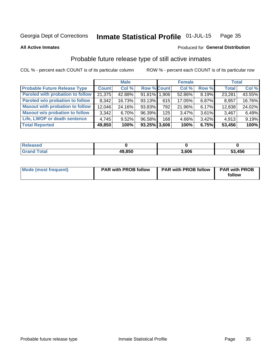#### Inmate Statistical Profile 01-JUL-15 Page 35

**All Active Inmates** 

## Produced for General Distribution

# Probable future release type of still active inmates

COL % - percent each COUNT is of its particular column

|                                         |              | <b>Male</b> |                    |     | <b>Female</b> |          | <b>Total</b> |        |
|-----------------------------------------|--------------|-------------|--------------------|-----|---------------|----------|--------------|--------|
| <b>Probable Future Release Type</b>     | <b>Count</b> | Col %       | <b>Row % Count</b> |     | Col %         | Row %    | <b>Total</b> | Col %  |
| <b>Paroled with probation to follow</b> | 21,375       | 42.88%      | 91.81% 1.906       |     | 52.86%        | 8.19%    | 23,281       | 43.55% |
| Paroled w/o probation to follow         | 8,342        | 16.73%      | 93.13%             | 615 | 17.05%        | 6.87%    | 8,957        | 16.76% |
| <b>Maxout with probation to follow</b>  | 12,046       | 24.16%      | 93.83%             | 792 | 21.96%        | 6.17%    | 12,838       | 24.02% |
| <b>Maxout w/o probation to follow</b>   | 3,342        | 6.70%       | 96.39%             | 125 | 3.47%         | $3.61\%$ | 3,467        | 6.49%  |
| Life, LWOP or death sentence            | 4,745        | 9.52%       | 96.58%             | 168 | 4.66%         | $3.42\%$ | 4,913        | 9.19%  |
| <b>Total Reported</b>                   | 49,850       | 100%        | $93.25\%$ 3,606    |     | 100%          | 6.75%    | 53,456       | 100%   |

| $f \wedge f \wedge f$ | 49,850 | 0.606 | 53,456 |
|-----------------------|--------|-------|--------|

| <b>Mode (most frequent)</b> | <b>PAR with PROB follow</b> | <b>PAR with PROB follow</b> | <b>PAR with PROB</b> |
|-----------------------------|-----------------------------|-----------------------------|----------------------|
|                             |                             |                             | follow               |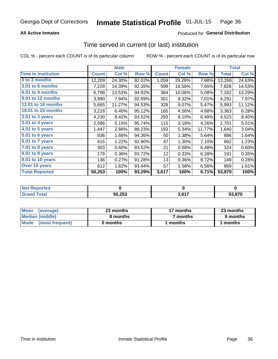## **All Active Inmates**

## Produced for General Distribution

# Time served in current (or last) institution

COL % - percent each COUNT is of its particular column

|                            |              | <b>Male</b> |        |              | <b>Female</b> |        |              | <b>Total</b> |
|----------------------------|--------------|-------------|--------|--------------|---------------|--------|--------------|--------------|
| <b>Time In Institution</b> | <b>Count</b> | Col %       | Row %  | <b>Count</b> | Col %         | Row %  | <b>Total</b> | Col $%$      |
| 0 to 3 months              | 12,209       | 24.30%      | 92.02% | 1,059        | 29.28%        | 7.98%  | 13,268       | 24.63%       |
| <b>3.01 to 6 months</b>    | 7,229        | 14.39%      | 92.35% | 599          | 16.56%        | 7.65%  | 7,828        | 14.53%       |
| 6.01 to 9 months           | 6,798        | 13.53%      | 94.92% | 364          | 10.06%        | 5.08%  | 7,162        | 13.29%       |
| 9.01 to 12 months          | 3,990        | 7.94%       | 92.99% | 301          | 8.32%         | 7.01%  | 4,291        | 7.97%        |
| <b>12.01 to 18 months</b>  | 5,665        | 11.27%      | 94.53% | 328          | 9.07%         | 5.47%  | 5,993        | 11.12%       |
| <b>18.01 to 24 months</b>  | 3,218        | 6.40%       | 95.12% | 165          | 4.56%         | 4.88%  | 3,383        | 6.28%        |
| $2.01$ to 3 years          | 4,230        | 8.42%       | 93.52% | 293          | 8.10%         | 6.48%  | 4,523        | 8.40%        |
| $3.01$ to 4 years          | 2,586        | 5.15%       | 95.74% | 115          | 3.18%         | 4.26%  | 2,701        | 5.01%        |
| 4.01 to 5 years            | 1,447        | 2.88%       | 88.23% | 193          | 5.34%         | 11.77% | 1,640        | 3.04%        |
| 5.01 to 6 years            | 836          | 1.66%       | 94.36% | 50           | 1.38%         | 5.64%  | 886          | 1.64%        |
| $6.01$ to 7 years          | 615          | 1.22%       | 92.90% | 47           | 1.30%         | 7.10%  | 662          | 1.23%        |
| $7.01$ to 8 years          | 303          | 0.60%       | 93.52% | 21           | 0.58%         | 6.48%  | 324          | 0.60%        |
| $8.01$ to 9 years          | 179          | 0.36%       | 93.72% | 12           | 0.33%         | 6.28%  | 191          | 0.35%        |
| 9.01 to 10 years           | 136          | 0.27%       | 91.28% | 13           | 0.36%         | 8.72%  | 149          | 0.28%        |
| Over 10 years              | 812          | 1.62%       | 93.44% | 57           | 1.58%         | 6.56%  | 869          | 1.61%        |
| <b>Total Reported</b>      | 50,253       | 100%        | 93.29% | 3,617        | 100%          | 6.71%  | 53,870       | 100%         |

| Reported<br><b>Not</b> |        |                   |        |
|------------------------|--------|-------------------|--------|
| <b>otal</b>            | 50,253 | <b>2 CAT</b><br>. | 53.870 |

| <b>Mean</b><br>(average) | 23 months | 17 months | 23 months |
|--------------------------|-----------|-----------|-----------|
| Median (middle)          | 8 months  | 7 months  | 8 months  |
| Mode (most frequent)     | 0 months  | months    | l months  |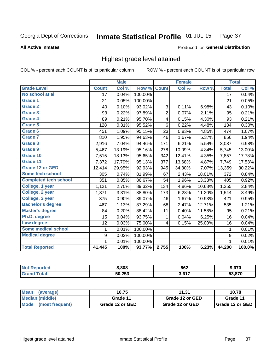### **All Active Inmates**

### Produced for General Distribution

# Highest grade level attained

COL % - percent each COUNT is of its particular column

|                              |                 | <b>Male</b> |         |                | <b>Female</b> |        |                 | <b>Total</b> |
|------------------------------|-----------------|-------------|---------|----------------|---------------|--------|-----------------|--------------|
| <b>Grade Level</b>           | <b>Count</b>    | Col %       | Row %   | <b>Count</b>   | Col%          | Row %  | <b>Total</b>    | Col %        |
| No school at all             | $\overline{17}$ | 0.04%       | 100.00% |                |               |        | $\overline{17}$ | 0.04%        |
| <b>Grade 1</b>               | 21              | 0.05%       | 100.00% |                |               |        | 21              | 0.05%        |
| <b>Grade 2</b>               | 40              | 0.10%       | 93.02%  | 3              | 0.11%         | 6.98%  | 43              | 0.10%        |
| Grade 3                      | 93              | 0.22%       | 97.89%  | $\overline{2}$ | 0.07%         | 2.11%  | 95              | 0.21%        |
| Grade 4                      | 89              | 0.21%       | 95.70%  | 4              | 0.15%         | 4.30%  | 93              | 0.21%        |
| Grade 5                      | 128             | 0.31%       | 95.52%  | 6              | 0.22%         | 4.48%  | 134             | 0.30%        |
| Grade 6                      | 451             | 1.09%       | 95.15%  | 23             | 0.83%         | 4.85%  | 474             | 1.07%        |
| <b>Grade 7</b>               | 810             | 1.95%       | 94.63%  | 46             | 1.67%         | 5.37%  | 856             | 1.94%        |
| Grade 8                      | 2,916           | 7.04%       | 94.46%  | 171            | 6.21%         | 5.54%  | 3,087           | 6.98%        |
| Grade 9                      | 5,467           | 13.19%      | 95.16%  | 278            | 10.09%        | 4.84%  | 5,745           | 13.00%       |
| Grade 10                     | 7,515           | 18.13%      | 95.65%  | 342            | 12.41%        | 4.35%  | 7,857           | 17.78%       |
| Grade 11                     | 7,372           | 17.79%      | 95.13%  | 377            | 13.68%        | 4.87%  | 7,749           | 17.53%       |
| <b>Grade 12 or GED</b>       | 12,414          | 29.95%      | 92.93%  | 945            | 34.30%        | 7.07%  | 13,359          | 30.22%       |
| <b>Some tech school</b>      | 305             | 0.74%       | 81.99%  | 67             | 2.43%         | 18.01% | 372             | 0.84%        |
| <b>Completed tech school</b> | 351             | 0.85%       | 86.67%  | 54             | 1.96%         | 13.33% | 405             | 0.92%        |
| College, 1 year              | 1,121           | 2.70%       | 89.32%  | 134            | 4.86%         | 10.68% | 1,255           | 2.84%        |
| College, 2 year              | 1,371           | 3.31%       | 88.80%  | 173            | 6.28%         | 11.20% | 1,544           | 3.49%        |
| College, 3 year              | 375             | 0.90%       | 89.07%  | 46             | 1.67%         | 10.93% | 421             | 0.95%        |
| <b>Bachelor's degree</b>     | 467             | 1.13%       | 87.29%  | 68             | 2.47%         | 12.71% | 535             | 1.21%        |
| <b>Master's degree</b>       | 84              | 0.20%       | 88.42%  | 11             | 0.40%         | 11.58% | 95              | 0.21%        |
| Ph.D. degree                 | 15              | 0.04%       | 93.75%  | 1              | 0.04%         | 6.25%  | 16              | 0.04%        |
| Law degree                   | 12              | 0.03%       | 75.00%  | 4              | 0.15%         | 25.00% | 16              | 0.04%        |
| <b>Some medical school</b>   | 1               | 0.01%       | 100.00% |                |               |        | 1               | 0.01%        |
| <b>Medical degree</b>        | 9               | 0.02%       | 100.00% |                |               |        | 9               | 0.02%        |
|                              | $\mathbf 1$     | 0.01%       | 100.00% |                |               |        | 1               | 0.01%        |
| <b>Total Reported</b>        | 41,445          | 100%        | 93.77%  | 2,755          | 100%          | 6.23%  | 44,200          | 100.0%       |

| 3,808  | 862  | 9.670 |
|--------|------|-------|
| 50,253 | 2001 | 0.70  |

| Mean<br>(average)       | 10.75           | 11.31           | 10.78           |
|-------------------------|-----------------|-----------------|-----------------|
| Median (middle)         | Grade 11        | Grade 12 or GED | Grade 11        |
| Mode<br>(most frequent) | Grade 12 or GED | Grade 12 or GED | Grade 12 or GED |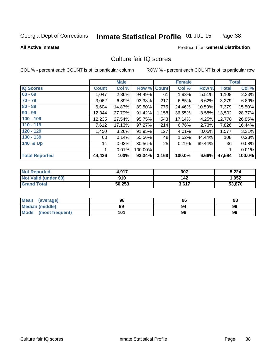#### Inmate Statistical Profile 01-JUL-15 Page 38

**All Active Inmates** 

### **Produced for General Distribution**

# Culture fair IQ scores

COL % - percent each COUNT is of its particular column

|                       |              | <b>Male</b> |         |              | <b>Female</b> |        |              | <b>Total</b> |
|-----------------------|--------------|-------------|---------|--------------|---------------|--------|--------------|--------------|
| <b>IQ Scores</b>      | <b>Count</b> | Col %       | Row %   | <b>Count</b> | Col %         | Row %  | <b>Total</b> | Col %        |
| $60 - 69$             | 1,047        | 2.36%       | 94.49%  | 61           | 1.93%         | 5.51%  | 1,108        | 2.33%        |
| $70 - 79$             | 3,062        | 6.89%       | 93.38%  | 217          | 6.85%         | 6.62%  | 3,279        | 6.89%        |
| $80 - 89$             | 6,604        | 14.87%      | 89.50%  | 775          | 24.46%        | 10.50% | 7,379        | 15.50%       |
| $90 - 99$             | 12,344       | 27.79%      | 91.42%  | 1,158        | 36.55%        | 8.58%  | 13,502       | 28.37%       |
| $100 - 109$           | 12,235       | 27.54%      | 95.75%  | 543          | 17.14%        | 4.25%  | 12,778       | 26.85%       |
| $110 - 119$           | 7,612        | 17.13%      | 97.27%  | 214          | 6.76%         | 2.73%  | 7,826        | 16.44%       |
| 120 - 129             | 1,450        | 3.26%       | 91.95%  | 127          | 4.01%         | 8.05%  | 1,577        | 3.31%        |
| 130 - 139             | 60           | 0.14%       | 55.56%  | 48           | 1.52%         | 44.44% | 108          | 0.23%        |
| 140 & Up              | 11           | 0.02%       | 30.56%  | 25           | 0.79%         | 69.44% | 36           | 0.08%        |
|                       |              | 0.01%       | 100.00% |              |               |        |              | 0.01%        |
| <b>Total Reported</b> | 44,426       | 100%        | 93.34%  | 3,168        | 100.0%        | 6.66%  | 47,594       | 100.0%       |

| <b>Not Reported</b>  | 4,917  | 307   | 5,224  |
|----------------------|--------|-------|--------|
| Not Valid (under 60) | 910    | 142   | 1,052  |
| <b>Grand Total</b>   | 50,253 | 3,617 | 53,870 |

| Mean<br>(average)      | 98  | 96 | 98 |
|------------------------|-----|----|----|
| <b>Median (middle)</b> | 99  | 94 | 99 |
| Mode (most frequent)   | 101 | 96 | 99 |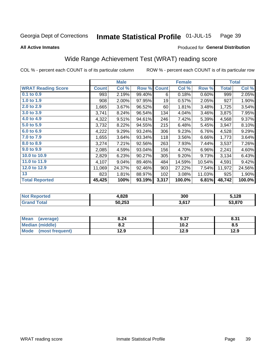#### Inmate Statistical Profile 01-JUL-15 Page 39

### **All Active Inmates**

# Produced for General Distribution

# Wide Range Achievement Test (WRAT) reading score

COL % - percent each COUNT is of its particular column

|                           |              | <b>Male</b> |        |              | <b>Female</b> |        |              | <b>Total</b> |
|---------------------------|--------------|-------------|--------|--------------|---------------|--------|--------------|--------------|
| <b>WRAT Reading Score</b> | <b>Count</b> | Col %       | Row %  | <b>Count</b> | Col %         | Row %  | <b>Total</b> | Col %        |
| 0.1 to 0.9                | 993          | 2.19%       | 99.40% | 6            | 0.18%         | 0.60%  | 999          | 2.05%        |
| 1.0 to 1.9                | 908          | 2.00%       | 97.95% | 19           | 0.57%         | 2.05%  | 927          | 1.90%        |
| 2.0 to 2.9                | 1,665        | 3.67%       | 96.52% | 60           | 1.81%         | 3.48%  | 1,725        | 3.54%        |
| 3.0 to 3.9                | 3,741        | 8.24%       | 96.54% | 134          | 4.04%         | 3.46%  | 3,875        | 7.95%        |
| 4.0 to 4.9                | 4,322        | 9.51%       | 94.61% | 246          | 7.42%         | 5.39%  | 4,568        | 9.37%        |
| 5.0 to 5.9                | 3,732        | 8.22%       | 94.55% | 215          | 6.48%         | 5.45%  | 3,947        | 8.10%        |
| 6.0 to 6.9                | 4,222        | 9.29%       | 93.24% | 306          | 9.23%         | 6.76%  | 4,528        | 9.29%        |
| 7.0 to 7.9                | 1,655        | 3.64%       | 93.34% | 118          | 3.56%         | 6.66%  | 1,773        | 3.64%        |
| 8.0 to 8.9                | 3,274        | 7.21%       | 92.56% | 263          | 7.93%         | 7.44%  | 3,537        | 7.26%        |
| 9.0 to 9.9                | 2,085        | 4.59%       | 93.04% | 156          | 4.70%         | 6.96%  | 2,241        | 4.60%        |
| 10.0 to 10.9              | 2,829        | 6.23%       | 90.27% | 305          | 9.20%         | 9.73%  | 3,134        | 6.43%        |
| 11.0 to 11.9              | 4,107        | 9.04%       | 89.46% | 484          | 14.59%        | 10.54% | 4,591        | 9.42%        |
| 12.0 to 12.9              | 11,069       | 24.37%      | 92.46% | 903          | 27.22%        | 7.54%  | 11,972       | 24.56%       |
| 13                        | 823          | 1.81%       | 88.97% | 102          | 3.08%         | 11.03% | 925          | 1.90%        |
| <b>Total Reported</b>     | 45,425       | 100%        | 93.19% | 3,317        | 100.0%        | 6.81%  | 48,742       | 100.0%       |

| rreu.<br>NO | $+.828$ | 300                 | ;128   |
|-------------|---------|---------------------|--------|
|             | 50,253  | 2617<br><b>J.VI</b> | 53.870 |

| Mean<br>(average)      | 8.24       | 9.37 | 8.31 |
|------------------------|------------|------|------|
| <b>Median (middle)</b> | י ה<br>0.Z | 10.2 | 8.5  |
| Mode (most frequent)   | 12.9       | 12.9 | 12.9 |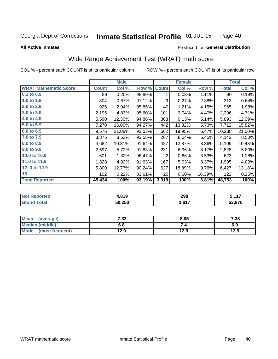#### Inmate Statistical Profile 01-JUL-15 Page 40

### **All Active Inmates**

# Produced for General Distribution

# Wide Range Achievement Test (WRAT) math score

COL % - percent each COUNT is of its particular column

|                              |              | <b>Male</b> |        |              | <b>Female</b> |        |              | <b>Total</b> |
|------------------------------|--------------|-------------|--------|--------------|---------------|--------|--------------|--------------|
| <b>WRAT Mathematic Score</b> | <b>Count</b> | Col %       | Row %  | <b>Count</b> | Col %         | Row %  | <b>Total</b> | Col %        |
| $0.1$ to $0.9$               | 89           | 0.20%       | 98.89% | 1            | 0.03%         | 1.11%  | 90           | 0.18%        |
| 1.0 to 1.9                   | 304          | 0.67%       | 97.12% | 9            | 0.27%         | 2.88%  | 313          | 0.64%        |
| 2.0 to 2.9                   | 925          | 2.04%       | 95.85% | 40           | 1.21%         | 4.15%  | 965          | 1.98%        |
| 3.0 to 3.9                   | 2,195        | 4.83%       | 95.60% | 101          | 3.04%         | 4.40%  | 2,296        | 4.71%        |
| 4.0 to 4.9                   | 5,590        | 12.30%      | 94.86% | 303          | 9.13%         | 5.14%  | 5,893        | 12.09%       |
| 5.0 to 5.9                   | 7,270        | 16.00%      | 94.27% | 442          | 13.32%        | 5.73%  | 7,712        | 15.82%       |
| 6.0 to 6.9                   | 9,576        | 21.08%      | 93.53% | 662          | 19.95%        | 6.47%  | 10,238       | 21.00%       |
| 7.0 to 7.9                   | 3,875        | 8.53%       | 93.55% | 267          | 8.04%         | 6.45%  | 4,142        | 8.50%        |
| 8.0 to 8.9                   | 4,682        | 10.31%      | 91.64% | 427          | 12.87%        | 8.36%  | 5,109        | 10.48%       |
| 9.0 to 9.9                   | 2,597        | 5.72%       | 91.83% | 231          | 6.96%         | 8.17%  | 2,828        | 5.80%        |
| 10.0 to 10.9                 | 601          | 1.32%       | 96.47% | 22           | 0.66%         | 3.53%  | 623          | 1.28%        |
| 11.0 to 11.9                 | 1,828        | 4.02%       | 91.63% | 167          | 5.03%         | 8.37%  | 1,995        | 4.09%        |
| 12.0 to 12.9                 | 5,800        | 12.77%      | 90.24% | 627          | 18.89%        | 9.76%  | 6,427        | 13.18%       |
| 13                           | 102          | 0.22%       | 83.61% | 20           | 0.60%         | 16.39% | 122          | 0.25%        |
| <b>Total Reported</b>        | 45,434       | 100%        | 93.19% | 3,319        | 100%          | 6.81%  | 48,753       | 100%         |

| Reported<br>'NO)       | 1,819  | 298       | 117<br>. |
|------------------------|--------|-----------|----------|
| <b>Total</b><br>'Grand | 50,253 | 2617<br>. | 53,870   |

| <b>Mean</b><br>(average) | 7.33 | 8.05 | 7.38 |
|--------------------------|------|------|------|
| Median (middle)          | o.o  |      | 6.9  |
| Mode<br>(most frequent)  | l2.9 | 12.9 | 12.9 |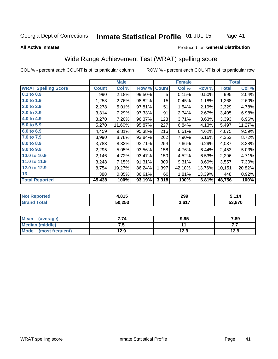#### **Inmate Statistical Profile 01-JUL-15** Page 41

### **All Active Inmates**

## Produced for General Distribution

# Wide Range Achievement Test (WRAT) spelling score

COL % - percent each COUNT is of its particular column

|                            |              | <b>Male</b> |        |                  | <b>Female</b> |        |              | <b>Total</b> |
|----------------------------|--------------|-------------|--------|------------------|---------------|--------|--------------|--------------|
| <b>WRAT Spelling Score</b> | <b>Count</b> | Col %       | Row %  | <b>Count</b>     | Col %         | Row %  | <b>Total</b> | Col %        |
| $0.1$ to $0.9$             | 990          | 2.18%       | 99.50% | 5                | 0.15%         | 0.50%  | 995          | 2.04%        |
| 1.0 to 1.9                 | 1,253        | 2.76%       | 98.82% | 15 <sub>15</sub> | 0.45%         | 1.18%  | 1,268        | 2.60%        |
| 2.0 to 2.9                 | 2,278        | 5.01%       | 97.81% | 51               | 1.54%         | 2.19%  | 2,329        | 4.78%        |
| 3.0 to 3.9                 | 3,314        | 7.29%       | 97.33% | 91               | 2.74%         | 2.67%  | 3,405        | 6.98%        |
| 4.0 to 4.9                 | 3,270        | 7.20%       | 96.37% | 123              | 3.71%         | 3.63%  | 3,393        | 6.96%        |
| 5.0 to 5.9                 | 5,270        | 11.60%      | 95.87% | 227              | 6.84%         | 4.13%  | 5,497        | 11.27%       |
| 6.0 to 6.9                 | 4,459        | 9.81%       | 95.38% | 216              | 6.51%         | 4.62%  | 4,675        | 9.59%        |
| 7.0 to 7.9                 | 3,990        | 8.78%       | 93.84% | 262              | 7.90%         | 6.16%  | 4,252        | 8.72%        |
| 8.0 to 8.9                 | 3,783        | 8.33%       | 93.71% | 254              | 7.66%         | 6.29%  | 4,037        | 8.28%        |
| 9.0 to 9.9                 | 2,295        | 5.05%       | 93.56% | 158              | 4.76%         | 6.44%  | 2,453        | 5.03%        |
| 10.0 to 10.9               | 2,146        | 4.72%       | 93.47% | 150              | 4.52%         | 6.53%  | 2,296        | 4.71%        |
| 11.0 to 11.9               | 3,248        | 7.15%       | 91.31% | 309              | 9.31%         | 8.69%  | 3,557        | 7.30%        |
| 12.0 to 12.9               | 8,754        | 19.27%      | 86.24% | 1,397            | 42.10%        | 13.76% | 10,151       | 20.82%       |
| 13                         | 388          | 0.85%       | 86.61% | 60               | 1.81%         | 13.39% | 448          | 0.92%        |
| <b>Total Reported</b>      | 45,438       | 100%        | 93.19% | 3,318            | 100%          | 6.81%  | 48,756       | 100%         |

| Tea.<br>NO | 4,815  | 299   | = 447  |
|------------|--------|-------|--------|
|            | 50,253 | 3,617 | 53.870 |

| <b>Mean</b><br>(average) | 7.74 | 9.95 | 7.89 |
|--------------------------|------|------|------|
| <b>Median (middle)</b>   | ن. ا |      | .    |
| Mode (most frequent)     | 12.9 | 12.9 | 12.9 |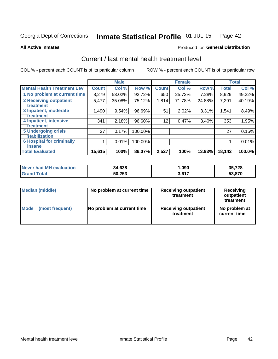#### Inmate Statistical Profile 01-JUL-15 Page 42

**All Active Inmates** 

## **Produced for General Distribution**

# Current / last mental health treatment level

COL % - percent each COUNT is of its particular column

|                                    |              | <b>Male</b> |         |              | <b>Female</b> |        |              | <b>Total</b> |
|------------------------------------|--------------|-------------|---------|--------------|---------------|--------|--------------|--------------|
| <b>Mental Health Treatment Lev</b> | <b>Count</b> | Col %       | Row %   | <b>Count</b> | Col %         | Row %  | <b>Total</b> | Col %        |
| 1 No problem at current time       | 8,279        | 53.02%      | 92.72%  | 650          | 25.72%        | 7.28%  | 8,929        | 49.22%       |
| 2 Receiving outpatient             | 5,477        | 35.08%      | 75.12%  | 1,814        | 71.78%        | 24.88% | 7,291        | 40.19%       |
| <b>Treatment</b>                   |              |             |         |              |               |        |              |              |
| 3 Inpatient, moderate              | 1,490        | 9.54%       | 96.69%  | 51           | 2.02%         | 3.31%  | 1,541        | 8.49%        |
| <b>Treatment</b>                   |              |             |         |              |               |        |              |              |
| 4 Inpatient, intensive             | 341          | 2.18%       | 96.60%  | 12           | 0.47%         | 3.40%  | 353          | 1.95%        |
| <b>Treatment</b>                   |              |             |         |              |               |        |              |              |
| <b>5 Undergoing crisis</b>         | 27           | 0.17%       | 100.00% |              |               |        | 27           | 0.15%        |
| <b>stabilization</b>               |              |             |         |              |               |        |              |              |
| <b>6 Hospital for criminally</b>   |              | 0.01%       | 100.00% |              |               |        |              | 0.01%        |
| <b>Tinsane</b>                     |              |             |         |              |               |        |              |              |
| <b>Total Evaluated</b>             | 15,615       | 100%        | 86.07%  | 2,527        | 100%          | 13.93% | 18,142       | 100.0%       |

| Never had MH evaluation | 34,638 | ,090  | 35,728 |
|-------------------------|--------|-------|--------|
| $\tau$ otal             | 50,253 | 3,617 | 53.870 |

| Median (middle) | No problem at current time | <b>Receiving outpatient</b><br>treatment | <b>Receiving</b><br>outpatient<br>treatment |  |  |
|-----------------|----------------------------|------------------------------------------|---------------------------------------------|--|--|
| <b>Mode</b>     | No problem at current time | <b>Receiving outpatient</b>              | No problem at                               |  |  |
| (most frequent) |                            | treatment                                | current time                                |  |  |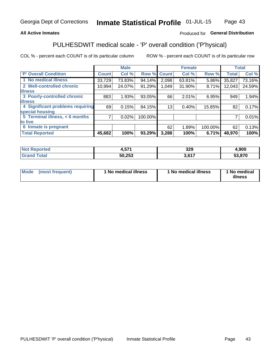## **All Active Inmates**

## Produced for General Distribution

# PULHESDWIT medical scale - 'P' overall condition ('P'hysical)

COL % - percent each COUNT is of its particular column

|                                  |              | <b>Male</b> |         |              | <b>Female</b> |         |              | <b>Total</b> |
|----------------------------------|--------------|-------------|---------|--------------|---------------|---------|--------------|--------------|
| 'P' Overall Condition            | <b>Count</b> | Col %       | Row %   | <b>Count</b> | Col %         | Row %   | <b>Total</b> | Col %        |
| 1 No medical illness             | 33,729       | 73.83%      | 94.14%  | 2,098        | 63.81%        | 5.86%   | 35,827       | 73.16%       |
| 2 Well-controlled chronic        | 10,994       | 24.07%      | 91.29%  | 1,049        | 31.90%        | 8.71%   | 12,043       | 24.59%       |
| <b>illness</b>                   |              |             |         |              |               |         |              |              |
| 3 Poorly-controlled chronic      | 883          | 1.93%       | 93.05%  | 66           | 2.01%         | 6.95%   | 949          | 1.94%        |
| <b>illness</b>                   |              |             |         |              |               |         |              |              |
| 4 Significant problems requiring | 69           | 0.15%       | 84.15%  | 13           | 0.40%         | 15.85%  | 82           | 0.17%        |
| special housing                  |              |             |         |              |               |         |              |              |
| 5 Terminal illness, < 6 months   | 7            | 0.02%       | 100.00% |              |               |         | 7            | 0.01%        |
| to live                          |              |             |         |              |               |         |              |              |
| 6 Inmate is pregnant             |              |             |         | 62           | 1.89%         | 100.00% | 62           | 0.13%        |
| <b>Total Reported</b>            | 45,682       | 100%        | 93.29%  | 3,288        | 100%          | 6.71%   | 48,970       | 100%         |

| тео | E 74<br>יש.     | 329  | ,900  |
|-----|-----------------|------|-------|
|     | にへ つにつ<br>J.ZJ. | 0.47 | הדה ה |

| Mode | (most frequent) | 1 No medical illness | 1 No medical illness | 1 No medical<br>illness |
|------|-----------------|----------------------|----------------------|-------------------------|
|------|-----------------|----------------------|----------------------|-------------------------|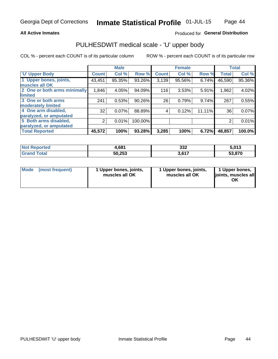## **All Active Inmates**

## Produced for General Distribution

# PULHESDWIT medical scale - 'U' upper body

COL % - percent each COUNT is of its particular column

|                              |                | <b>Male</b> |         |              | <b>Female</b> |        |              | <b>Total</b> |
|------------------------------|----------------|-------------|---------|--------------|---------------|--------|--------------|--------------|
| <b>U' Upper Body</b>         | <b>Count</b>   | Col %       | Row %   | <b>Count</b> | Col %         | Row %  | <b>Total</b> | Col %        |
| 1 Upper bones, joints,       | 43,451         | 95.35%      | 93.26%  | 3,139        | 95.56%        | 6.74%  | 46,590       | 95.36%       |
| muscles all OK               |                |             |         |              |               |        |              |              |
| 2 One or both arms minimally | 1,846          | 4.05%       | 94.09%  | 116          | 3.53%         | 5.91%  | 1,962        | 4.02%        |
| limited                      |                |             |         |              |               |        |              |              |
| 3 One or both arms           | 241            | 0.53%       | 90.26%  | 26           | 0.79%         | 9.74%  | 267          | 0.55%        |
| moderately limited           |                |             |         |              |               |        |              |              |
| 4 One arm disabled,          | 32             | 0.07%       | 88.89%  | 4            | 0.12%         | 11.11% | 36           | 0.07%        |
| paralyzed, or amputated      |                |             |         |              |               |        |              |              |
| 5 Both arms disabled,        | $\overline{2}$ | 0.01%       | 100.00% |              |               |        | 2            | 0.01%        |
| paralyzed, or amputated      |                |             |         |              |               |        |              |              |
| <b>Total Reported</b>        | 45,572         | 100%        | 93.28%  | 3,285        | 100%          | 6.72%  | 48,857       | 100.0%       |

| <b>Not Reported</b>   | 1,681  | 332             | 5,013  |
|-----------------------|--------|-----------------|--------|
| <b>Total</b><br>Grand | 50,253 | 2017<br>J.V I 1 | 53,870 |

| Mode (most frequent) | 1 Upper bones, joints,<br>muscles all OK | 1 Upper bones, joints,<br>muscles all OK | 1 Upper bones,<br>joints, muscles all<br>ΟK |
|----------------------|------------------------------------------|------------------------------------------|---------------------------------------------|
|----------------------|------------------------------------------|------------------------------------------|---------------------------------------------|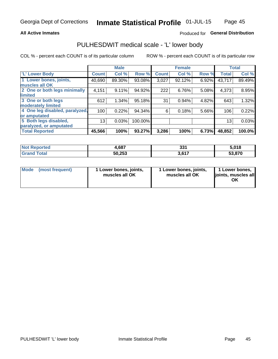## **All Active Inmates**

## Produced for General Distribution

# PULHESDWIT medical scale - 'L' lower body

COL % - percent each COUNT is of its particular column

|                                |              | <b>Male</b> |         |              | <b>Female</b> |       |              | <b>Total</b> |
|--------------------------------|--------------|-------------|---------|--------------|---------------|-------|--------------|--------------|
| 'L' Lower Body                 | <b>Count</b> | Col %       | Row %   | <b>Count</b> | Col %         | Row % | <b>Total</b> | Col %        |
| 1 Lower bones, joints,         | 40,690       | 89.30%      | 93.08%  | 3,027        | 92.12%        | 6.92% | 43,717       | 89.49%       |
| muscles all OK                 |              |             |         |              |               |       |              |              |
| 2 One or both legs minimally   | 4,151        | 9.11%       | 94.92%  | 222          | 6.76%         | 5.08% | 4,373        | 8.95%        |
| limited                        |              |             |         |              |               |       |              |              |
| 3 One or both legs             | 612          | 1.34%       | 95.18%  | 31           | 0.94%         | 4.82% | 643          | 1.32%        |
| moderately limited             |              |             |         |              |               |       |              |              |
| 4 One leg disabled, paralyzed, | 100          | 0.22%       | 94.34%  | 6            | 0.18%         | 5.66% | 106          | 0.22%        |
| or amputated                   |              |             |         |              |               |       |              |              |
| 5 Both legs disabled,          | 13           | 0.03%       | 100.00% |              |               |       | 13           | 0.03%        |
| paralyzed, or amputated        |              |             |         |              |               |       |              |              |
| <b>Total Reported</b>          | 45,566       | 100%        | 93.27%  | 3,286        | 100%          | 6.73% | 48,852       | 100.0%       |

| <b>Not Reported</b>          | 1,687  | 994<br>ડા       | 5,018  |
|------------------------------|--------|-----------------|--------|
| <b>Total</b><br><b>Grand</b> | 50,253 | 2017<br>J.V I 1 | 53,870 |

|  | Mode (most frequent) | 1 Lower bones, joints,<br>muscles all OK | 1 Lower bones, joints,<br>muscles all OK | 1 Lower bones,<br>joints, muscles all<br>ΟK |
|--|----------------------|------------------------------------------|------------------------------------------|---------------------------------------------|
|--|----------------------|------------------------------------------|------------------------------------------|---------------------------------------------|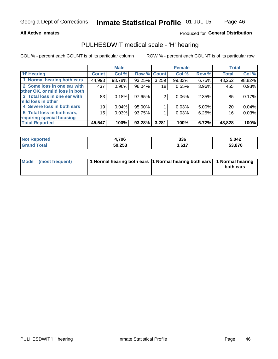## **All Active Inmates**

## Produced for General Distribution

# PULHESDWIT medical scale - 'H' hearing

COL % - percent each COUNT is of its particular column

|                                |              | <b>Male</b> |             |       | <b>Female</b> |       | <b>Total</b> |        |
|--------------------------------|--------------|-------------|-------------|-------|---------------|-------|--------------|--------|
| <b>H' Hearing</b>              | <b>Count</b> | Col %       | Row % Count |       | Col %         | Row % | <b>Total</b> | Col %  |
| 1 Normal hearing both ears     | 44,993       | 98.78%      | 93.25%      | 3,259 | 99.33%        | 6.75% | 48,252       | 98.82% |
| 2 Some loss in one ear with    | 437          | 0.96%       | 96.04%      | 18    | 0.55%         | 3.96% | 455          | 0.93%  |
| other OK, or mild loss in both |              |             |             |       |               |       |              |        |
| 3 Total loss in one ear with   | 83           | 0.18%       | 97.65%      | 2     | 0.06%         | 2.35% | 85           | 0.17%  |
| mild loss in other             |              |             |             |       |               |       |              |        |
| 4 Severe loss in both ears     | 19           | 0.04%       | $95.00\%$   |       | 0.03%         | 5.00% | 20           | 0.04%  |
| 5 Total loss in both ears,     | 15           | 0.03%       | 93.75%      |       | 0.03%         | 6.25% | 16           | 0.03%  |
| requiring special housing      |              |             |             |       |               |       |              |        |
| <b>Total Reported</b>          | 45,547       | 100%        | 93.28%      | 3,281 | 100%          | 6.72% | 48,828       | 100%   |

| <b>Not Renc</b><br><b>orted</b> | ,706   | 336            | 5.042  |
|---------------------------------|--------|----------------|--------|
| Total                           | 50,253 | 2.647<br>J.VII | 53,870 |

| Mode (most frequent) | 1 Normal hearing both ears 11 Normal hearing both ears 1 Normal hearing | both ears |
|----------------------|-------------------------------------------------------------------------|-----------|
|                      |                                                                         |           |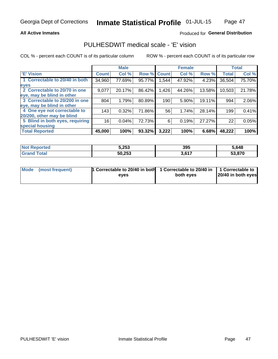## **All Active Inmates**

## Produced for General Distribution

# PULHESDWIT medical scale - 'E' vision

COL % - percent each COUNT is of its particular column

|                                 |                    | <b>Male</b> |        |              | <b>Female</b> |        |              | <b>Total</b> |
|---------------------------------|--------------------|-------------|--------|--------------|---------------|--------|--------------|--------------|
| 'E' Vision                      | Count <sup>'</sup> | Col %       | Row %  | <b>Count</b> | Col %         | Row %  | <b>Total</b> | Col %        |
| 1 Correctable to 20/40 in both  | 34,960             | 77.69%      | 95.77% | .544         | 47.92%        | 4.23%  | 36,504       | 75.70%       |
| eyes                            |                    |             |        |              |               |        |              |              |
| 2 Correctable to 20/70 in one   | 9,077              | 20.17%      | 86.42% | ,426         | 44.26%        | 13.58% | 10,503       | 21.78%       |
| leye, may be blind in other     |                    |             |        |              |               |        |              |              |
| 3 Correctable to 20/200 in one  | 804                | 1.79%       | 80.89% | 190          | 5.90%         | 19.11% | 994          | 2.06%        |
| leye, may be blind in other     |                    |             |        |              |               |        |              |              |
| 4 One eye not correctable to    | 143                | 0.32%       | 71.86% | 56           | 1.74%         | 28.14% | 199          | 0.41%        |
| 20/200, other may be blind      |                    |             |        |              |               |        |              |              |
| 5 Blind in both eyes, requiring | 16                 | 0.04%       | 72.73% | 6            | 0.19%         | 27.27% | 22           | 0.05%        |
| special housing                 |                    |             |        |              |               |        |              |              |
| <b>Total Reported</b>           | 45,000             | 100%        | 93.32% | 3,222        | 100%          | 6.68%  | 48,222       | 100%         |

| <b>Not Reported</b> | 5,253  | 395   | 5.648  |
|---------------------|--------|-------|--------|
| Гоtа                | 50,253 | 3,617 | 53,870 |

| Mode (most frequent) | 1 Correctable to 20/40 in both<br>eves | 1 Correctable to 20/40 in   1 Correctable to  <br>both eves | 20/40 in both eyes |
|----------------------|----------------------------------------|-------------------------------------------------------------|--------------------|
|                      |                                        |                                                             |                    |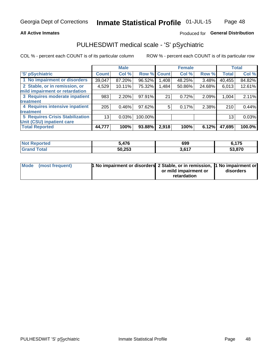## **All Active Inmates**

## Produced for General Distribution

# PULHESDWIT medical scale - 'S' pSychiatric

COL % - percent each COUNT is of its particular column

|                                        |              | <b>Male</b> |         |              | <b>Female</b> |        |              | <b>Total</b> |
|----------------------------------------|--------------|-------------|---------|--------------|---------------|--------|--------------|--------------|
| 'S' pSychiatric                        | <b>Count</b> | Col %       | Row %   | <b>Count</b> | Col %         | Row %  | <b>Total</b> | Col %        |
| 1 No impairment or disorders           | 39,047       | 87.20%      | 96.52%  | .408         | 48.25%        | 3.48%  | 40,455       | 84.82%       |
| 2 Stable, or in remission, or          | 4,529        | 10.11%      | 75.32%  | 1,484        | 50.86%        | 24.68% | 6,013        | 12.61%       |
| mild impairment or retardation         |              |             |         |              |               |        |              |              |
| 3 Requires moderate inpatient          | 983          | 2.20%       | 97.91%  | 21           | 0.72%         | 2.09%  | 1,004        | 2.11%        |
| treatment                              |              |             |         |              |               |        |              |              |
| 4 Requires intensive inpatient         | 205          | 0.46%       | 97.62%  | 5.           | 0.17%         | 2.38%  | 210          | 0.44%        |
| treatment                              |              |             |         |              |               |        |              |              |
| <b>5 Requires Crisis Stabilization</b> | 13           | 0.03%       | 100.00% |              |               |        | 13           | 0.03%        |
| Unit (CSU) inpatient care              |              |             |         |              |               |        |              |              |
| <b>Total Reported</b>                  | 44,777       | 100%        | 93.88%  | 2,918        | 100%          | 6.12%  | 47,695       | 100.0%       |

| <b>Not Reported</b> | 476,ر  | 699                | 6,175  |
|---------------------|--------|--------------------|--------|
| Total<br>' Grand    | 50,253 | 2017<br>- J, O I . | 53,870 |

| Mode (most frequent) | <b>h</b> No impairment or disorders 2 Stable, or in remission, 1 No impairment or |                       |           |
|----------------------|-----------------------------------------------------------------------------------|-----------------------|-----------|
|                      |                                                                                   | or mild impairment or | disorders |
|                      |                                                                                   | retardation           |           |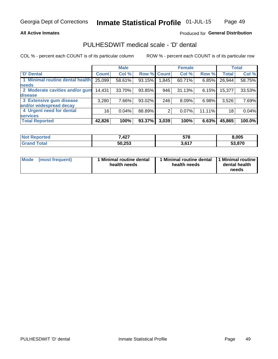## **All Active Inmates**

## Produced for General Distribution

# PULHESDWIT medical scale - 'D' dental

COL % - percent each COUNT is of its particular column

|                                 |              | <b>Male</b> |        |              | <b>Female</b> |          |              | <b>Total</b> |
|---------------------------------|--------------|-------------|--------|--------------|---------------|----------|--------------|--------------|
| <b>D'</b> Dental                | <b>Count</b> | Col %       | Row %  | <b>Count</b> | Col %         | Row %    | <b>Total</b> | Col %        |
| 1 Minimal routine dental health | 25,099       | 58.61%      | 93.15% | 1,845        | 60.71%        | $6.85\%$ | 26,944       | 58.75%       |
| <b>needs</b>                    |              |             |        |              |               |          |              |              |
| 2 Moderate cavities and/or gum  | 14,431       | 33.70%      | 93.85% | 946          | 31.13%        | $6.15\%$ | 15,377       | 33.53%       |
| disease                         |              |             |        |              |               |          |              |              |
| 3 Extensive gum disease         | 3,280        | 7.66%       | 93.02% | 246          | 8.09%         | 6.98%    | 3,526        | 7.69%        |
| and/or widespread decay         |              |             |        |              |               |          |              |              |
| 4 Urgent need for dental        | 16           | 0.04%       | 88.89% | 2            | 0.07%         | 11.11%   | 18           | 0.04%        |
| <b>services</b>                 |              |             |        |              |               |          |              |              |
| <b>Total Reported</b>           | 42,826       | 100%        | 93.37% | 3,039        | 100%          | 6.63%    | 45,865       | 100.0%       |

| orted<br>Nı | 7,427  | 578             | 8,005                   |
|-------------|--------|-----------------|-------------------------|
| <b>ota</b>  | 50,253 | 2017<br>J.V I 1 | $E_2$ $0.70$<br>33.OI U |

| <b>Mode</b> | (most frequent) | Minimal routine dental<br>health needs | 1 Minimal routine dental 11 Minimal routine<br>health needs | dental health<br>needs |
|-------------|-----------------|----------------------------------------|-------------------------------------------------------------|------------------------|
|-------------|-----------------|----------------------------------------|-------------------------------------------------------------|------------------------|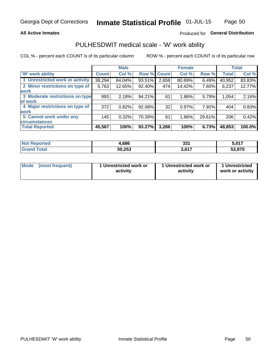## **All Active Inmates**

## Produced for General Distribution

# PULHESDWIT medical scale - 'W' work ability

COL % - percent each COUNT is of its particular column

|                                 |              | <b>Male</b> |        |             | <b>Female</b> |        |              | <b>Total</b> |
|---------------------------------|--------------|-------------|--------|-------------|---------------|--------|--------------|--------------|
| <b>W' work ability</b>          | <b>Count</b> | Col %       |        | Row % Count | Col %         | Row %  | <b>Total</b> | Col %        |
| 1 Unrestricted work or activity | 38,294       | 84.04%      | 93.51% | 2,658       | 80.89%        | 6.49%  | 40,952       | 83.83%       |
| 2 Minor restrictions on type of | 5,763        | 12.65%      | 92.40% | 474         | 14.42%        | 7.60%  | 6,237        | 12.77%       |
| <b>work</b>                     |              |             |        |             |               |        |              |              |
| 3 Moderate restrictions on type | 993          | 2.18%       | 94.21% | 61          | 1.86%         | 5.79%  | 1,054        | 2.16%        |
| lof work                        |              |             |        |             |               |        |              |              |
| 4 Major restrictions on type of | 372          | 0.82%       | 92.08% | 32          | 0.97%         | 7.92%  | 404          | 0.83%        |
| <b>work</b>                     |              |             |        |             |               |        |              |              |
| 5 Cannot work under any         | 145          | 0.32%       | 70.39% | 61          | 1.86%         | 29.61% | 206          | 0.42%        |
| <b>circumstances</b>            |              |             |        |             |               |        |              |              |
| <b>Total Reported</b>           | 45,567       | 100%        | 93.27% | 3,286       | 100%          | 6.73%  | 48,853       | 100.0%       |

| <b>Not Reported</b>   | 4,686  | 224<br>ວວ ເ | 5,017  |
|-----------------------|--------|-------------|--------|
| Total<br><b>Grand</b> | 50,253 | 3,617       | 53,870 |

| Mode            | 1 Unrestricted work or | 1 Unrestricted work or | 1 Unrestricted   |
|-----------------|------------------------|------------------------|------------------|
| (most frequent) | activity               | activity               | work or activity |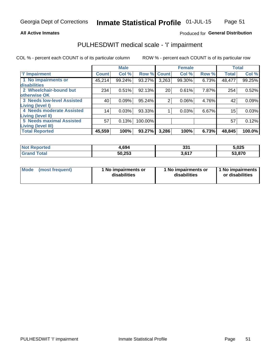## **All Active Inmates**

## Produced for General Distribution

# PULHESDWIT medical scale - 'I' impairment

COL % - percent each COUNT is of its particular column

|                                   |                 | <b>Male</b> |             |                | <b>Female</b> |       |              | <b>Total</b> |
|-----------------------------------|-----------------|-------------|-------------|----------------|---------------|-------|--------------|--------------|
| <b>T' Impairment</b>              | <b>Count</b>    | Col %       | Row % Count |                | Col %         | Row % | <b>Total</b> | Col %        |
| 1 No impairments or               | 45,214          | 99.24%      | 93.27%      | 3,263          | 99.30%        | 6.73% | 48,477       | 99.25%       |
| <b>disabilities</b>               |                 |             |             |                |               |       |              |              |
| 2 Wheelchair-bound but            | 234             | 0.51%       | 92.13%      | 20             | 0.61%         | 7.87% | 254          | 0.52%        |
| otherwise OK                      |                 |             |             |                |               |       |              |              |
| <b>3 Needs low-level Assisted</b> | 40              | 0.09%       | 95.24%      | $\overline{2}$ | 0.06%         | 4.76% | 42           | 0.09%        |
| Living (level I)                  |                 |             |             |                |               |       |              |              |
| 4 Needs moderate Assisted         | 14 <sub>1</sub> | 0.03%       | 93.33%      |                | 0.03%         | 6.67% | 15           | 0.03%        |
| Living (level II)                 |                 |             |             |                |               |       |              |              |
| <b>5 Needs maximal Assisted</b>   | 57              | 0.13%       | 100.00%     |                |               |       | 57           | 0.12%        |
| <b>Living (level III)</b>         |                 |             |             |                |               |       |              |              |
| <b>Total Reported</b>             | 45,559          | 100%        | 93.27%      | 3,286          | 100%          | 6.73% | 48,845       | 100.0%       |

| <b>Not</b><br>Reported | 1.694  | つつィ<br>ು. | 5,025  |
|------------------------|--------|-----------|--------|
| Total<br>Grai          | 50,253 | 2017      | 53,870 |

| Mode | (most frequent) | 1 No impairments or<br>disabilities | 1 No impairments or<br>disabilities | 1 No impairments<br>or disabilities |
|------|-----------------|-------------------------------------|-------------------------------------|-------------------------------------|
|------|-----------------|-------------------------------------|-------------------------------------|-------------------------------------|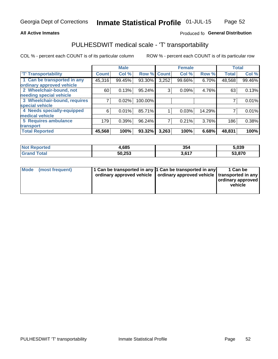## **All Active Inmates**

## Produced fo General Distribution

# PULHESDWIT medical scale - 'T' transportability

COL % - percent each COUNT is of its particular column

|                              |                    | <b>Male</b> |         |              | <b>Female</b> |        | <b>Total</b> |        |
|------------------------------|--------------------|-------------|---------|--------------|---------------|--------|--------------|--------|
| <b>T' Transportability</b>   | Count <sup>!</sup> | Col %       | Row %   | <b>Count</b> | Col %         | Row %  | <b>Total</b> | Col %  |
| 1 Can be transported in any  | 45,316             | 99.45%      | 93.30%  | 3,252        | 99.66%        | 6.70%  | 48,568       | 99.46% |
| ordinary approved vehicle    |                    |             |         |              |               |        |              |        |
| 2 Wheelchair-bound, not      | 60                 | 0.13%       | 95.24%  | 3            | 0.09%         | 4.76%  | 63           | 0.13%  |
| needing special vehicle      |                    |             |         |              |               |        |              |        |
| 3 Wheelchair-bound, requires |                    | 0.02%       | 100.00% |              |               |        |              | 0.01%  |
| special vehicle              |                    |             |         |              |               |        |              |        |
| 4 Needs specially-equipped   | 6                  | 0.01%       | 85.71%  |              | 0.03%         | 14.29% |              | 0.01%  |
| medical vehicle              |                    |             |         |              |               |        |              |        |
| <b>5 Requires ambulance</b>  | 179                | 0.39%       | 96.24%  | 7            | 0.21%         | 3.76%  | 186          | 0.38%  |
| transport                    |                    |             |         |              |               |        |              |        |
| <b>Total Reported</b>        | 45,568             | 100%        | 93.32%  | 3,263        | 100%          | 6.68%  | 48,831       | 100%   |

| orted | 1,685  | 354  | 5,039 |
|-------|--------|------|-------|
|       | 50,253 | 0.47 | 870.  |

|  | Mode (most frequent) | 1 Can be transported in any 1 Can be transported in any<br>ordinary approved vehicle   ordinary approved vehicle   transported in any |  | 1 Can be<br>  ordinary approved  <br>vehicle |
|--|----------------------|---------------------------------------------------------------------------------------------------------------------------------------|--|----------------------------------------------|
|--|----------------------|---------------------------------------------------------------------------------------------------------------------------------------|--|----------------------------------------------|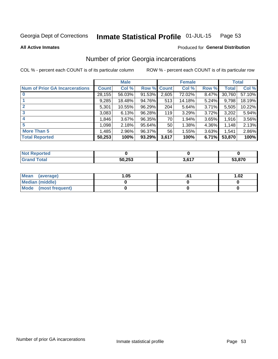#### Inmate Statistical Profile 01-JUL-15 Page 53

**All Active Inmates** 

### Produced for General Distribution

# Number of prior Georgia incarcerations

COL % - percent each COUNT is of its particular column

|                                       |              | <b>Male</b> |                    |       | <b>Female</b> |       |        | <b>Total</b> |
|---------------------------------------|--------------|-------------|--------------------|-------|---------------|-------|--------|--------------|
| <b>Num of Prior GA Incarcerations</b> | <b>Count</b> | Col %       | <b>Row % Count</b> |       | Col %         | Row % | Total  | Col %        |
| $\bf{0}$                              | 28,155       | 56.03%      | 91.53%             | 2,605 | 72.02%        | 8.47% | 30,760 | 57.10%       |
|                                       | 9,285        | 18.48%      | 94.76%             | 513   | 14.18%        | 5.24% | 9,798  | 18.19%       |
| $\mathbf{2}$                          | 5,301        | 10.55%      | 96.29%             | 204   | 5.64%         | 3.71% | 5,505  | 10.22%       |
| 3                                     | 3,083        | 6.13%       | 96.28%             | 119   | 3.29%         | 3.72% | 3,202  | 5.94%        |
| 4                                     | 1,846        | 3.67%       | 96.35%             | 70    | 1.94%         | 3.65% | 1,916  | 3.56%        |
| 5                                     | 1,098        | 2.18%       | 95.64%             | 50    | 1.38%         | 4.36% | 1,148  | 2.13%        |
| <b>More Than 5</b>                    | 1,485        | 2.96%       | 96.37%             | 56    | 1.55%         | 3.63% | 1,541  | 2.86%        |
| <b>Total Reported</b>                 | 50,253       | 100%        | 93.29%             | 3,617 | 100%          | 6.71% | 53,870 | 100%         |

| <b>Not</b><br>Reported |        |                                     |        |
|------------------------|--------|-------------------------------------|--------|
| $\tau$ otal<br>"Gran∟  | 50,253 | 2017<br>$\mathbf{u}$ , $\mathbf{u}$ | 53,870 |

| Mean (average)       | .05 | 1.02 |
|----------------------|-----|------|
| Median (middle)      |     |      |
| Mode (most frequent) |     |      |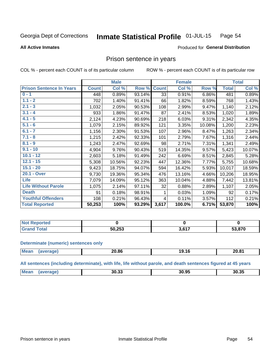#### Inmate Statistical Profile 01-JUL-15 Page 54

**All Active Inmates** 

## **Produced for General Distribution**

## Prison sentence in years

COL % - percent each COUNT is of its particular column

ROW % - percent each COUNT is of its particular row

|                                 |              | <b>Male</b> |        |              | <b>Female</b> |        |              | <b>Total</b> |
|---------------------------------|--------------|-------------|--------|--------------|---------------|--------|--------------|--------------|
| <b>Prison Sentence In Years</b> | <b>Count</b> | Col %       | Row %  | <b>Count</b> | Col %         | Row %  | <b>Total</b> | Col %        |
| $0 - 1$                         | 448          | 0.89%       | 93.14% | 33           | 0.91%         | 6.86%  | 481          | 0.89%        |
| $1.1 - 2$                       | 702          | 1.40%       | 91.41% | 66           | 1.82%         | 8.59%  | 768          | 1.43%        |
| $2.1 - 3$                       | 1,032        | 2.05%       | 90.53% | 108          | 2.99%         | 9.47%  | 1,140        | 2.12%        |
| $3.1 - 4$                       | 933          | 1.86%       | 91.47% | 87           | 2.41%         | 8.53%  | 1,020        | 1.89%        |
| $4.1 - 5$                       | 2,124        | 4.23%       | 90.69% | 218          | 6.03%         | 9.31%  | 2,342        | 4.35%        |
| $5.1 - 6$                       | 1,079        | 2.15%       | 89.92% | 121          | 3.35%         | 10.08% | 1,200        | 2.23%        |
| $6.1 - 7$                       | 1,156        | 2.30%       | 91.53% | 107          | 2.96%         | 8.47%  | 1,263        | 2.34%        |
| $7.1 - 8$                       | 1,215        | 2.42%       | 92.33% | 101          | 2.79%         | 7.67%  | 1,316        | 2.44%        |
| $8.1 - 9$                       | 1,243        | 2.47%       | 92.69% | 98           | 2.71%         | 7.31%  | 1,341        | 2.49%        |
| $9.1 - 10$                      | 4,904        | 9.76%       | 90.43% | 519          | 14.35%        | 9.57%  | 5,423        | 10.07%       |
| $10.1 - 12$                     | 2,603        | 5.18%       | 91.49% | 242          | 6.69%         | 8.51%  | 2,845        | 5.28%        |
| $12.1 - 15$                     | 5,308        | 10.56%      | 92.23% | 447          | 12.36%        | 7.77%  | 5,755        | 10.68%       |
| $15.1 - 20$                     | 9,423        | 18.75%      | 94.07% | 594          | 16.42%        | 5.93%  | 10,017       | 18.59%       |
| 20.1 - Over                     | 9,730        | 19.36%      | 95.34% | 476          | 13.16%        | 4.66%  | 10,206       | 18.95%       |
| <b>Life</b>                     | 7,079        | 14.09%      | 95.12% | 363          | 10.04%        | 4.88%  | 7,442        | 13.81%       |
| <b>Life Without Parole</b>      | 1,075        | 2.14%       | 97.11% | 32           | 0.88%         | 2.89%  | 1,107        | 2.05%        |
| <b>Death</b>                    | 91           | 0.18%       | 98.91% |              | 0.03%         | 1.09%  | 92           | 0.17%        |
| <b>Youthful Offenders</b>       | 108          | 0.21%       | 96.43% | 4            | 0.11%         | 3.57%  | 112          | 0.21%        |
| <b>Total Reported</b>           | 50,253       | 100%        | 93.29% | 3,617        | 100.0%        | 6.71%  | 53,870       | 100%         |

| ported<br>I NOT |                  |      |        |
|-----------------|------------------|------|--------|
| A <sub>1</sub>  | にへ つにつ<br>50,253 | 2017 | 53,870 |

### **Determinate (numeric) sentences only**

| <b>Mean</b> | 20.86 | . .<br>19.16 | 20.81 |
|-------------|-------|--------------|-------|
|             |       |              |       |

All sentences (including determinate), with life, life without parole, and death sentences figured at 45 years

| Mean | 30.33 | 30.95 | 30.35 |
|------|-------|-------|-------|
|      |       |       |       |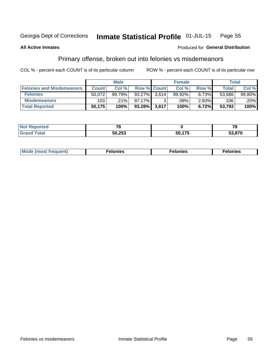#### Inmate Statistical Profile 01-JUL-15 Page 55

### **All Active Inmates**

## **Produced for General Distribution**

# Primary offense, broken out into felonies vs misdemeanors

COL % - percent each COUNT is of its particular column

|                                  |              | <b>Male</b> |                    |       | <b>Female</b> |          | Total        |        |
|----------------------------------|--------------|-------------|--------------------|-------|---------------|----------|--------------|--------|
| <b>Felonies and Misdemeanors</b> | <b>Count</b> | Col %       | <b>Row % Count</b> |       | Col %         | Row %    | <b>Total</b> | Col %  |
| <b>Felonies</b>                  | 50.072       | 99.79%      | 93.27%             | 3.614 | 99.92%        | 6.73%    | 53,686       | 99.80% |
| <b>Misdemeanors</b>              | 103          | .21%        | 97.17%             |       | .08%          | $2.83\%$ | 106          | .20%   |
| <b>Total Reported</b>            | 50,175       | 100%        | $93.28\%$          | 3.617 | 100%          | 6.72%    | 53,792       | 100%   |

| <b>Not Reported</b> | $\overline{\phantom{a}}$ |        | 70     |
|---------------------|--------------------------|--------|--------|
| Total<br>Grano      | 50,253                   | 50 17F | 53,870 |

| Mo | ____ | 11 C.S<br>. | onies<br>. |
|----|------|-------------|------------|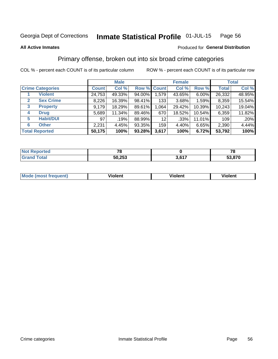#### Inmate Statistical Profile 01-JUL-15 Page 56

### **All Active Inmates**

## Produced for General Distribution

# Primary offense, broken out into six broad crime categories

COL % - percent each COUNT is of its particular column

|                                 |              | <b>Male</b> |        |                 | <b>Female</b> |          |              | <b>Total</b> |
|---------------------------------|--------------|-------------|--------|-----------------|---------------|----------|--------------|--------------|
| <b>Crime Categories</b>         | <b>Count</b> | Col %       |        | Row % Count     | Col %         | Row %    | <b>Total</b> | Col %        |
| <b>Violent</b>                  | 24,753       | 49.33%      | 94.00% | 1,579           | 43.65%        | $6.00\%$ | 26,332       | 48.95%       |
| <b>Sex Crime</b><br>2           | 8,226        | 16.39%      | 98.41% | 133             | 3.68%         | 1.59%    | 8,359        | 15.54%       |
| $\mathbf{3}$<br><b>Property</b> | 9,179        | 18.29%      | 89.61% | 1,064           | 29.42%        | 10.39%   | 10,243       | 19.04%       |
| <b>Drug</b><br>4                | 5,689        | 11.34%      | 89.46% | 670             | 18.52%        | 10.54%   | 6,359        | 11.82%       |
| <b>Habit/DUI</b><br>5           | 97           | .19%        | 88.99% | 12 <sub>2</sub> | .33%          | 11.01%   | 109          | .20%         |
| <b>Other</b><br>6               | 2,231        | 4.45%       | 93.35% | 159             | 4.40%         | 6.65%    | 2,390        | 4.44%        |
| <b>Total Reported</b>           | 50,175       | 100%        | 93.28% | 3,617           | 100%          | 6.72%    | 53,792       | 100%         |

| rtea<br>NO |        |                  | 70<br>u |
|------------|--------|------------------|---------|
| Ento.      | 50,253 | . C47<br>ו ו טוי | 53,870  |

| Mo<br>uent)<br>nos | .<br>/iolent | <br>Violent | - --<br><b>Tiolent</b> |
|--------------------|--------------|-------------|------------------------|
|                    |              |             |                        |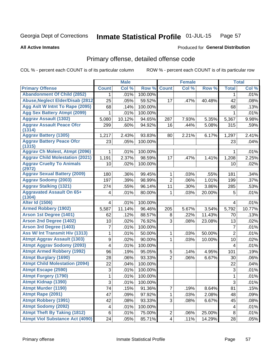**All Active Inmates** 

#### Inmate Statistical Profile 01-JUL-15 Page 57

**Produced for General Distribution** 

# Primary offense, detailed offense code

COL % - percent each COUNT is of its particular column

|                                            |                           | <b>Male</b> |         |                | <b>Female</b> |        |                         | <b>Total</b> |
|--------------------------------------------|---------------------------|-------------|---------|----------------|---------------|--------|-------------------------|--------------|
| <b>Primary Offense</b>                     | <b>Count</b>              | Col %       | Row %   | <b>Count</b>   | Col %         | Row %  | <b>Total</b>            | Col %        |
| <b>Abandonment Of Child (2852)</b>         | $\mathbf{1}$              | .01%        | 100.00% |                |               |        | 1                       | .01%         |
| <b>Abuse, Neglect Elder/Disab (2812)</b>   | 25                        | .05%        | 59.52%  | 17             | .47%          | 40.48% | 42                      | .08%         |
| Agg Aslt W Intnt To Rape (2095)            | 68                        | .14%        | 100.00% |                |               |        | 68                      | .13%         |
| <b>Agg Sex Battery Atmpt (2099)</b>        | 1                         | .01%        | 100.00% |                |               |        | 1                       | .01%         |
| <b>Aggrav Assault (1302)</b>               | 5,080                     | 10.12%      | 94.65%  | 287            | 7.93%         | 5.35%  | 5,367                   | 9.98%        |
| <b>Aggrav Assault Peace Ofcr</b><br>(1314) | 299                       | .60%        | 94.92%  | 16             | .44%          | 5.08%  | 315                     | .59%         |
| <b>Aggrav Battery (1305)</b>               | 1,217                     | 2.43%       | 93.83%  | 80             | 2.21%         | 6.17%  | 1,297                   | 2.41%        |
| <b>Aggrav Battery Peace Ofcr</b><br>(1315) | 23                        | .05%        | 100.00% |                |               |        | 23                      | .04%         |
| <b>Aggrav Ch Molest, Atmpt (2096)</b>      | 1                         | .01%        | 100.00% |                |               |        |                         | .01%         |
| <b>Aggrav Child Molestation (2021)</b>     | 1,191                     | 2.37%       | 98.59%  | 17             | .47%          | 1.41%  | 1,208                   | 2.25%        |
| <b>Aggrav Cruelty To Animals</b><br>(2972) | 10                        | .02%        | 100.00% |                |               |        | 10                      | .02%         |
| <b>Aggrav Sexual Battery (2009)</b>        | 180                       | .36%        | 99.45%  | 1              | .03%          | .55%   | 181                     | .34%         |
| <b>Aggrav Sodomy (2003)</b>                | 197                       | .39%        | 98.99%  | $\overline{2}$ | .06%          | 1.01%  | 199                     | .37%         |
| <b>Aggrav Stalking (1321)</b>              | 274                       | .55%        | 96.14%  | 11             | .30%          | 3.86%  | 285                     | .53%         |
| <b>Aggravated Assault On 65+</b><br>(1304) | 4                         | .01%        | 80.00%  | 1              | .03%          | 20.00% | 5                       | .01%         |
| <b>Alter Id (1506)</b>                     | $\overline{\mathbf{4}}$   | .01%        | 100.00% |                |               |        | 4                       | .01%         |
| <b>Armed Robbery (1902)</b>                | 5,587                     | 11.14%      | 96.46%  | 205            | 5.67%         | 3.54%  | 5,792                   | 10.77%       |
| Arson 1st Degree (1401)                    | 62                        | .12%        | 88.57%  | 8              | .22%          | 11.43% | 70                      | .13%         |
| <b>Arson 2nd Degree (1402)</b>             | 10                        | .02%        | 76.92%  | 3              | .08%          | 23.08% | 13                      | .02%         |
| <b>Arson 3rd Degree (1403)</b>             | 7                         | .01%        | 100.00% |                |               |        | $\overline{7}$          | .01%         |
| <b>Ass W/ Int Transmit Hiv (1313)</b>      | 1                         | .01%        | 50.00%  | 1              | .03%          | 50.00% | $\overline{2}$          | .01%         |
| <b>Atmpt Aggrav Assault (1303)</b>         | $\overline{9}$            | .02%        | 90.00%  | $\mathbf{1}$   | .03%          | 10.00% | 10                      | .02%         |
| <b>Atmpt Aggrav Sodomy (2093)</b>          | 4                         | .01%        | 100.00% |                |               |        | 4                       | .01%         |
| <b>Atmpt Armed Robbery (1992)</b>          | 96                        | .19%        | 95.05%  | 5              | .14%          | 4.95%  | 101                     | .19%         |
| <b>Atmpt Burglary (1690)</b>               | 28                        | .06%        | 93.33%  | $\overline{2}$ | .06%          | 6.67%  | 30                      | .06%         |
| <b>Atmpt Child Molestation (2094)</b>      | 22                        | .04%        | 100.00% |                |               |        | 22                      | .04%         |
| <b>Atmpt Escape (2590)</b>                 | $\ensuremath{\mathsf{3}}$ | .01%        | 100.00% |                |               |        | 3                       | .01%         |
| <b>Atmpt Forgery (1790)</b>                | $\mathbf{1}$              | .01%        | 100.00% |                |               |        | 1                       | .01%         |
| <b>Atmpt Kidnap (1390)</b>                 | $\overline{3}$            | .01%        | 100.00% |                |               |        | $\overline{3}$          | .01%         |
| <b>Atmpt Murder (1190)</b>                 | 74                        | .15%        | 91.36%  | $\overline{7}$ | .19%          | 8.64%  | 81                      | .15%         |
| Atmpt Rape (2091)                          | 47                        | .09%        | 97.92%  | 1              | .03%          | 2.08%  | 48                      | .09%         |
| <b>Atmpt Robbery (1991)</b>                | 42                        | .08%        | 93.33%  | 3              | .08%          | 6.67%  | 45                      | .08%         |
| <b>Atmpt Sodomy (2092)</b>                 | $\overline{\mathbf{4}}$   | .01%        | 100.00% |                |               |        | $\overline{\mathbf{4}}$ | .01%         |
| <b>Atmpt Theft By Taking (1812)</b>        | 6                         | .01%        | 75.00%  | $\overline{c}$ | .06%          | 25.00% | 8                       | .01%         |
| <b>Atmpt Viol Substance Act (4090)</b>     | 24                        | .05%        | 85.71%  | $\overline{4}$ | .11%          | 14.29% | 28                      | .05%         |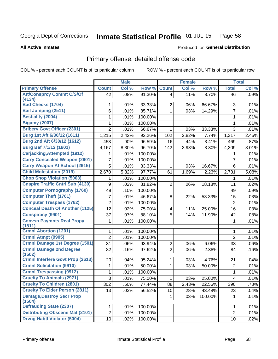#### Inmate Statistical Profile 01-JUL-15 Page 58

### **All Active Inmates**

# **Produced for General Distribution**

# Primary offense, detailed offense code

COL % - percent each COUNT is of its particular column

|                                          |                | <b>Male</b> |         |                | <b>Female</b> |         |                | <b>Total</b> |
|------------------------------------------|----------------|-------------|---------|----------------|---------------|---------|----------------|--------------|
| <b>Primary Offense</b>                   | <b>Count</b>   | Col %       | Row %   | <b>Count</b>   | Col %         | Row %   | <b>Total</b>   | Col %        |
| <b>Att/Consprcy Commt C/S/Of</b>         | 42             | .08%        | 91.30%  | 4              | .11%          | 8.70%   | 46             | .09%         |
| (4134)                                   |                |             |         |                |               |         |                |              |
| <b>Bad Checks (1704)</b>                 | 1              | .01%        | 33.33%  | 2              | .06%          | 66.67%  | 3              | .01%         |
| <b>Bail Jumping (2511)</b>               | 6              | .01%        | 85.71%  | 1              | .03%          | 14.29%  | $\overline{7}$ | .01%         |
| <b>Bestiality (2004)</b>                 | 1              | .01%        | 100.00% |                |               |         | $\mathbf{1}$   | .01%         |
| <b>Bigamy (2007)</b>                     | 1              | .01%        | 100.00% |                |               |         | 1              | .01%         |
| <b>Bribery Govt Officer (2301)</b>       | $\overline{2}$ | .01%        | 66.67%  | 1              | .03%          | 33.33%  | $\mathfrak{S}$ | .01%         |
| Burg 1st Aft 6/30/12 (1611)              | 1,215          | 2.42%       | 92.26%  | 102            | 2.82%         | 7.74%   | 1,317          | 2.45%        |
| Burg 2nd Aft 6/30/12 (1612)              | 453            | .90%        | 96.59%  | 16             | .44%          | 3.41%   | 469            | .87%         |
| <b>Burg Bef 7/1/12 (1601)</b>            | 4,167          | 8.30%       | 96.70%  | 142            | 3.93%         | 3.30%   | 4,309          | 8.01%        |
| <b>Carjacking, Attempted (1912)</b>      | 1              | .01%        | 100.00% |                |               |         | 1              | .01%         |
| <b>Carry Concealed Weapon (2901)</b>     | $\overline{7}$ | .01%        | 100.00% |                |               |         | 7              | .01%         |
| <b>Carry Weapon At School (2915)</b>     | 5              | .01%        | 83.33%  | 1              | .03%          | 16.67%  | $6\phantom{1}$ | .01%         |
| <b>Child Molestation (2019)</b>          | 2,670          | 5.32%       | 97.77%  | 61             | 1.69%         | 2.23%   | 2,731          | 5.08%        |
| <b>Chop Shop Violation (5003)</b>        | 1              | .01%        | 100.00% |                |               |         | 1              | .01%         |
| <b>Cnspire Traffic Cntrl Sub (4130)</b>  | 9              | .02%        | 81.82%  | $\overline{2}$ | .06%          | 18.18%  | 11             | .02%         |
| <b>Computer Pornography (1760)</b>       | 49             | .10%        | 100.00% |                |               |         | 49             | .09%         |
| <b>Computer Theft (1761)</b>             | $\overline{7}$ | .01%        | 46.67%  | 8              | .22%          | 53.33%  | 15             | .03%         |
| <b>Computer Trespass (1762)</b>          | $\overline{2}$ | .01%        | 100.00% |                |               |         | $\overline{2}$ | .01%         |
| <b>Conceal Death Of Another (1125)</b>   | 12             | .02%        | 75.00%  | 4              | .11%          | 25.00%  | 16             | .03%         |
| <b>Conspiracy (9901)</b>                 | 37             | .07%        | 88.10%  | 5              | .14%          | 11.90%  | 42             | .08%         |
| <b>Convsn Paymnts Real Propy</b>         | 1              | .01%        | 100.00% |                |               |         | 1              | .01%         |
| (1811)                                   |                |             |         |                |               |         |                |              |
| <b>Crmnl Abortion (1201)</b>             | 1              | .01%        | 100.00% |                |               |         | 1              | .01%         |
| Crmnl Atmpt (9905)                       | $\overline{2}$ | .01%        | 100.00% |                |               |         | $\overline{2}$ | .01%         |
| <b>Crmnl Damage 1st Degree (1501)</b>    | 31             | .06%        | 93.94%  | $\overline{2}$ | .06%          | 6.06%   | 33             | .06%         |
| <b>Crmnl Damage 2nd Degree</b><br>(1502) | 82             | .16%        | 97.62%  | $\overline{2}$ | .06%          | 2.38%   | 84             | .16%         |
| Crmnl Interfere Govt Prop (2613)         | 20             | .04%        | 95.24%  | 1              | .03%          | 4.76%   | 21             | .04%         |
| <b>Crmnl Solicitation (9910)</b>         | 1              | .01%        | 50.00%  | 1              | .03%          | 50.00%  | $\overline{2}$ | .01%         |
| <b>Crmnl Trespassing (9912)</b>          | 1              | .01%        | 100.00% |                |               |         | 1              | .01%         |
| <b>Cruelty To Animals (2971)</b>         | 3              | .01%        | 75.00%  | 1              | .03%          | 25.00%  | 4              | .01%         |
| <b>Cruelty To Children (2801)</b>        | 302            | .60%        | 77.44%  | 88             | 2.43%         | 22.56%  | 390            | .73%         |
| <b>Cruelty To Elder Person (2811)</b>    | 13             | .03%        | 56.52%  | 10             | .28%          | 43.48%  | 23             | .04%         |
| <b>Damage, Destroy Secr Prop</b>         |                |             |         | $\mathbf 1$    | .03%          | 100.00% | $\mathbf{1}$   | .01%         |
| (1504)                                   |                |             |         |                |               |         |                |              |
| <b>Defrauding State (2307)</b>           | 1              | .01%        | 100.00% |                |               |         | 1              | .01%         |
| <b>Distributing Obscene Mat (2101)</b>   | $\overline{2}$ | .01%        | 100.00% |                |               |         | $\overline{2}$ | .01%         |
| <b>Drvng Habtl Violator (5004)</b>       | 10             | .02%        | 100.00% |                |               |         | 10             | .02%         |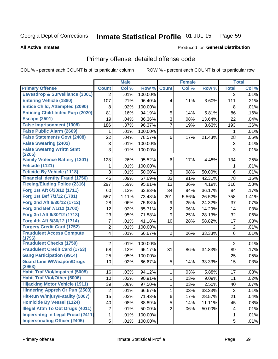#### Inmate Statistical Profile 01-JUL-15 Page 59

### **All Active Inmates**

# **Produced for General Distribution**

# Primary offense, detailed offense code

COL % - percent each COUNT is of its particular column

|                                            |                 | <b>Male</b> |         |                | <b>Female</b> |        |                         | <b>Total</b> |
|--------------------------------------------|-----------------|-------------|---------|----------------|---------------|--------|-------------------------|--------------|
| <b>Primary Offense</b>                     | <b>Count</b>    | Col %       | Row %   | <b>Count</b>   | Col %         | Row %  | <b>Total</b>            | Col %        |
| <b>Eavesdrop &amp; Surveillance (3001)</b> | $\overline{2}$  | .01%        | 100.00% |                |               |        | $\overline{2}$          | .01%         |
| <b>Entering Vehicle (1880)</b>             | 107             | .21%        | 96.40%  | 4              | .11%          | 3.60%  | 111                     | .21%         |
| <b>Entice Child, Attempted (2090)</b>      | 8               | .02%        | 100.00% |                |               |        | 8                       | .01%         |
| <b>Enticing Child-Indec Purp (2020)</b>    | 81              | .16%        | 94.19%  | 5              | .14%          | 5.81%  | 86                      | .16%         |
| <b>Escape (2501)</b>                       | 19              | .04%        | 86.36%  | $\overline{3}$ | .08%          | 13.64% | 22                      | .04%         |
| <b>False Imprisonment (1308)</b>           | 186             | .37%        | 96.37%  | $\overline{7}$ | .19%          | 3.63%  | 193                     | .36%         |
| <b>False Public Alarm (2609)</b>           |                 | .01%        | 100.00% |                |               |        | 1                       | .01%         |
| <b>False Statements Govt (2408)</b>        | 22              | .04%        | 78.57%  | 6              | .17%          | 21.43% | 28                      | .05%         |
| <b>False Swearing (2402)</b>               | 3               | .01%        | 100.00% |                |               |        | 3                       | .01%         |
| <b>False Swearng Writtn Stmt</b><br>(2205) | 3               | .01%        | 100.00% |                |               |        | 3                       | .01%         |
| <b>Family Violence Battery (1301)</b>      | 128             | .26%        | 95.52%  | 6              | .17%          | 4.48%  | 134                     | .25%         |
| Feticide (1121)                            | 1               | .01%        | 100.00% |                |               |        | 1                       | .01%         |
| <b>Feticide By Vehicle (1118)</b>          | 3               | .01%        | 50.00%  | 3              | .08%          | 50.00% | 6                       | .01%         |
| <b>Financial Identity Fraud (1756)</b>     | 45              | .09%        | 57.69%  | 33             | .91%          | 42.31% | 78                      | .15%         |
| <b>Fleeing/Eluding Police (2316)</b>       | 297             | .59%        | 95.81%  | 13             | .36%          | 4.19%  | 310                     | .58%         |
| Forg 1st Aft 6/30/12 (1711)                | 60              | .12%        | 63.83%  | 34             | .94%          | 36.17% | 94                      | .17%         |
| Forg 1st Bef 7/1/12 (1701)                 | 557             | 1.11%       | 73.48%  | 201            | 5.56%         | 26.52% | 758                     | 1.41%        |
| Forg 2nd Aft 6/30/12 (1712)                | 28              | .06%        | 75.68%  | 9              | .25%          | 24.32% | 37                      | .07%         |
| Forg 2nd Bef 7/1/12 (1702)                 | 12              | .02%        | 85.71%  | $\overline{2}$ | .06%          | 14.29% | 14                      | .03%         |
| Forg 3rd Aft 6/30/12 (1713)                | 23              | .05%        | 71.88%  | 9              | .25%          | 28.13% | 32                      | .06%         |
| Forg 4th Aft 6/30/12 (1714)                | 7               | .01%        | 41.18%  | 10             | .28%          | 58.82% | 17                      | .03%         |
| <b>Forgery Credit Card (1752)</b>          | $\overline{c}$  | .01%        | 100.00% |                |               |        | $\overline{2}$          | .01%         |
| <b>Fraudulent Access Compute</b>           | 4               | .01%        | 66.67%  | $\overline{2}$ | .06%          | 33.33% | 6                       | .01%         |
| (1796)                                     |                 |             |         |                |               |        |                         |              |
| <b>Fraudulent Checks (1750)</b>            | $\overline{2}$  | .01%        | 100.00% |                |               |        | $\overline{2}$          | .01%         |
| <b>Fraudulent Credit Card (1753)</b>       | 58              | .12%        | 65.17%  | 31             | .86%          | 34.83% | 89                      | .17%         |
| <b>Gang Participation (9914)</b>           | 25              | .05%        | 100.00% |                |               |        | 25                      | .05%         |
| <b>Guard Line W/Weapon/Drugs</b><br>(2963) | 10              | .02%        | 66.67%  | 5              | .14%          | 33.33% | 15                      | .03%         |
| <b>Habit Traf Viol/Impaired (5005)</b>     | 16              | .03%        | 94.12%  | 1              | .03%          | 5.88%  | 17                      | .03%         |
| <b>Habit Traf Viol/Other (5006)</b>        | 10              | .02%        | 90.91%  | 1              | .03%          | 9.09%  | 11                      | .02%         |
| <b>Hijacking Motor Vehicle (1911)</b>      | 39              | .08%        | 97.50%  | $\mathbf{1}$   | .03%          | 2.50%  | 40                      | .07%         |
| <b>Hindering Appreh Or Pun (2503)</b>      | $\overline{c}$  | .01%        | 66.67%  | $\mathbf{1}$   | .03%          | 33.33% | 3                       | .01%         |
| Hit-Run W/Injury/Fatality (5007)           | $\overline{15}$ | .03%        | 71.43%  | 6              | .17%          | 28.57% | 21                      | .04%         |
| <b>Homicide By Vessel (1124)</b>           | 40              | .08%        | 88.89%  | 5              | .14%          | 11.11% | 45                      | .08%         |
| <b>Illegal Attm To Obt Drugs (4011)</b>    | $\overline{2}$  | .01%        | 50.00%  | $\overline{2}$ | .06%          | 50.00% | $\overline{\mathbf{4}}$ | .01%         |
| <b>Impersntng In Legal Procd (2411)</b>    | 1               | .01%        | 100.00% |                |               |        | 1                       | .01%         |
| <b>Impersonating Officer (2405)</b>        | 5               | .01%        | 100.00% |                |               |        | 5                       | .01%         |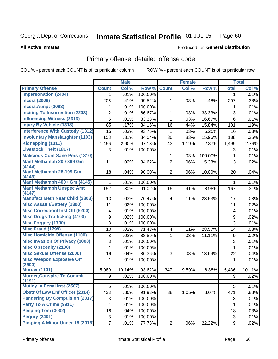#### Inmate Statistical Profile 01-JUL-15 Page 60

### **All Active Inmates**

## **Produced for General Distribution**

# Primary offense, detailed offense code

COL % - percent each COUNT is of its particular column

|                                             |                | <b>Male</b> |         |                | <b>Female</b> |         |                         | <b>Total</b> |
|---------------------------------------------|----------------|-------------|---------|----------------|---------------|---------|-------------------------|--------------|
| <b>Primary Offense</b>                      | <b>Count</b>   | Col %       | Row %   | <b>Count</b>   | Col %         | Row %   | <b>Total</b>            | Col %        |
| <b>Impersonation (2404)</b>                 |                | .01%        | 100.00% |                |               |         | 1                       | .01%         |
| <b>Incest (2006)</b>                        | 206            | .41%        | 99.52%  | $\mathbf 1$    | .03%          | .48%    | 207                     | .38%         |
| <b>Incest, Atmpt (2098)</b>                 | 1              | .01%        | 100.00% |                |               |         | 1                       | .01%         |
| <b>Inciting To Insurrection (2203)</b>      | 2              | .01%        | 66.67%  | $\mathbf{1}$   | .03%          | 33.33%  | 3                       | .01%         |
| <b>Influencing Witness (2313)</b>           | 5              | .01%        | 83.33%  | $\mathbf{1}$   | .03%          | 16.67%  | 6                       | .01%         |
| <b>Injury By Vehicle (1318)</b>             | 85             | .17%        | 84.16%  | 16             | .44%          | 15.84%  | 101                     | .19%         |
| <b>Interference With Custody (1312)</b>     | 15             | .03%        | 93.75%  | $\mathbf{1}$   | .03%          | 6.25%   | 16                      | .03%         |
| <b>Involuntary Manslaughter (1103)</b>      | 158            | .31%        | 84.04%  | 30             | .83%          | 15.96%  | 188                     | .35%         |
| Kidnapping (1311)                           | 1,456          | 2.90%       | 97.13%  | 43             | 1.19%         | 2.87%   | 1,499                   | 2.79%        |
| <b>Livestock Theft (1817)</b>               | 3              | .01%        | 100.00% |                |               |         | 3                       | .01%         |
| <b>Malicious Conf Sane Pers (1310)</b>      |                |             |         | $\mathbf{1}$   | .03%          | 100.00% | 1                       | .01%         |
| Manf Methamph 200-399 Gm                    | 11             | .02%        | 84.62%  | $\overline{2}$ | .06%          | 15.38%  | 13                      | .02%         |
| (4144)                                      |                |             |         |                |               |         |                         |              |
| Manf Methamph 28-199 Gm<br>(4143)           | 18             | .04%        | 90.00%  | $\overline{2}$ | .06%          | 10.00%  | 20                      | .04%         |
| Manf Methamph 400+ Gm (4145)                | 1              | .01%        | 100.00% |                |               |         | $\mathbf 1$             | .01%         |
| <b>Manf Methamph Unspec Amt</b>             | 152            | .30%        | 91.02%  | 15             | .41%          | 8.98%   | 167                     | .31%         |
| (4147)                                      |                |             |         |                |               |         |                         |              |
| <b>Manufact Meth Near Child (2803)</b>      | 13             | .03%        | 76.47%  | $\overline{4}$ | .11%          | 23.53%  | 17                      | .03%         |
| <b>Misc Assault/Battery (1300)</b>          | 11             | .02%        | 100.00% |                |               |         | 11                      | .02%         |
| <b>Misc Correctionl Inst Off (6200)</b>     | 4              | .01%        | 100.00% |                |               |         | $\overline{\mathbf{4}}$ | .01%         |
| <b>Misc Drugs Trafficking (4100)</b>        | 9              | .02%        | 100.00% |                |               |         | 9                       | .02%         |
| <b>Misc Forgery (1700)</b>                  | 3              | .01%        | 100.00% |                |               |         | 3                       | .01%         |
| <b>Misc Fraud (1799)</b>                    | 10             | .02%        | 71.43%  | 4              | .11%          | 28.57%  | 14                      | .03%         |
| <b>Misc Homicide Offense (1100)</b>         | 8              | .02%        | 88.89%  | $\mathbf{1}$   | .03%          | 11.11%  | 9                       | .02%         |
| <b>Misc Invasion Of Privacy (3000)</b>      | 3              | .01%        | 100.00% |                |               |         | 3                       | .01%         |
| <b>Misc Obscenity (2100)</b>                | 1              | .01%        | 100.00% |                |               |         | 1                       | .01%         |
| <b>Misc Sexual Offense (2000)</b>           | 19             | .04%        | 86.36%  | 3              | .08%          | 13.64%  | 22                      | .04%         |
| <b>Misc Weapon/Explosive Off</b>            | 1              | .01%        | 100.00% |                |               |         | $\mathbf 1$             | .01%         |
| (2900)                                      |                |             |         |                |               |         |                         |              |
| <b>Murder (1101)</b>                        | 5,089          | 10.14%      | 93.62%  | 347            | 9.59%         | 6.38%   | 5,436                   | 10.11%       |
| <b>Murder, Conspire To Commit</b><br>(1191) | 9              | .02%        | 100.00% |                |               |         | 9                       | .02%         |
| Mutiny In Penal Inst (2507)                 | 5              | .01%        | 100.00% |                |               |         | 5                       | .01%         |
| <b>Obstr Of Law Enf Officer (2314)</b>      | 433            | .86%        | 91.93%  | 38             | 1.05%         | 8.07%   | 471                     | .88%         |
| <b>Pandering By Compulsion (2017)</b>       | 3              | .01%        | 100.00% |                |               |         | 3                       | .01%         |
| Party To A Crime (9911)                     | 1              | .01%        | 100.00% |                |               |         | 1                       | .01%         |
| Peeping Tom (3002)                          | 18             | .04%        | 100.00% |                |               |         | 18                      | .03%         |
| Perjury (2401)                              | 3              | .01%        | 100.00% |                |               |         | 3                       | .01%         |
| <b>Pimping A Minor Under 18 (2016)</b>      | $\overline{7}$ | .01%        | 77.78%  | 2              | .06%          | 22.22%  | 9                       | .02%         |
|                                             |                |             |         |                |               |         |                         |              |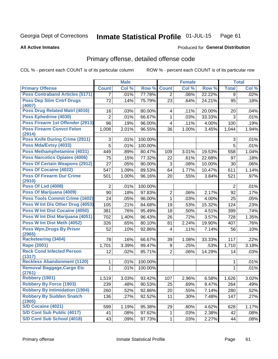#### Inmate Statistical Profile 01-JUL-15 Page 61

### **All Active Inmates**

## **Produced for General Distribution**

# Primary offense, detailed offense code

COL % - percent each COUNT is of its particular column

|                                              |                | <b>Male</b> |         |                         | <b>Female</b> |        |              | <b>Total</b> |
|----------------------------------------------|----------------|-------------|---------|-------------------------|---------------|--------|--------------|--------------|
| <b>Primary Offense</b>                       | <b>Count</b>   | Col %       | Row %   | <b>Count</b>            | Col %         | Row %  | <b>Total</b> | Col %        |
| <b>Poss Contraband Articles (5171)</b>       | $\overline{7}$ | .01%        | 77.78%  | $\overline{2}$          | .06%          | 22.22% | 9            | .02%         |
| <b>Poss Dep Stim Cntrf Drugs</b><br>(4007)   | 72             | .14%        | 75.79%  | 23                      | .64%          | 24.21% | 95           | .18%         |
| <b>Poss Drug Related Matri (4016)</b>        | 16             | .03%        | 80.00%  | $\overline{\mathbf{4}}$ | .11%          | 20.00% | 20           | .04%         |
| Poss Ephedrine (4030)                        | $\overline{2}$ | .01%        | 66.67%  | $\mathbf{1}$            | .03%          | 33.33% | 3            | .01%         |
| Poss Firearm 1st Offender (2913)             | 96             | .19%        | 96.00%  | 4                       | .11%          | 4.00%  | 100          | .19%         |
| <b>Poss Firearm Convct Felon</b>             | 1,008          | 2.01%       | 96.55%  | 36                      | 1.00%         | 3.45%  | 1,044        | 1.94%        |
| (2914)                                       |                |             |         |                         |               |        |              |              |
| <b>Poss Knife During Crime (2911)</b>        | 3              | .01%        | 100.00% |                         |               |        | 3            | .01%         |
| Poss Mda/Extsy (4033)                        | 5              | .01%        | 100.00% |                         |               |        | 5            | .01%         |
| Poss Methamphetamine (4031)                  | 449            | .89%        | 80.47%  | 109                     | 3.01%         | 19.53% | 558          | 1.04%        |
| <b>Poss Narcotics Opiates (4006)</b>         | 75             | .15%        | 77.32%  | 22                      | .61%          | 22.68% | 97           | .18%         |
| <b>Poss Of Certain Weapons (2912)</b>        | 27             | .05%        | 90.00%  | 3                       | .08%          | 10.00% | 30           | .06%         |
| Poss Of Cocaine (4022)                       | 547            | 1.09%       | 89.53%  | 64                      | 1.77%         | 10.47% | 611          | 1.14%        |
| <b>Poss Of Firearm Dur Crime</b><br>(2910)   | 501            | 1.00%       | 96.16%  | 20                      | .55%          | 3.84%  | 521          | .97%         |
| <b>Poss Of Lsd (4008)</b>                    | $\overline{2}$ | .01%        | 100.00% |                         |               |        | 2            | .01%         |
| Poss Of Marijuana (4009)                     | 90             | .18%        | 97.83%  | $\overline{2}$          | .06%          | 2.17%  | 92           | .17%         |
| <b>Poss Tools Commit Crime (1602)</b>        | 24             | .05%        | 96.00%  | 1                       | .03%          | 4.00%  | 25           | .05%         |
| Poss W Int Dis Other Drug (4053)             | 105            | .21%        | 84.68%  | 19                      | .53%          | 15.32% | 124          | .23%         |
| <b>Poss W Int Dist Cocaine (4050)</b>        | 381            | .76%        | 95.49%  | 18                      | .50%          | 4.51%  | 399          | .74%         |
| Poss W Int Dist Marijuana (4051)             | 702            | 1.40%       | 96.43%  | 26                      | .72%          | 3.57%  | 728          | 1.35%        |
| Poss W Int Dist Meth (4052)                  | 326            | .65%        | 80.10%  | 81                      | 2.24%         | 19.90% | 407          | .76%         |
| <b>Poss Wpn, Drugs By Prisnr</b><br>(2965)   | 52             | .10%        | 92.86%  | $\overline{\mathbf{4}}$ | .11%          | 7.14%  | 56           | .10%         |
| Racketeering (3404)                          | 78             | .16%        | 66.67%  | 39                      | 1.08%         | 33.33% | 117          | .22%         |
| Rape (2001)                                  | 1,701          | 3.39%       | 99.47%  | 9                       | .25%          | .53%   | 1,710        | 3.18%        |
| <b>Reck Cond Infected Person</b>             | 12             | .02%        | 85.71%  | $\overline{2}$          | .06%          | 14.29% | 14           | .03%         |
| (1317)<br><b>Reckless Abandonment (1120)</b> | 1              | .01%        | 100.00% |                         |               |        | 1            | .01%         |
| <b>Removal Baggage, Cargo Etc</b>            | $\mathbf{1}$   | .01%        | 100.00% |                         |               |        | 1            | .01%         |
| (2761)                                       |                |             |         |                         |               |        |              |              |
| <b>Robbery (1901)</b>                        | 1,519          | 3.03%       | 93.42%  | 107                     | 2.96%         | 6.58%  | 1,626        | 3.02%        |
| <b>Robbery By Force (1903)</b>               | 239            | .48%        | 90.53%  | 25                      | .69%          | 9.47%  | 264          | .49%         |
| <b>Robbery By Intimidation (1904)</b>        | 260            | .52%        | 92.86%  | 20                      | .55%          | 7.14%  | 280          | .52%         |
| <b>Robbery By Sudden Snatch</b>              | 136            | .27%        | 92.52%  | 11                      | .30%          | 7.48%  | 147          | .27%         |
| (1905)<br>S/D Cocaine (4021)                 | 599            |             | 95.38%  | 29                      |               |        | 628          | 1.17%        |
| S/D Cont Sub Public (4017)                   |                | 1.19%       |         |                         | .80%          | 4.62%  |              |              |
|                                              | 41             | .08%        | 97.62%  | 1                       | .03%          | 2.38%  | 42           | .08%         |
| S/D Cont Sub School (4018)                   | 43             | .09%        | 97.73%  | 1                       | .03%          | 2.27%  | 44           | .08%         |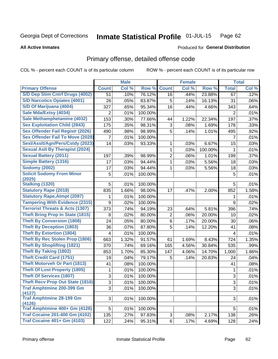#### Inmate Statistical Profile 01-JUL-15 Page 62

**All Active Inmates** 

## **Produced for General Distribution**

# Primary offense, detailed offense code

COL % - percent each COUNT is of its particular column

|                                                                                                                                                                     |                      | <b>Male</b>                  |                                        |                                  | <b>Female</b> |                | <b>Total</b>         |                              |
|---------------------------------------------------------------------------------------------------------------------------------------------------------------------|----------------------|------------------------------|----------------------------------------|----------------------------------|---------------|----------------|----------------------|------------------------------|
| <b>Primary Offense</b>                                                                                                                                              | <b>Count</b>         | Col %                        | Row %                                  | <b>Count</b>                     | Col %         | Row %          | <b>Total</b>         | Col %                        |
| S/D Dep Stim Cntrf Drugs (4002)                                                                                                                                     | 51                   | .10%                         | 76.12%                                 | 16                               | .44%          | 23.88%         | 67                   | .12%                         |
| <b>S/D Narcotics Opiates (4001)</b>                                                                                                                                 | 26                   | .05%                         | 83.87%                                 | 5                                | .14%          | 16.13%         | 31                   | .06%                         |
| S/D Of Marijuana (4004)                                                                                                                                             | 327                  | .65%                         | 95.34%                                 | 16                               | .44%          | 4.66%          | 343                  | .64%                         |
| Sale Mda/Extsy (4034)                                                                                                                                               | $\overline{2}$       | .01%                         | 100.00%                                |                                  |               |                | $\overline{2}$       | .01%                         |
| Sale Methamphetamine (4032)                                                                                                                                         | 153                  | .30%                         | 77.66%                                 | 44                               | 1.22%         | 22.34%         | 197                  | .37%                         |
| <b>Sex Exploitation Child (2843)</b>                                                                                                                                | 175                  | .35%                         | 98.31%                                 | 3                                | .08%          | 1.69%          | 178                  | .33%                         |
| <b>Sex Offender Fail Registr (2026)</b>                                                                                                                             | 490                  | .98%                         | 98.99%                                 | 5                                | .14%          | 1.01%          | 495                  | .92%                         |
| <b>Sex Offender Fail To Move (2028)</b>                                                                                                                             | 7                    | .01%                         | 100.00%                                |                                  |               |                | 7                    | .01%                         |
| Sexl/Asslt/Agn/Pers/Cstdy (2023)                                                                                                                                    | 14                   | .03%                         | 93.33%                                 | 1                                | .03%          | 6.67%          | 15                   | .03%                         |
| <b>Sexual Aslt By Therapist (2024)</b>                                                                                                                              |                      |                              |                                        | 1                                | .03%          | 100.00%        | 1                    | .01%                         |
| <b>Sexual Battery (2011)</b>                                                                                                                                        | 197                  | .39%                         | 98.99%                                 | $\overline{2}$                   | .06%          | 1.01%          | 199                  | .37%                         |
| Simple Battery (1316)                                                                                                                                               | 17                   | .03%                         | 94.44%                                 | 1                                | .03%          | 5.56%          | 18                   | .03%                         |
| <b>Sodomy (2002)</b>                                                                                                                                                | 17                   | .03%                         | 94.44%                                 | 1                                | .03%          | 5.56%          | 18                   | .03%                         |
| <b>Solicit Sodomy From Minor</b>                                                                                                                                    | 5                    | .01%                         | 100.00%                                |                                  |               |                | 5                    | .01%                         |
| (2025)                                                                                                                                                              |                      |                              |                                        |                                  |               |                |                      |                              |
| Stalking (1320)                                                                                                                                                     | 5                    | .01%                         | 100.00%                                |                                  |               |                | 5                    | .01%                         |
| <b>Statutory Rape (2018)</b>                                                                                                                                        | 835                  | 1.66%                        | 98.00%                                 | 17                               | .47%          | 2.00%          | 852                  | 1.58%                        |
| <b>Statutory Rape, Atmpt (2097)</b>                                                                                                                                 | 1                    | .01%                         | 100.00%                                |                                  |               |                | 1                    | .01%                         |
| <b>Tampering With Evidence (2315)</b>                                                                                                                               | 9                    | .02%                         | 100.00%                                |                                  |               |                | 9                    | .02%                         |
| <b>Terrorist Threats &amp; Acts (1307)</b>                                                                                                                          | 373                  | .74%                         | 94.19%                                 | 23                               | .64%          | 5.81%          | 396                  | .74%                         |
| <b>Theft Bring Prop In State (1815)</b>                                                                                                                             | 8                    | .02%                         | 80.00%                                 | $\overline{2}$                   | .06%          | 20.00%         | 10                   | .02%                         |
| <b>Theft By Conversion (1808)</b>                                                                                                                                   | 24                   | .05%                         | 80.00%                                 | 6                                | .17%          | 20.00%         | 30                   | .06%                         |
| <b>Theft By Deception (1803)</b>                                                                                                                                    | 36                   | .07%                         | 87.80%                                 | 5                                | .14%          | 12.20%         | 41                   | .08%                         |
| <b>Theft By Extortion (1804)</b>                                                                                                                                    | 4                    | .01%                         | 100.00%                                |                                  |               |                | 4                    | .01%                         |
| <b>Theft By Rec Stolen Prop (1806)</b>                                                                                                                              | 663                  | 1.32%                        | 91.57%                                 | 61                               | 1.69%         | 8.43%          | 724                  | 1.35%                        |
| <b>Theft By Shoplifting (1821)</b>                                                                                                                                  | 370                  | .74%                         | 69.16%                                 | 165                              | 4.56%         | 30.84%         | 535                  | .99%                         |
| <b>Theft By Taking (1802)</b>                                                                                                                                       | 853                  | 1.70%                        | 85.30%                                 | 147                              | 4.06%         | 14.70%         | 1,000                | 1.86%                        |
| <b>Theft Credit Card (1751)</b>                                                                                                                                     | 19                   | .04%                         | 79.17%                                 | 5                                | .14%          | 20.83%         | 24                   | .04%                         |
| <b>Theft Motorveh Or Part (1813)</b>                                                                                                                                | 41                   | .08%                         | 100.00%                                |                                  |               |                | 41                   | .08%                         |
| <b>Theft Of Lost Property (1805)</b>                                                                                                                                | 1                    | .01%                         | 100.00%                                |                                  |               |                | 1                    | .01%                         |
| <b>Theft Of Services (1807)</b>                                                                                                                                     | 3                    | .01%                         | 100.00%                                |                                  |               |                | 3                    | .01%                         |
| <b>Theft Recv Prop Out State (1816)</b>                                                                                                                             | $\overline{3}$       | .01%                         | 100.00%                                |                                  |               |                | $\overline{3}$       | .01%                         |
| <b>Traf Amphtmine 200-399 Gm</b>                                                                                                                                    | $\overline{3}$       | .01%                         | 100.00%                                |                                  |               |                | $\overline{3}$       | .01%                         |
|                                                                                                                                                                     |                      |                              |                                        |                                  |               |                |                      |                              |
|                                                                                                                                                                     |                      |                              |                                        |                                  |               |                |                      |                              |
|                                                                                                                                                                     |                      |                              |                                        |                                  |               |                |                      |                              |
|                                                                                                                                                                     |                      |                              |                                        |                                  |               |                |                      |                              |
|                                                                                                                                                                     |                      |                              |                                        |                                  |               |                |                      |                              |
| (4127)<br><b>Traf Amphtmine 28-199 Gm</b><br>(4126)<br>Traf Amphtmine 400+ Gm (4128)<br><b>Traf Cocaine 201-400 Gm (4102)</b><br><b>Traf Cocaine 401+ Gm (4103)</b> | 3<br>5<br>135<br>122 | .01%<br>.01%<br>.27%<br>.24% | 100.00%<br>100.00%<br>97.83%<br>95.31% | 3 <sup>1</sup><br>6 <sup>1</sup> | .08%<br>.17%  | 2.17%<br>4.69% | 3<br>5<br>138<br>128 | .01%<br>.01%<br>.26%<br>.24% |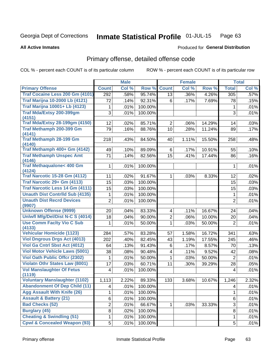#### Inmate Statistical Profile 01-JUL-15 Page 63

**All Active Inmates** 

## **Produced for General Distribution**

# Primary offense, detailed offense code

COL % - percent each COUNT is of its particular column

|                                                                            |                         | <b>Male</b> |         |                         | <b>Female</b> |        |                | <b>Total</b> |
|----------------------------------------------------------------------------|-------------------------|-------------|---------|-------------------------|---------------|--------|----------------|--------------|
| <b>Primary Offense</b>                                                     | <b>Count</b>            | Col %       | Row %   | <b>Count</b>            | Col %         | Row %  | <b>Total</b>   | Col %        |
| Traf Cocaine Less 200 Gm (4101)                                            | 292                     | .58%        | 95.74%  | $\overline{13}$         | .36%          | 4.26%  | 305            | .57%         |
| <b>Traf Marijna 10-2000 Lb (4121)</b>                                      | 72                      | .14%        | 92.31%  | 6                       | .17%          | 7.69%  | 78             | .15%         |
| <b>Traf Marijna 10001+ Lb (4123)</b>                                       | 1                       | .01%        | 100.00% |                         |               |        | 1              | .01%         |
| Traf Mda/Extsy 200-399gm                                                   | 3                       | .01%        | 100.00% |                         |               |        | 3              | .01%         |
| (4151)                                                                     |                         |             |         |                         |               |        |                |              |
| <b>Traf Mda/Extsy 28-199gm (4150)</b>                                      | 12                      | .02%        | 85.71%  | $\overline{2}$          | .06%          | 14.29% | 14             | .03%         |
| Traf Methamph 200-399 Gm<br>(4141)                                         | 79                      | .16%        | 88.76%  | 10                      | .28%          | 11.24% | 89             | .17%         |
| <b>Traf Methamph 28-199 Gm</b>                                             | 218                     | .43%        | 84.50%  | 40                      | 1.11%         | 15.50% | 258            | .48%         |
| (4140)                                                                     |                         |             |         |                         |               |        |                |              |
| Traf Methamph 400+ Gm (4142)                                               | 49                      | .10%        | 89.09%  | 6                       | .17%          | 10.91% | 55             | .10%         |
| <b>Traf Methamph Unspec Amt</b>                                            | 71                      | .14%        | 82.56%  | 15                      | .41%          | 17.44% | 86             | .16%         |
| (4146)                                                                     |                         |             |         |                         |               |        |                |              |
| <b>Traf Methaqualone&lt; 400 Gm</b>                                        | 1                       | .01%        | 100.00% |                         |               |        | 1              | .01%         |
| (4124)<br><b>Traf Narcotic 15-28 Gm (4112)</b>                             | 11                      | .02%        | 91.67%  | 1                       | .03%          | 8.33%  | 12             | .02%         |
| Traf Narcotic 29+ Gm (4113)                                                | 15                      | .03%        | 100.00% |                         |               |        | 15             | .03%         |
| <b>Traf Narcotic Less 14 Gm (4111)</b>                                     | 15                      | .03%        | 100.00% |                         |               |        | 15             | .03%         |
| <b>Unauth Dist Contrild Sub (4135)</b>                                     | 1                       | .01%        | 100.00% |                         |               |        | 1              | .01%         |
| <b>Unauth Dist Recrd Devices</b>                                           | $\overline{2}$          | .01%        | 100.00% |                         |               |        | $\overline{2}$ | .01%         |
| (9907)                                                                     |                         |             |         |                         |               |        |                |              |
| <b>Unknown Offense (9999)</b>                                              | 20                      | .04%        | 83.33%  | $\overline{\mathbf{4}}$ | .11%          | 16.67% | 24             | .04%         |
| <b>Uniwfl Mfg/Del/Dist N-C S (4014)</b>                                    | 18                      | .04%        | 90.00%  | $\overline{2}$          | .06%          | 10.00% | 20             | .04%         |
| <b>Use Comm Facity Vio C Sub</b>                                           | 1                       | .01%        | 50.00%  | 1                       | .03%          | 50.00% | $\overline{2}$ | .01%         |
| (4133)                                                                     |                         |             |         |                         |               |        |                |              |
| <b>Vehicular Homicide (1123)</b>                                           | 284                     | .57%        | 83.28%  | 57                      | 1.58%         | 16.72% | 341            | .63%         |
| <b>Viol Dngrous Drgs Act (4013)</b>                                        | 202                     | .40%        | 82.45%  | 43                      | 1.19%         | 17.55% | 245            | .46%         |
| Viol Ga Cntrl Sbst Act (4012)                                              | 64                      | .13%        | 91.43%  | 6                       | .17%          | 8.57%  | 70             | .13%         |
| <b>Viol Motor Vehicle Laws (5001)</b>                                      | 38                      | .08%        | 90.48%  | $\overline{4}$          | .11%          | 9.52%  | 42             | .08%         |
| <b>Viol Oath Public Offer (2302)</b>                                       | 1                       | .01%        | 50.00%  | 1                       | .03%          | 50.00% | $\overline{2}$ | .01%         |
| <b>Violatn Othr States Law (8001)</b>                                      | 17                      | .03%        | 60.71%  | 11                      | .30%          | 39.29% | 28             | .05%         |
| <b>Vol Manslaughter Of Fetus</b>                                           | $\overline{\mathbf{4}}$ | .01%        | 100.00% |                         |               |        | 4              | .01%         |
| (1119)<br><b>Voluntary Manslaughter (1102)</b>                             |                         |             |         |                         |               |        |                |              |
|                                                                            | 1,113                   | 2.22%       | 89.33%  | 133                     | 3.68%         | 10.67% | 1,246          | 2.32%        |
| <b>Abandonment Of Dep Child (11)</b><br><b>Agg Assault With Knife (26)</b> | 4                       | .01%        | 100.00% |                         |               |        | 4              | .01%         |
|                                                                            | 1                       | .01%        | 100.00% |                         |               |        | 1              | .01%         |
| <b>Assault &amp; Battery (21)</b>                                          | 6                       | .01%        | 100.00% |                         |               |        | 6              | .01%         |
| <b>Bad Checks (52)</b>                                                     | $\overline{c}$          | .01%        | 66.67%  | 1                       | .03%          | 33.33% | 3              | .01%         |
| <b>Burglary (45)</b>                                                       | 8                       | .02%        | 100.00% |                         |               |        | 8              | .01%         |
| <b>Cheating &amp; Swindling (51)</b>                                       | 1                       | .01%        | 100.00% |                         |               |        | 1              | .01%         |
| <b>Cpwl &amp; Concealed Weapon (93)</b>                                    | 5                       | .01%        | 100.00% |                         |               |        | 5              | .01%         |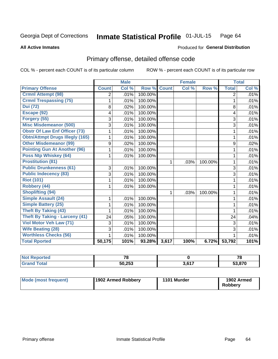#### Inmate Statistical Profile 01-JUL-15 Page 64

### **All Active Inmates**

# **Produced for General Distribution**

# Primary offense, detailed offense code

COL % - percent each COUNT is of its particular column

|                                        |                | <b>Male</b>               |         |              | <b>Female</b> |         | <b>Total</b> |       |
|----------------------------------------|----------------|---------------------------|---------|--------------|---------------|---------|--------------|-------|
| <b>Primary Offense</b>                 | <b>Count</b>   | $\overline{\text{Col}}$ % | Row %   | <b>Count</b> | Col %         | Row %   | <b>Total</b> | Col % |
| <b>Crmnl Attempt (98)</b>              | $\overline{2}$ | .01%                      | 100.00% |              |               |         | 2            | .01%  |
| <b>Crmnl Trespassing (75)</b>          | 1              | .01%                      | 100.00% |              |               |         | 1            | .01%  |
| <b>Dui</b> (72)                        | 8              | .02%                      | 100.00% |              |               |         | 8            | .01%  |
| Escape (92)                            | 4              | .01%                      | 100.00% |              |               |         | 4            | .01%  |
| Forgery (55)                           | 3              | .01%                      | 100.00% |              |               |         | 3            | .01%  |
| <b>Misc Misdemeanor (500)</b>          | 3              | .01%                      | 100.00% |              |               |         | 3            | .01%  |
| <b>Obstr Of Law Enf Officer (73)</b>   | 1              | .01%                      | 100.00% |              |               |         | 1            | .01%  |
| <b>Obtn/Attmpt Drugs Illegly (165)</b> | 1              | .01%                      | 100.00% |              |               |         | 1            | .01%  |
| <b>Other Misdemeanor (99)</b>          | 9              | .02%                      | 100.00% |              |               |         | 9            | .02%  |
| <b>Pointing Gun At Another (96)</b>    | 1              | .01%                      | 100.00% |              |               |         | 1            | .01%  |
| Poss Ntp Whiskey (64)                  | 1              | .01%                      | 100.00% |              |               |         | 1            | .01%  |
| <b>Prostitution (81)</b>               |                |                           |         | 1            | .03%          | 100.00% | 1            | .01%  |
| <b>Public Drunkenness (61)</b>         | 3              | .01%                      | 100.00% |              |               |         | 3            | .01%  |
| <b>Public Indecency (83)</b>           | 3              | .01%                      | 100.00% |              |               |         | 3            | .01%  |
| <b>Riot (101)</b>                      | 1              | .01%                      | 100.00% |              |               |         | 1            | .01%  |
| Robbery (44)                           | 1              | .01%                      | 100.00% |              |               |         | 1            | .01%  |
| <b>Shoplifting (94)</b>                |                |                           |         | 1            | .03%          | 100.00% | 1            | .01%  |
| <b>Simple Assault (24)</b>             | 1              | .01%                      | 100.00% |              |               |         | 1            | .01%  |
| <b>Simple Battery (25)</b>             | 1              | .01%                      | 100.00% |              |               |         | 1            | .01%  |
| <b>Theft By Taking (43)</b>            |                | .01%                      | 100.00% |              |               |         |              | .01%  |
| <b>Theft By Taking - Larceny (41)</b>  | 24             | .05%                      | 100.00% |              |               |         | 24           | .04%  |
| Viol Motor Veh Law (71)                | 3              | .01%                      | 100.00% |              |               |         | 3            | .01%  |
| <b>Wife Beating (28)</b>               | 3              | .01%                      | 100.00% |              |               |         | 3            | .01%  |
| <b>Worthless Checks (56)</b>           |                | .01%                      | 100.00% |              |               |         |              | .01%  |
| <b>Total Rported</b>                   | 50,175         | 101%                      | 93.28%  | 3,617        | 100%          | 6.72%   | 53,792       | 101%  |

| пето | $\overline{\phantom{a}}$ |                         | --<br>1 C |
|------|--------------------------|-------------------------|-----------|
|      | 50,253                   | 9 C 1 7<br><b>J.OI.</b> | ra aya    |

| Mode (most frequent) | 1902 Armed Robbery | 1101 Murder | 1902 Armed<br>Robberv |
|----------------------|--------------------|-------------|-----------------------|
|----------------------|--------------------|-------------|-----------------------|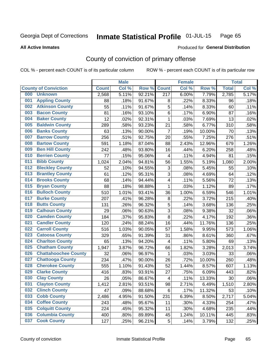#### Inmate Statistical Profile 01-JUL-15 Page 65

**All Active Inmates** 

### Produced for General Distribution

# County of conviction of primary offense

COL % - percent each COUNT is of its particular column

|     |                             |              | <b>Male</b> |        |                  | <b>Female</b> |        |              | <b>Total</b> |
|-----|-----------------------------|--------------|-------------|--------|------------------|---------------|--------|--------------|--------------|
|     | <b>County of Conviction</b> | <b>Count</b> | Col %       | Row %  | <b>Count</b>     | Col %         | Row %  | <b>Total</b> | Col %        |
| 000 | <b>Unknown</b>              | 2,568        | 5.11%       | 92.21% | $\overline{217}$ | 6.00%         | 7.79%  | 2,785        | 5.17%        |
| 001 | <b>Appling County</b>       | 88           | .18%        | 91.67% | 8                | .22%          | 8.33%  | 96           | .18%         |
| 002 | <b>Atkinson County</b>      | 55           | .11%        | 91.67% | 5                | .14%          | 8.33%  | 60           | .11%         |
| 003 | <b>Bacon County</b>         | 81           | .16%        | 93.10% | 6                | .17%          | 6.90%  | 87           | .16%         |
| 004 | <b>Baker County</b>         | 12           | .02%        | 92.31% | $\mathbf{1}$     | .03%          | 7.69%  | 13           | .02%         |
| 005 | <b>Baldwin County</b>       | 289          | .58%        | 93.23% | 21               | .58%          | 6.77%  | 310          | .58%         |
| 006 | <b>Banks County</b>         | 63           | .13%        | 90.00% | $\overline{7}$   | .19%          | 10.00% | 70           | .13%         |
| 007 | <b>Barrow County</b>        | 256          | .51%        | 92.75% | 20               | .55%          | 7.25%  | 276          | .51%         |
| 008 | <b>Bartow County</b>        | 591          | 1.18%       | 87.04% | 88               | 2.43%         | 12.96% | 679          | 1.26%        |
| 009 | <b>Ben Hill County</b>      | 242          | .48%        | 93.80% | 16               | .44%          | 6.20%  | 258          | .48%         |
| 010 | <b>Berrien County</b>       | 77           | .15%        | 95.06% | 4                | .11%          | 4.94%  | 81           | .15%         |
| 011 | <b>Bibb County</b>          | 1,024        | 2.04%       | 94.81% | 56               | 1.55%         | 5.19%  | 1,080        | 2.00%        |
| 012 | <b>Bleckley County</b>      | 52           | .10%        | 94.55% | 3                | .08%          | 5.45%  | 55           | .10%         |
| 013 | <b>Brantley County</b>      | 61           | .12%        | 95.31% | 3                | .08%          | 4.69%  | 64           | .12%         |
| 014 | <b>Brooks County</b>        | 68           | .14%        | 94.44% | 4                | .11%          | 5.56%  | 72           | .13%         |
| 015 | <b>Bryan County</b>         | 88           | .18%        | 98.88% | 1                | .03%          | 1.12%  | 89           | .17%         |
| 016 | <b>Bulloch County</b>       | 510          | 1.01%       | 93.41% | 36               | 1.00%         | 6.59%  | 546          | 1.01%        |
| 017 | <b>Burke County</b>         | 207          | .41%        | 96.28% | 8                | .22%          | 3.72%  | 215          | .40%         |
| 018 | <b>Butts County</b>         | 131          | .26%        | 96.32% | 5                | .14%          | 3.68%  | 136          | .25%         |
| 019 | <b>Calhoun County</b>       | 29           | .06%        | 90.63% | 3                | .08%          | 9.38%  | 32           | .06%         |
| 020 | <b>Camden County</b>        | 184          | .37%        | 95.83% | 8                | .22%          | 4.17%  | 192          | .36%         |
| 021 | <b>Candler County</b>       | 120          | .24%        | 88.24% | 16               | .44%          | 11.76% | 136          | .25%         |
| 022 | <b>Carroll County</b>       | 516          | 1.03%       | 90.05% | 57               | 1.58%         | 9.95%  | 573          | 1.06%        |
| 023 | <b>Catoosa County</b>       | 329          | .65%        | 91.39% | 31               | .86%          | 8.61%  | 360          | .67%         |
| 024 | <b>Charlton County</b>      | 65           | .13%        | 94.20% | 4                | .11%          | 5.80%  | 69           | .13%         |
| 025 | <b>Chatham County</b>       | 1,947        | 3.87%       | 96.72% | 66               | 1.82%         | 3.28%  | 2,013        | 3.74%        |
| 026 | <b>Chattahoochee County</b> | 32           | .06%        | 96.97% | 1                | .03%          | 3.03%  | 33           | .06%         |
| 027 | <b>Chattooga County</b>     | 234          | .47%        | 90.00% | 26               | .72%          | 10.00% | 260          | .48%         |
| 028 | <b>Cherokee County</b>      | 555          | 1.10%       | 91.43% | 52               | 1.44%         | 8.57%  | 607          | 1.13%        |
| 029 | <b>Clarke County</b>        | 416          | .83%        | 93.91% | 27               | .75%          | 6.09%  | 443          | .82%         |
| 030 | <b>Clay County</b>          | 26           | .05%        | 86.67% | 4                | .11%          | 13.33% | 30           | .06%         |
| 031 | <b>Clayton County</b>       | 1,412        | 2.81%       | 93.51% | 98               | 2.71%         | 6.49%  | 1,510        | 2.80%        |
| 032 | <b>Clinch County</b>        | 47           | .09%        | 88.68% | 6                | .17%          | 11.32% | 53           | .10%         |
| 033 | <b>Cobb County</b>          | 2,486        | 4.95%       | 91.50% | 231              | 6.39%         | 8.50%  | 2,717        | 5.04%        |
| 034 | <b>Coffee County</b>        | 243          | .48%        | 95.67% | 11               | .30%          | 4.33%  | 254          | .47%         |
| 035 | <b>Colquitt County</b>      | 224          | .45%        | 95.32% | 11               | .30%          | 4.68%  | 235          | .44%         |
| 036 | <b>Columbia County</b>      | 400          | .80%        | 89.89% | 45               | 1.24%         | 10.11% | 445          | .83%         |
| 037 | <b>Cook County</b>          | 127          | .25%        | 96.21% | 5                | .14%          | 3.79%  | 132          | .25%         |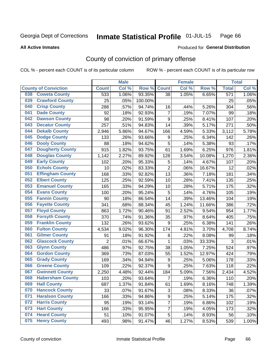#### Inmate Statistical Profile 01-JUL-15 Page 66

### **All Active Inmates**

# Produced for General Distribution

# County of conviction of primary offense

COL % - percent each COUNT is of its particular column

|                                |                | <b>Male</b> |         |                  | <b>Female</b> |        |                  | <b>Total</b> |
|--------------------------------|----------------|-------------|---------|------------------|---------------|--------|------------------|--------------|
| <b>County of Conviction</b>    | <b>Count</b>   | Col %       | Row %   | <b>Count</b>     | Col %         | Row %  | <b>Total</b>     | Col %        |
| <b>Coweta County</b><br>038    | 533            | 1.06%       | 93.35%  | 38               | 1.05%         | 6.65%  | $\overline{571}$ | 1.06%        |
| <b>Crawford County</b><br>039  | 25             | .05%        | 100.00% |                  |               |        | 25               | .05%         |
| <b>Crisp County</b><br>040     | 288            | .57%        | 94.74%  | 16               | .44%          | 5.26%  | 304              | .56%         |
| <b>Dade County</b><br>041      | 92             | .18%        | 92.93%  | 7                | .19%          | 7.07%  | 99               | .18%         |
| <b>Dawson County</b><br>042    | 98             | .20%        | 91.59%  | 9                | .25%          | 8.41%  | 107              | .20%         |
| 043<br><b>Decatur County</b>   | 257            | .51%        | 94.83%  | 14               | .39%          | 5.17%  | 271              | .50%         |
| <b>Dekalb County</b><br>044    | 2,946          | 5.86%       | 94.67%  | 166              | 4.59%         | 5.33%  | 3,112            | 5.78%        |
| 045<br><b>Dodge County</b>     | 133            | .26%        | 93.66%  | 9                | .25%          | 6.34%  | 142              | .26%         |
| <b>Dooly County</b><br>046     | 88             | .18%        | 94.62%  | 5                | .14%          | 5.38%  | 93               | .17%         |
| 047<br><b>Dougherty County</b> | 915            | 1.82%       | 93.75%  | 61               | 1.69%         | 6.25%  | 976              | 1.81%        |
| <b>Douglas County</b><br>048   | 1,142          | 2.27%       | 89.92%  | 128              | 3.54%         | 10.08% | 1,270            | 2.36%        |
| <b>Early County</b><br>049     | 102            | .20%        | 95.33%  | 5                | .14%          | 4.67%  | 107              | .20%         |
| <b>Echols County</b><br>050    | 10             | .02%        | 83.33%  | $\overline{2}$   | .06%          | 16.67% | 12               | .02%         |
| 051<br><b>Effingham County</b> | 168            | .33%        | 92.82%  | 13               | .36%          | 7.18%  | 181              | .34%         |
| 052<br><b>Elbert County</b>    | 125            | .25%        | 92.59%  | 10               | .28%          | 7.41%  | 135              | .25%         |
| <b>Emanuel County</b><br>053   | 165            | .33%        | 94.29%  | 10               | .28%          | 5.71%  | 175              | .32%         |
| <b>Evans County</b><br>054     | 100            | .20%        | 95.24%  | 5                | .14%          | 4.76%  | 105              | .19%         |
| <b>Fannin County</b><br>055    | 90             | .18%        | 86.54%  | 14               | .39%          | 13.46% | 104              | .19%         |
| <b>Fayette County</b><br>056   | 341            | .68%        | 88.34%  | 45               | 1.24%         | 11.66% | 386              | .72%         |
| <b>Floyd County</b><br>057     | 863            | 1.72%       | 90.46%  | 91               | 2.52%         | 9.54%  | 954              | 1.77%        |
| <b>Forsyth County</b><br>058   | 370            | .74%        | 91.36%  | 35               | .97%          | 8.64%  | 405              | .75%         |
| <b>Franklin County</b><br>059  | 132            | .26%        | 93.62%  | 9                | .25%          | 6.38%  | 141              | .26%         |
| <b>Fulton County</b><br>060    | 4,534          | 9.02%       | 96.30%  | 174              | 4.81%         | 3.70%  | 4,708            | 8.74%        |
| <b>Gilmer County</b><br>061    | 91             | .18%        | 91.92%  | $\bf 8$          | .22%          | 8.08%  | 99               | .18%         |
| <b>Glascock County</b><br>062  | $\overline{2}$ | .01%        | 66.67%  | 1                | .03%          | 33.33% | 3                | .01%         |
| <b>Glynn County</b><br>063     | 486            | .97%        | 92.75%  | 38               | 1.05%         | 7.25%  | 524              | .97%         |
| <b>Gordon County</b><br>064    | 369            | .73%        | 87.03%  | 55               | 1.52%         | 12.97% | 424              | .79%         |
| <b>Grady County</b><br>065     | 169            | .34%        | 94.94%  | $\boldsymbol{9}$ | .25%          | 5.06%  | 178              | .33%         |
| <b>Greene County</b><br>066    | 109            | .22%        | 92.37%  | 9                | .25%          | 7.63%  | 118              | .22%         |
| <b>Gwinnett County</b><br>067  | 2,250          | 4.48%       | 92.44%  | 184              | 5.09%         | 7.56%  | 2,434            | 4.52%        |
| <b>Habersham County</b><br>068 | 103            | .20%        | 93.64%  | 7                | .19%          | 6.36%  | 110              | .20%         |
| <b>Hall County</b><br>069      | 687            | 1.37%       | 91.84%  | 61               | 1.69%         | 8.16%  | 748              | 1.39%        |
| <b>Hancock County</b><br>070   | 33             | .07%        | 91.67%  | 3                | .08%          | 8.33%  | 36               | .07%         |
| 071<br><b>Haralson County</b>  | 166            | .33%        | 94.86%  | 9                | .25%          | 5.14%  | 175              | .32%         |
| <b>Harris County</b><br>072    | 95             | .19%        | 93.14%  | $\overline{7}$   | .19%          | 6.86%  | 102              | .19%         |
| <b>Hart County</b><br>073      | 166            | .33%        | 95.95%  | 7                | .19%          | 4.05%  | 173              | .32%         |
| <b>Heard County</b><br>074     | 51             | .10%        | 91.07%  | 5                | .14%          | 8.93%  | 56               | .10%         |
| <b>Henry County</b><br>075     | 493            | .98%        | 91.47%  | 46               | 1.27%         | 8.53%  | 539              | 1.00%        |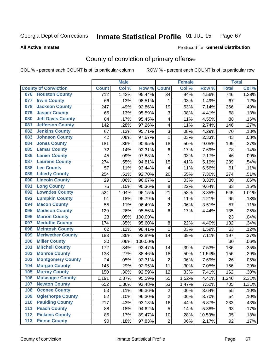#### Inmate Statistical Profile 01-JUL-15 Page 67

### **All Active Inmates**

# Produced for General Distribution

# County of conviction of primary offense

COL % - percent each COUNT is of its particular column

|       |                             |                  | <b>Male</b> |         |                         | <b>Female</b> |        |                  | <b>Total</b> |
|-------|-----------------------------|------------------|-------------|---------|-------------------------|---------------|--------|------------------|--------------|
|       | <b>County of Conviction</b> | <b>Count</b>     | Col %       | Row %   | <b>Count</b>            | Col %         | Row %  | <b>Total</b>     | Col %        |
| 076   | <b>Houston County</b>       | $\overline{712}$ | 1.42%       | 95.44%  | 34                      | .94%          | 4.56%  | $\overline{746}$ | 1.38%        |
| 077   | <b>Irwin County</b>         | 66               | .13%        | 98.51%  | 1                       | .03%          | 1.49%  | 67               | .12%         |
| 078   | <b>Jackson County</b>       | 247              | .49%        | 92.86%  | 19                      | .53%          | 7.14%  | 266              | .49%         |
| 079   | <b>Jasper County</b>        | 65               | .13%        | 95.59%  | 3                       | .08%          | 4.41%  | 68               | .13%         |
| 080   | <b>Jeff Davis County</b>    | 84               | .17%        | 95.45%  | $\overline{\mathbf{4}}$ | .11%          | 4.55%  | 88               | .16%         |
| 081   | <b>Jefferson County</b>     | 142              | .28%        | 97.26%  | 4                       | .11%          | 2.74%  | 146              | .27%         |
| 082   | <b>Jenkins County</b>       | 67               | .13%        | 95.71%  | 3                       | .08%          | 4.29%  | 70               | .13%         |
| 083   | <b>Johnson County</b>       | 42               | .08%        | 97.67%  | $\mathbf{1}$            | .03%          | 2.33%  | 43               | .08%         |
| 084   | <b>Jones County</b>         | 181              | .36%        | 90.95%  | 18                      | .50%          | 9.05%  | 199              | .37%         |
| 085   | <b>Lamar County</b>         | 72               | .14%        | 92.31%  | $\,6$                   | .17%          | 7.69%  | 78               | .14%         |
| 086   | <b>Lanier County</b>        | 45               | .09%        | 97.83%  | $\mathbf 1$             | .03%          | 2.17%  | 46               | .09%         |
| 087   | <b>Laurens County</b>       | 274              | .55%        | 94.81%  | 15                      | .41%          | 5.19%  | 289              | .54%         |
| 088   | <b>Lee County</b>           | 57               | .11%        | 93.44%  | 4                       | .11%          | 6.56%  | 61               | .11%         |
| 089   | <b>Liberty County</b>       | 254              | .51%        | 92.70%  | 20                      | .55%          | 7.30%  | 274              | .51%         |
| 090   | <b>Lincoln County</b>       | 29               | .06%        | 96.67%  | $\mathbf 1$             | .03%          | 3.33%  | 30               | .06%         |
| 091   | <b>Long County</b>          | 75               | .15%        | 90.36%  | 8                       | .22%          | 9.64%  | 83               | .15%         |
| 092   | <b>Lowndes County</b>       | 524              | 1.04%       | 96.15%  | 21                      | .58%          | 3.85%  | 545              | 1.01%        |
| 093   | <b>Lumpkin County</b>       | 91               | .18%        | 95.79%  | 4                       | .11%          | 4.21%  | 95               | .18%         |
| 094   | <b>Macon County</b>         | 55               | .11%        | 96.49%  | $\overline{c}$          | .06%          | 3.51%  | 57               | .11%         |
| 095   | <b>Madison County</b>       | 129              | .26%        | 95.56%  | 6                       | .17%          | 4.44%  | 135              | .25%         |
| 096   | <b>Marion County</b>        | 23               | .05%        | 100.00% |                         |               |        | 23               | .04%         |
| 097   | <b>Mcduffie County</b>      | 174              | .35%        | 95.60%  | 8                       | .22%          | 4.40%  | 182              | .34%         |
| 098   | <b>Mcintosh County</b>      | 62               | .12%        | 98.41%  | $\mathbf{1}$            | .03%          | 1.59%  | 63               | .12%         |
| 099   | <b>Meriwether County</b>    | 183              | .36%        | 92.89%  | 14                      | .39%          | 7.11%  | 197              | .37%         |
| 100   | <b>Miller County</b>        | 30               | .06%        | 100.00% |                         |               |        | 30               | .06%         |
| 101   | <b>Mitchell County</b>      | 172              | .34%        | 92.47%  | 14                      | .39%          | 7.53%  | 186              | .35%         |
| 102   | <b>Monroe County</b>        | 138              | .27%        | 88.46%  | 18                      | .50%          | 11.54% | 156              | .29%         |
| 103   | <b>Montgomery County</b>    | 24               | .05%        | 92.31%  | $\overline{c}$          | .06%          | 7.69%  | 26               | .05%         |
| 104   | <b>Morgan County</b>        | 145              | .29%        | 92.95%  | 11                      | .30%          | 7.05%  | 156              | .29%         |
| 105   | <b>Murray County</b>        | 150              | .30%        | 92.59%  | 12                      | .33%          | 7.41%  | 162              | .30%         |
| 106   | <b>Muscogee County</b>      | 1,191            | 2.37%       | 95.59%  | 55                      | 1.52%         | 4.41%  | 1,246            | 2.31%        |
| 107   | <b>Newton County</b>        | 652              | 1.30%       | 92.48%  | 53                      | 1.47%         | 7.52%  | 705              | 1.31%        |
| 108   | <b>Oconee County</b>        | 53               | .11%        | 96.36%  | $\overline{2}$          | .06%          | 3.64%  | 55               | .10%         |
| 109   | <b>Oglethorpe County</b>    | 52               | .10%        | 96.30%  | $\overline{2}$          | .06%          | 3.70%  | 54               | .10%         |
| 110   | <b>Paulding County</b>      | 217              | .43%        | 93.13%  | 16                      | .44%          | 6.87%  | 233              | .43%         |
| 111   | <b>Peach County</b>         | 88               | .18%        | 94.62%  | 5                       | .14%          | 5.38%  | 93               | .17%         |
| $112$ | <b>Pickens County</b>       | 85               | .17%        | 89.47%  | 10                      | .28%          | 10.53% | 95               | .18%         |
| 113   | <b>Pierce County</b>        | 90               | .18%        | 97.83%  | $\overline{2}$          | .06%          | 2.17%  | 92               | .17%         |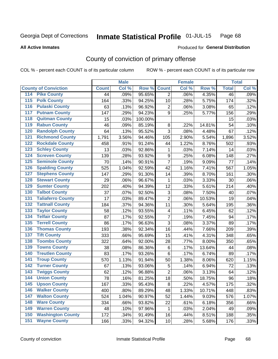#### Inmate Statistical Profile 01-JUL-15 Page 68

### **All Active Inmates**

# Produced for General Distribution

# County of conviction of primary offense

COL % - percent each COUNT is of its particular column

|                                          |              | <b>Male</b> |         |                           | <b>Female</b> |        |              | <b>Total</b> |
|------------------------------------------|--------------|-------------|---------|---------------------------|---------------|--------|--------------|--------------|
| <b>County of Conviction</b>              | <b>Count</b> | Col %       | Row %   | <b>Count</b>              | Col %         | Row %  | <b>Total</b> | Col %        |
| <b>Pike County</b><br>114                | 44           | .09%        | 95.65%  | $\overline{2}$            | .06%          | 4.35%  | 46           | .09%         |
| <b>Polk County</b><br>$\overline{115}$   | 164          | .33%        | 94.25%  | 10                        | .28%          | 5.75%  | 174          | .32%         |
| <b>Pulaski County</b><br>116             | 63           | .13%        | 96.92%  | $\overline{c}$            | .06%          | 3.08%  | 65           | .12%         |
| <b>Putnam County</b><br>117              | 147          | .29%        | 94.23%  | 9                         | .25%          | 5.77%  | 156          | .29%         |
| <b>Quitman County</b><br>118             | 15           | .03%        | 100.00% |                           |               |        | 15           | .03%         |
| <b>Rabun County</b><br>119               | 46           | .09%        | 85.19%  | 8                         | .22%          | 14.81% | 54           | .10%         |
| <b>Randolph County</b><br>120            | 64           | .13%        | 95.52%  | 3                         | .08%          | 4.48%  | 67           | .12%         |
| <b>Richmond County</b><br>121            | 1,791        | 3.56%       | 94.46%  | 105                       | 2.90%         | 5.54%  | 1,896        | 3.52%        |
| <b>Rockdale County</b><br>122            | 458          | .91%        | 91.24%  | 44                        | 1.22%         | 8.76%  | 502          | .93%         |
| 123<br><b>Schley County</b>              | 13           | .03%        | 92.86%  | 1                         | .03%          | 7.14%  | 14           | .03%         |
| <b>Screven County</b><br>124             | 139          | .28%        | 93.92%  | $\boldsymbol{9}$          | .25%          | 6.08%  | 148          | .27%         |
| <b>Seminole County</b><br>125            | 70           | .14%        | 90.91%  | $\overline{7}$            | .19%          | 9.09%  | 77           | .14%         |
| <b>Spalding County</b><br>126            | 525          | 1.04%       | 92.59%  | 42                        | 1.16%         | 7.41%  | 567          | 1.05%        |
| 127<br><b>Stephens County</b>            | 147          | .29%        | 91.30%  | 14                        | .39%          | 8.70%  | 161          | .30%         |
| <b>Stewart County</b><br>128             | 29           | .06%        | 96.67%  | 1                         | .03%          | 3.33%  | 30           | .06%         |
| <b>Sumter County</b><br>129              | 202          | .40%        | 94.39%  | 12                        | .33%          | 5.61%  | 214          | .40%         |
| <b>Talbot County</b><br>130              | 37           | .07%        | 92.50%  | $\ensuremath{\mathsf{3}}$ | .08%          | 7.50%  | 40           | .07%         |
| <b>Taliaferro County</b><br>131          | 17           | .03%        | 89.47%  | $\overline{2}$            | .06%          | 10.53% | 19           | .04%         |
| <b>Tattnall County</b><br>132            | 184          | .37%        | 94.36%  | 11                        | .30%          | 5.64%  | 195          | .36%         |
| 133<br><b>Taylor County</b>              | 58           | .12%        | 93.55%  | $\overline{\mathbf{4}}$   | .11%          | 6.45%  | 62           | .12%         |
| <b>Telfair County</b><br>134             | 87           | .17%        | 92.55%  | $\overline{7}$            | .19%          | 7.45%  | 94           | .17%         |
| <b>Terrell County</b><br>135             | 86           | .17%        | 96.63%  | 3                         | .08%          | 3.37%  | 89           | .17%         |
| <b>Thomas County</b><br>136              | 193          | .38%        | 92.34%  | 16                        | .44%          | 7.66%  | 209          | .39%         |
| <b>Tift County</b><br>137                | 333          | .66%        | 95.69%  | 15                        | .41%          | 4.31%  | 348          | .65%         |
| <b>Toombs County</b><br>138              | 322          | .64%        | 92.00%  | 28                        | .77%          | 8.00%  | 350          | .65%         |
| <b>Towns County</b><br>139               | 38           | .08%        | 86.36%  | $\,6$                     | .17%          | 13.64% | 44           | .08%         |
| <b>Treutlen County</b><br>140            | 83           | .17%        | 93.26%  | 6                         | .17%          | 6.74%  | 89           | .17%         |
| <b>Troup County</b><br>141               | 570          | 1.13%       | 91.94%  | 50                        | 1.38%         | 8.06%  | 620          | 1.15%        |
| <b>Turner County</b><br>142              | 67           | .13%        | 93.06%  | 5                         | .14%          | 6.94%  | 72           | .13%         |
| $\overline{143}$<br><b>Twiggs County</b> | 62           | .12%        | 96.88%  | $\overline{2}$            | .06%          | 3.13%  | 64           | .12%         |
| <b>Union County</b><br>144               | 78           | .16%        | 81.25%  | 18                        | .50%          | 18.75% | 96           | .18%         |
| 145<br><b>Upson County</b>               | 167          | .33%        | 95.43%  | 8                         | .22%          | 4.57%  | 175          | .32%         |
| <b>Walker County</b><br>146              | 400          | .80%        | 89.29%  | 48                        | 1.33%         | 10.71% | 448          | .83%         |
| <b>Walton County</b><br>147              | 524          | 1.04%       | 90.97%  | 52                        | 1.44%         | 9.03%  | 576          | 1.07%        |
| <b>Ware County</b><br>148                | 334          | .66%        | 93.82%  | 22                        | .61%          | 6.18%  | 356          | .66%         |
| <b>Warren County</b><br>149              | 48           | .10%        | 97.96%  | 1                         | .03%          | 2.04%  | 49           | .09%         |
| <b>Washington County</b><br>150          | 172          | .34%        | 91.49%  | 16                        | .44%          | 8.51%  | 188          | .35%         |
| <b>Wayne County</b><br>151               | 166          | .33%        | 94.32%  | 10                        | .28%          | 5.68%  | 176          | .33%         |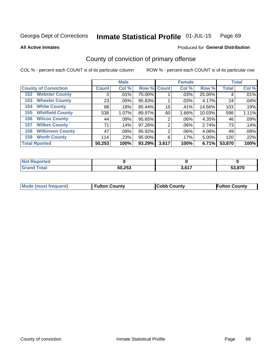#### Inmate Statistical Profile 01-JUL-15 Page 69

### **All Active Inmates**

# **Produced for General Distribution**

# County of conviction of primary offense

COL % - percent each COUNT is of its particular column

|                                |              | <b>Male</b> |             |       | <b>Female</b> |        |              | <b>Total</b> |
|--------------------------------|--------------|-------------|-------------|-------|---------------|--------|--------------|--------------|
| <b>County of Conviction</b>    | <b>Count</b> | Col %       | Row % Count |       | Col %         | Row %  | <b>Total</b> | Col %        |
| <b>Webster County</b><br>152   | 3            | .01%        | 75.00%      |       | .03%          | 25.00% | 4            | .01%         |
| <b>Wheeler County</b><br>153   | 23           | .05%        | 95.83%      |       | .03%          | 4.17%  | 24           | .04%         |
| <b>White County</b><br>154     | 88           | .18%        | 85.44%      | 15    | .41%          | 14.56% | 103          | .19%         |
| <b>Whitfield County</b><br>155 | 538          | 1.07%       | 89.97%      | 60    | 1.66%         | 10.03% | 598          | 1.11%        |
| <b>Wilcox County</b><br>156    | 44           | $.09\%$     | 95.65%      | 2     | .06%          | 4.35%  | 46           | .09%         |
| <b>Wilkes County</b><br>157    | 71           | .14%        | 97.26%      | 2     | $.06\%$       | 2.74%  | 73           | .14%         |
| <b>Wilkinson County</b><br>158 | 47           | .09%        | 95.92%      | 2     | .06%          | 4.08%  | 49           | .09%         |
| <b>Worth County</b><br>159     | 114          | .23%        | 95.00%      | 6     | .17%          | 5.00%  | 120          | .22%         |
| <b>Total Rported</b>           | 50,253       | 100%        | 93.29%      | 3,617 | 100%          | 6.71%  | 53,870       | 100%         |

| <b>Not Reported</b> |        |             |        |
|---------------------|--------|-------------|--------|
| ™otai               | 50,253 | 2017<br>ס.כ | 53.870 |

| Mode (most frequent) | <b>Fulton County</b> | <b>Cobb County</b> | <b>Fulton County</b> |
|----------------------|----------------------|--------------------|----------------------|
|                      |                      |                    |                      |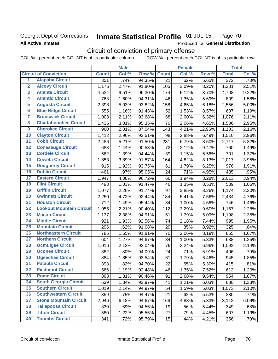# Georgia Dept of Corrections **All Active Inmates**

#### Inmate Statistical Profile 01-JUL-15 Page 70

Produced for General Distribution

# Circuit of conviction of primary offense

COL % - percent each COUNT is of its particular column ROW % - percent each COUNT is of its particular row

|                         |                                 |              | <b>Male</b> |        |              | <b>Female</b> |        |                  | <b>Total</b> |
|-------------------------|---------------------------------|--------------|-------------|--------|--------------|---------------|--------|------------------|--------------|
|                         | <b>Circuit of Conviction</b>    | <b>Count</b> | Col %       | Row %  | <b>Count</b> | Col %         | Row %  | <b>Total</b>     | Col %        |
| 1                       | <b>Alapaha Circuit</b>          | 351          | .74%        | 94.35% | 21           | .62%          | 5.65%  | $\overline{372}$ | .73%         |
| $\overline{2}$          | <b>Alcovy Circuit</b>           | 1,176        | 2.47%       | 91.80% | 105          | 3.09%         | 8.20%  | 1,281            | 2.51%        |
| $\overline{\mathbf{3}}$ | <b>Atlanta Circuit</b>          | 4,534        | 9.51%       | 96.30% | 174          | 5.12%         | 3.70%  | 4,708            | 9.22%        |
| 4                       | <b>Atlantic Circuit</b>         | 763          | 1.60%       | 94.31% | 46           | 1.35%         | 5.69%  | 809              | 1.58%        |
| 5                       | <b>Augusta Circuit</b>          | 2,398        | 5.03%       | 93.82% | 158          | 4.65%         | 6.18%  | 2,556            | 5.00%        |
| $\overline{\mathbf{6}}$ | <b>Blue Ridge Circuit</b>       | 555          | 1.16%       | 91.43% | 52           | 1.53%         | 8.57%  | 607              | 1.19%        |
| $\overline{\mathbf{7}}$ | <b>Brunswick Circuit</b>        | 1,008        | 2.11%       | 93.68% | 68           | 2.00%         | 6.32%  | 1,076            | 2.11%        |
| 8                       | <b>Chattahoochee Circuit</b>    | 1,436        | 3.01%       | 95.35% | 70           | 2.06%         | 4.65%  | 1,506            | 2.95%        |
| $\overline{9}$          | <b>Cherokee Circuit</b>         | 960          | 2.01%       | 87.04% | 143          | 4.21%         | 12.96% | 1,103            | 2.16%        |
| 10                      | <b>Clayton Circuit</b>          | 1,412        | 2.96%       | 93.51% | 98           | 2.88%         | 6.49%  | 1,510            | 2.96%        |
| $\overline{11}$         | <b>Cobb Circuit</b>             | 2,486        | 5.21%       | 91.50% | 231          | 6.79%         | 8.50%  | 2,717            | 5.32%        |
| 12                      | <b>Conasauga Circuit</b>        | 688          | 1.44%       | 90.53% | 72           | 2.12%         | 9.47%  | 760              | 1.49%        |
| $\overline{13}$         | <b>Cordele Circuit</b>          | 662          | 1.39%       | 94.44% | 39           | 1.15%         | 5.56%  | 701              | 1.37%        |
| $\overline{14}$         | <b>Coweta Circuit</b>           | 1,853        | 3.89%       | 91.87% | 164          | 4.82%         | 8.13%  | 2,017            | 3.95%        |
| $\overline{15}$         | <b>Dougherty Circuit</b>        | 915          | 1.92%       | 93.75% | 61           | 1.79%         | 6.25%  | 976              | 1.91%        |
| 16                      | <b>Dublin Circuit</b>           | 461          | .97%        | 95.05% | 24           | .71%          | 4.95%  | 485              | .95%         |
| $\overline{17}$         | <b>Eastern Circuit</b>          | 1,947        | 4.08%       | 96.72% | 66           | 1.94%         | 3.28%  | 2,013            | 3.94%        |
| 18                      | <b>Flint Circuit</b>            | 493          | 1.03%       | 91.47% | 46           | 1.35%         | 8.53%  | 539              | 1.06%        |
| 19                      | <b>Griffin Circuit</b>          | 1,077        | 2.26%       | 91.74% | 97           | 2.85%         | 8.26%  | 1,174            | 2.30%        |
| 20                      | <b>Gwinnett Circuit</b>         | 2,250        | 4.72%       | 92.44% | 184          | 5.41%         | 7.56%  | 2,434            | 4.76%        |
| $\overline{21}$         | <b>Houston Circuit</b>          | 712          | 1.49%       | 95.44% | 34           | 1.00%         | 4.56%  | 746              | 1.46%        |
| $\overline{22}$         | <b>Lookout Mountain Circuit</b> | 1,055        | 2.21%       | 90.40% | 112          | 3.29%         | 9.60%  | 1,167            | 2.28%        |
| 23                      | <b>Macon Circuit</b>            | 1,137        | 2.38%       | 94.91% | 61           | 1.79%         | 5.09%  | 1,198            | 2.35%        |
| 24                      | <b>Middle Circuit</b>           | 921          | 1.93%       | 92.56% | 74           | 2.18%         | 7.44%  | 995              | 1.95%        |
| $\overline{25}$         | <b>Mountain Circuit</b>         | 296          | .62%        | 91.08% | 29           | .85%          | 8.92%  | 325              | .64%         |
| 26                      | <b>Northeastern Circuit</b>     | 785          | 1.65%       | 91.81% | 70           | 2.06%         | 8.19%  | 855              | 1.67%        |
| 27                      | <b>Northern Circuit</b>         | 604          | 1.27%       | 94.67% | 34           | 1.00%         | 5.33%  | 638              | 1.25%        |
| 28                      | <b>Ocmulgee Circuit</b>         | 1,016        | 2.13%       | 93.04% | 76           | 2.24%         | 6.96%  | 1,092            | 2.14%        |
| 29                      | <b>Oconee Circuit</b>           | 382          | .80%        | 94.09% | 24           | .71%          | 5.91%  | 406              | .79%         |
| 30                      | <b>Ogeechee Circuit</b>         | 884          | 1.85%       | 93.54% | 61           | 1.79%         | 6.46%  | 945              | 1.85%        |
| $\overline{31}$         | <b>Pataula Circuit</b>          | 393          | .82%        | 94.70% | 22           | .65%          | 5.30%  | 415              | .81%         |
| 32                      | <b>Piedmont Circuit</b>         | 566          | 1.19%       | 92.48% | 46           | 1.35%         | 7.52%  | 612              | 1.20%        |
| 33                      | <b>Rome Circuit</b>             | 863          | 1.81%       | 90.46% | 91           | 2.68%         | 9.54%  | 954              | 1.87%        |
| 34                      | <b>South Georgia Circuit</b>    | 639          | 1.34%       | 93.97% | 41           | 1.21%         | 6.03%  | 680              | 1.33%        |
| 35                      | <b>Southern Circuit</b>         | 1,019        | 2.14%       | 94.97% | 54           | 1.59%         | 5.03%  | 1,073            | 2.10%        |
| 36                      | <b>Southwestern Circuit</b>     | 359          | .75%        | 94.47% | 21           | .62%          | 5.53%  | 380              | .74%         |
| 37                      | <b>Stone Mountain Circuit</b>   | 2,946        | 6.18%       | 94.67% | 166          | 4.88%         | 5.33%  | 3,112            | 6.09%        |
| 38                      | <b>Tallapoosa Circuit</b>       | 330          | .69%        | 94.56% | 19           | .56%          | 5.44%  | 349              | .68%         |
| 39                      | <b>Tifton Circuit</b>           | 580          | 1.22%       | 95.55% | 27           | .79%          | 4.45%  | 607              | 1.19%        |
| 40                      | <b>Toombs Circuit</b>           | 341          | .72%        | 95.79% | 15           | .44%          | 4.21%  | 356              | .70%         |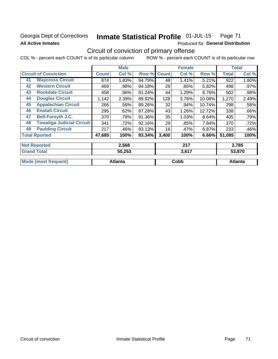# Georgia Dept of Corrections **All Active Inmates**

#### Inmate Statistical Profile 01-JUL-15 Page 71

Produced for General Distribution

# Circuit of conviction of primary offense

COL % - percent each COUNT is of its particular column ROW % - percent each COUNT is of its particular row

|    |                                  |              | <b>Male</b> |        |              | <b>Female</b> |        |              | <b>Total</b> |
|----|----------------------------------|--------------|-------------|--------|--------------|---------------|--------|--------------|--------------|
|    | <b>Circuit of Conviction</b>     | <b>Count</b> | Col %       | Row %  | <b>Count</b> | Col %         | Row %  | <b>Total</b> | Col %        |
| 41 | <b>Waycross Circuit</b>          | 874          | 1.83%       | 94.79% | 48           | 1.41%         | 5.21%  | 922          | 1.80%        |
| 42 | <b>Western Circuit</b>           | 469          | .98%        | 94.18% | 29           | .85%          | 5.82%  | 498          | .97%         |
| 43 | <b>Rockdale Circuit</b>          | 458          | .96%        | 91.24% | 44           | 1.29%         | 8.76%  | 502          | .98%         |
| 44 | <b>Douglas Circuit</b>           | 1,142        | 2.39%       | 89.92% | 128          | 3.76%         | 10.08% | 1,270        | 2.49%        |
| 45 | <b>Appalachian Circuit</b>       | 266          | .56%        | 89.26% | 32           | .94%          | 10.74% | 298          | .58%         |
| 46 | <b>Enotah Circuit</b>            | 295          | .62%        | 87.28% | 43           | 1.26%         | 12.72% | 338          | .66%         |
| 47 | <b>Bell-Forsyth J.C.</b>         | 370          | .78%        | 91.36% | 35           | 1.03%         | 8.64%  | 405          | .79%         |
| 48 | <b>Towaliga Judicial Circuit</b> | 341          | .72%        | 92.16% | 29           | .85%          | 7.84%  | 370          | .72%         |
| 49 | <b>Paulding Circuit</b>          | 217          | .46%        | 93.13% | 16           | .47%          | 6.87%  | 233          | .46%         |
|    | <b>Total Rported</b>             | 47,685       | 100%        | 93.34% | 3,400        | 100%          | 6.66%  | 51,085       | 100%         |
|    | <b>Not Reported</b>              |              | 2,568       |        |              | 217           |        |              | 2,785        |
|    | <b>Grand Total</b>               |              | 50,253      |        |              | 3,617         |        |              | 53,870       |

|                                     | - - - - - -    |      | - - - - |  |
|-------------------------------------|----------------|------|---------|--|
|                                     |                |      |         |  |
| I Mode (n<br>most frequent,<br>moac | <b>Atlanta</b> | Cobb | Atlanta |  |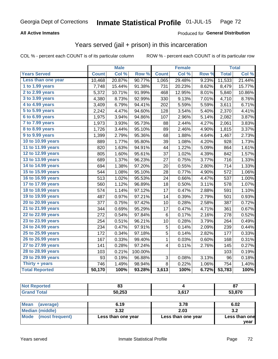# Georgia Dept of Corrections **Inmate Statistical Profile** 01-JUL-15 Page 72

## **All Active Inmates**

## Produced for **General Distribution**

# Years served (jail + prison) in this incarceration

COL % - percent each COUNT is of its particular column ROW % - percent each COUNT is of its particular row

|                        |              | <b>Male</b> |                  |              | <b>Female</b> |                  |              | <b>Total</b> |
|------------------------|--------------|-------------|------------------|--------------|---------------|------------------|--------------|--------------|
| <b>Years Served</b>    | <b>Count</b> | Col %       | Row <sup>%</sup> | <b>Count</b> | Col %         | Row <sup>%</sup> | <b>Total</b> | Col %        |
| Less than one year     | 10,468       | 20.87%      | 90.77%           | 1,065        | 29.48%        | 9.23%            | 11,533       | 21.44%       |
| 1 to 1.99 years        | 7,748        | 15.44%      | 91.38%           | 731          | 20.23%        | 8.62%            | 8,479        | 15.77%       |
| 2 to 2.99 years        | 5,372        | 10.71%      | 91.99%           | 468          | 12.95%        | 8.01%            | 5,840        | 10.86%       |
| 3 to 3.99 years        | 4,380        | 8.73%       | 92.99%           | 330          | 9.13%         | 7.01%            | 4,710        | 8.76%        |
| 4 to 4.99 years        | 3,409        | 6.79%       | 94.41%           | 202          | 5.59%         | 5.59%            | 3,611        | 6.71%        |
| 5 to 5.99 years        | 2,242        | 4.47%       | 94.60%           | 128          | 3.54%         | 5.40%            | 2,370        | 4.41%        |
| $6$ to $6.99$ years    | 1,975        | 3.94%       | 94.86%           | 107          | 2.96%         | 5.14%            | 2,082        | 3.87%        |
| 7 to 7.99 years        | 1,973        | 3.93%       | 95.73%           | 88           | 2.44%         | 4.27%            | 2,061        | 3.83%        |
| <b>8 to 8.99 years</b> | 1,726        | 3.44%       | 95.10%           | 89           | 2.46%         | 4.90%            | 1,815        | 3.37%        |
| 9 to 9.99 years        | 1,399        | 2.79%       | 95.36%           | 68           | 1.88%         | 4.64%            | 1,467        | 2.73%        |
| 10 to 10.99 years      | 889          | 1.77%       | 95.80%           | 39           | 1.08%         | 4.20%            | 928          | 1.73%        |
| 11 to 11.99 years      | 820          | 1.63%       | 94.91%           | 44           | 1.22%         | 5.09%            | 864          | 1.61%        |
| 12 to 12.99 years      | 805          | 1.60%       | 95.61%           | 37           | 1.02%         | 4.39%            | 842          | 1.57%        |
| 13 to 13.99 years      | 689          | 1.37%       | 96.23%           | 27           | 0.75%         | 3.77%            | 716          | 1.33%        |
| 14 to 14.99 years      | 694          | 1.38%       | 97.20%           | 20           | 0.55%         | 2.80%            | 714          | 1.33%        |
| 15 to 15.99 years      | 544          | 1.08%       | 95.10%           | 28           | 0.77%         | 4.90%            | 572          | 1.06%        |
| 16 to 16.99 years      | 513          | 1.02%       | 95.53%           | 24           | 0.66%         | 4.47%            | 537          | 1.00%        |
| 17 to 17.99 years      | 560          | 1.12%       | 96.89%           | 18           | 0.50%         | 3.11%            | 578          | 1.07%        |
| 18 to 18.99 years      | 574          | 1.14%       | 97.12%           | 17           | 0.47%         | 2.88%            | 591          | 1.10%        |
| 19 to 19.99 years      | 487          | 0.97%       | 97.21%           | 14           | 0.39%         | 2.79%            | 501          | 0.93%        |
| 20 to 20.99 years      | 377          | 0.75%       | 97.42%           | 10           | 0.28%         | 2.58%            | 387          | 0.72%        |
| 21 to 21.99 years      | 344          | 0.69%       | 95.29%           | 17           | 0.47%         | 4.71%            | 361          | 0.67%        |
| 22 to 22.99 years      | 272          | 0.54%       | 97.84%           | 6            | 0.17%         | 2.16%            | 278          | 0.52%        |
| 23 to 23.99 years      | 254          | 0.51%       | 96.21%           | 10           | 0.28%         | 3.79%            | 264          | 0.49%        |
| 24 to 24.99 years      | 234          | 0.47%       | 97.91%           | 5            | 0.14%         | 2.09%            | 239          | 0.44%        |
| 25 to 25.99 years      | 172          | 0.34%       | 97.18%           | 5            | 0.14%         | 2.82%            | 177          | 0.33%        |
| 26 to 26.99 years      | 167          | 0.33%       | 99.40%           | 1            | 0.03%         | 0.60%            | 168          | 0.31%        |
| 27 to 27.99 years      | 141          | 0.28%       | 97.24%           | 4            | 0.11%         | 2.76%            | 145          | 0.27%        |
| 28 to 28.99 years      | 103          | 0.21%       | 100.00%          |              |               |                  | 103          | 0.19%        |
| 29 to 29.99 years      | 93           | 0.19%       | 96.88%           | 3            | 0.08%         | 3.13%            | 96           | 0.18%        |
| Thirty + years         | 746          | 1.49%       | 98.94%           | 8            | 0.22%         | 1.06%            | 754          | 1.40%        |
| <b>Total Reported</b>  | 50,170       | 100%        | 93.28%           | 3,613        | 100%          | 6.72%            | 53,783       | 100%         |

| <b>Not Reported</b>      | 83     |       | 87     |
|--------------------------|--------|-------|--------|
| <b>Grand Total</b>       | 50,253 | 3,617 | 53,870 |
|                          |        |       |        |
| <b>Mean</b><br>(average) | 6.19   | 3.78  | 6.02   |
| $M$ odian (middlo)       | 222    | מ מ   | າາ     |

| 3.32               | 2.03               | J.L                   |
|--------------------|--------------------|-----------------------|
| Less than one year | Less than one year | Less than one<br>vear |
|                    |                    |                       |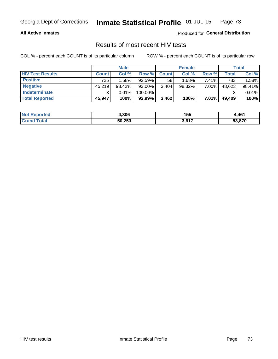#### **All Active Inmates**

Produced for **General Distribution**

## Results of most recent HIV tests

|                         | <b>Male</b>  |        |         | <b>Female</b> |        |       | Total  |        |
|-------------------------|--------------|--------|---------|---------------|--------|-------|--------|--------|
| <b>HIV Test Results</b> | <b>Count</b> | Col %  | Row %I  | <b>Count</b>  | Col %  | Row % | Total  | Col %  |
| <b>Positive</b>         | 725          | 1.58%  | 92.59%  | 58            | 1.68%  | 7.41% | 783    | 1.58%  |
| <b>Negative</b>         | 45.219       | 98.42% | 93.00%  | 3,404         | 98.32% | 7.00% | 48,623 | 98.41% |
| <b>Indeterminate</b>    | ◠            | 0.01%  | 100.00% |               |        |       |        | 0.01%  |
| <b>Total Reported</b>   | 45,947       | 100%   | 92.99%  | 3,462         | 100%   | 7.01% | 49,409 | 100%   |

| <b>Not Reported</b> | 4,306  | 155               | ,461   |
|---------------------|--------|-------------------|--------|
| ⊺otal               | 50,253 | ) 647<br><b>.</b> | 53,870 |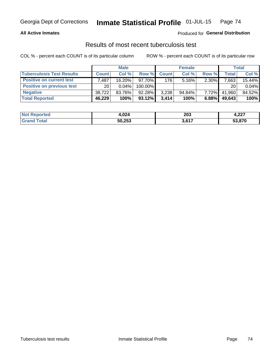#### **All Active Inmates**

### Produced for **General Distribution**

### Results of most recent tuberculosis test

|                                  | <b>Male</b>     |           |           | <b>Female</b> |           |          | Total        |        |
|----------------------------------|-----------------|-----------|-----------|---------------|-----------|----------|--------------|--------|
| <b>Tuberculosis Test Results</b> | <b>Count</b>    | Col%      | Row %I    | <b>Count</b>  | Col%      | Row %    | <b>Total</b> | Col %  |
| <b>Positive on current test</b>  | 7,487           | $16.20\%$ | $97.70\%$ | 176           | $5.16\%$  | 2.30%    | 7,663        | 15.44% |
| <b>Positive on previous test</b> | 20 <sup>1</sup> | $0.04\%$  | 100.00%   |               |           |          | 20           | 0.04%  |
| <b>Negative</b>                  | 38.722          | 83.76%    | $92.28\%$ | 3,238         | $94.84\%$ | $7.72\%$ | 41,960       | 84.52% |
| <b>Total Reported</b>            | 46,229          | 100%      | $93.12\%$ | 3.414         | 100%      | 6.88%    | 49,643       | 100%   |

| <b>Not Reported</b> | 4,024  | 203   | - 227<br>4.ZZ I |
|---------------------|--------|-------|-----------------|
| Total<br>Gran       | 50,253 | 3,617 | 53,870          |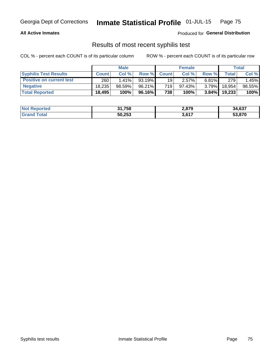#### **All Active Inmates**

Produced for **General Distribution**

## Results of most recent syphilis test

|                                 | <b>Male</b>  |           |           | <b>Female</b> |           |          | Total   |        |
|---------------------------------|--------------|-----------|-----------|---------------|-----------|----------|---------|--------|
| <b>Syphilis Test Results</b>    | <b>Count</b> | Col%      | Row %     | <b>Count</b>  | Col %     | Row %    | Total I | Col %  |
| <b>Positive on current test</b> | 260          | $1.41\%$  | $93.19\%$ | 19            | 2.57%     | $6.81\%$ | 279     | 1.45%  |
| <b>Negative</b>                 | 18.235       | $98.59\%$ | $96.21\%$ | 719           | $97.43\%$ | $3.79\%$ | 18,954  | 98.55% |
| <b>Total Reported</b>           | 18,495       | 100%      | 96.16%    | 738           | 100%      | $3.84\%$ | 19,233  | 100%   |

| <b>Not Reported</b> | 31,758 | 2,879 | 34,637 |
|---------------------|--------|-------|--------|
| <b>Grand Total</b>  | 50,253 | 3,617 | 53,870 |